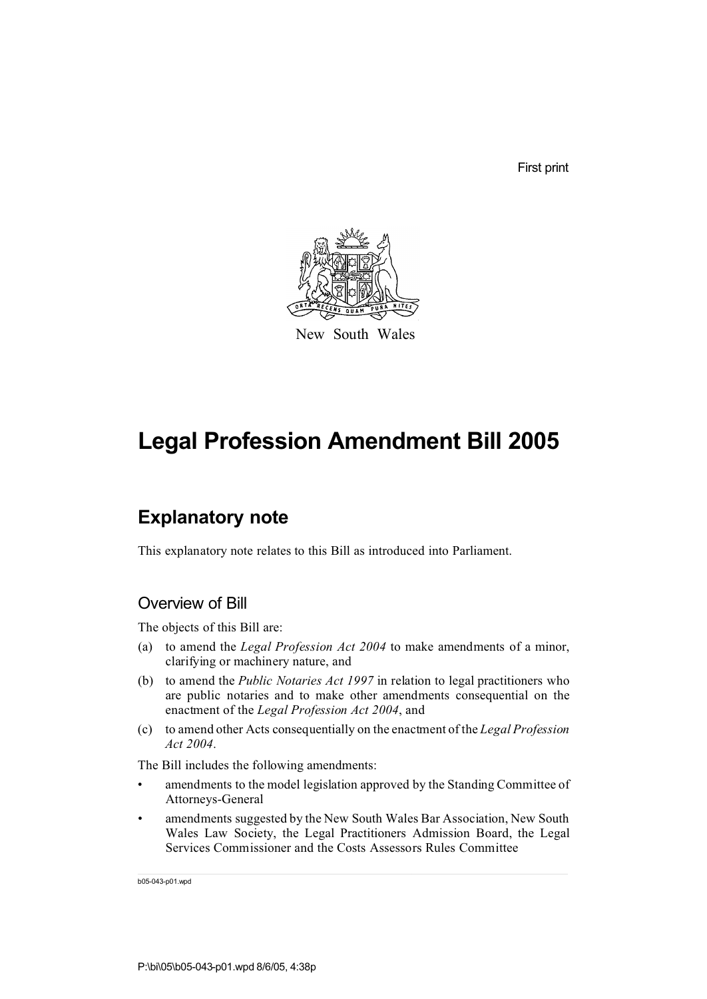First print



New South Wales

# **Legal Profession Amendment Bill 2005**

# **Explanatory note**

This explanatory note relates to this Bill as introduced into Parliament.

### Overview of Bill

The objects of this Bill are:

- (a) to amend the *Legal Profession Act 2004* to make amendments of a minor, clarifying or machinery nature, and
- (b) to amend the *Public Notaries Act 1997* in relation to legal practitioners who are public notaries and to make other amendments consequential on the enactment of the *Legal Profession Act 2004*, and
- (c) to amend other Acts consequentially on the enactment of the *Legal Profession Act 2004*.

The Bill includes the following amendments:

- amendments to the model legislation approved by the Standing Committee of Attorneys-General
- amendments suggested by the New South Wales Bar Association, New South Wales Law Society, the Legal Practitioners Admission Board, the Legal Services Commissioner and the Costs Assessors Rules Committee

b05-043-p01.wpd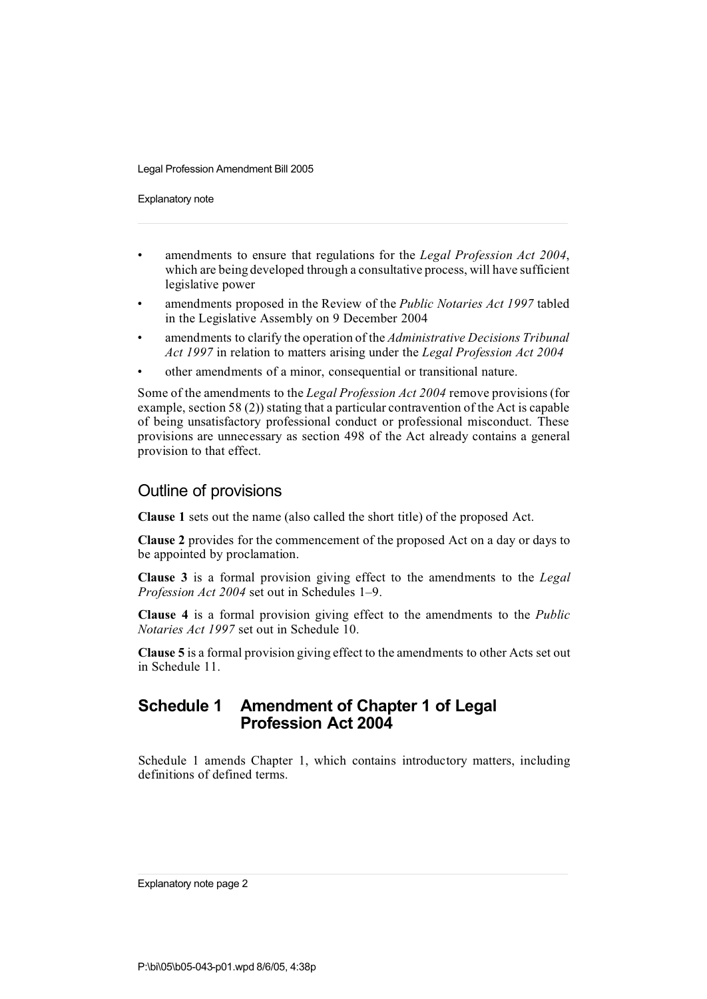Explanatory note

- amendments to ensure that regulations for the *Legal Profession Act 2004*, which are being developed through a consultative process, will have sufficient legislative power
- amendments proposed in the Review of the *Public Notaries Act 1997* tabled in the Legislative Assembly on 9 December 2004
- amendments to clarify the operation of the *Administrative Decisions Tribunal Act 1997* in relation to matters arising under the *Legal Profession Act 2004*
- other amendments of a minor, consequential or transitional nature.

Some of the amendments to the *Legal Profession Act 2004* remove provisions (for example, section 58 (2)) stating that a particular contravention of the Act is capable of being unsatisfactory professional conduct or professional misconduct. These provisions are unnecessary as section 498 of the Act already contains a general provision to that effect.

#### Outline of provisions

**Clause 1** sets out the name (also called the short title) of the proposed Act.

**Clause 2** provides for the commencement of the proposed Act on a day or days to be appointed by proclamation.

**Clause 3** is a formal provision giving effect to the amendments to the *Legal Profession Act 2004* set out in Schedules 1–9.

**Clause 4** is a formal provision giving effect to the amendments to the *Public Notaries Act 1997* set out in Schedule 10.

**Clause 5** is a formal provision giving effect to the amendments to other Acts set out in Schedule 11.

#### **Schedule 1 Amendment of Chapter 1 of Legal Profession Act 2004**

Schedule 1 amends Chapter 1, which contains introductory matters, including definitions of defined terms.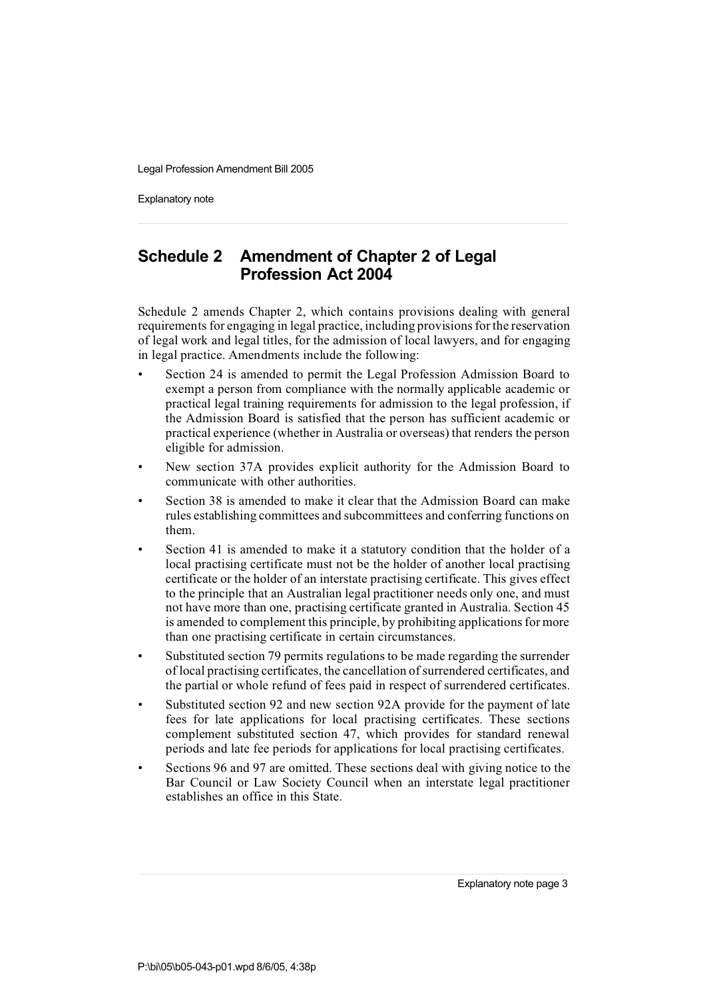Explanatory note

# **Schedule 2 Amendment of Chapter 2 of Legal Profession Act 2004**

Schedule 2 amends Chapter 2, which contains provisions dealing with general requirementsfor engaging in legal practice, including provisionsfor the reservation of legal work and legal titles, for the admission of local lawyers, and for engaging in legal practice. Amendments include the following:

- Section 24 is amended to permit the Legal Profession Admission Board to exempt a person from compliance with the normally applicable academic or practical legal training requirements for admission to the legal profession, if the Admission Board is satisfied that the person has sufficient academic or practical experience (whether in Australia or overseas) that renders the person eligible for admission.
- New section 37A provides explicit authority for the Admission Board to communicate with other authorities.
- Section 38 is amended to make it clear that the Admission Board can make rules establishing committees and subcommittees and conferring functions on them.
- Section 41 is amended to make it a statutory condition that the holder of a local practising certificate must not be the holder of another local practising certificate or the holder of an interstate practising certificate. This gives effect to the principle that an Australian legal practitioner needs only one, and must not have more than one, practising certificate granted in Australia. Section 45 is amended to complement this principle, by prohibiting applications for more than one practising certificate in certain circumstances.
- Substituted section 79 permits regulations to be made regarding the surrender of local practising certificates, the cancellation of surrendered certificates, and the partial or whole refund of fees paid in respect of surrendered certificates.
- Substituted section 92 and new section 92A provide for the payment of late fees for late applications for local practising certificates. These sections complement substituted section 47, which provides for standard renewal periods and late fee periods for applications for local practising certificates.
- Sections 96 and 97 are omitted. These sections deal with giving notice to the Bar Council or Law Society Council when an interstate legal practitioner establishes an office in this State.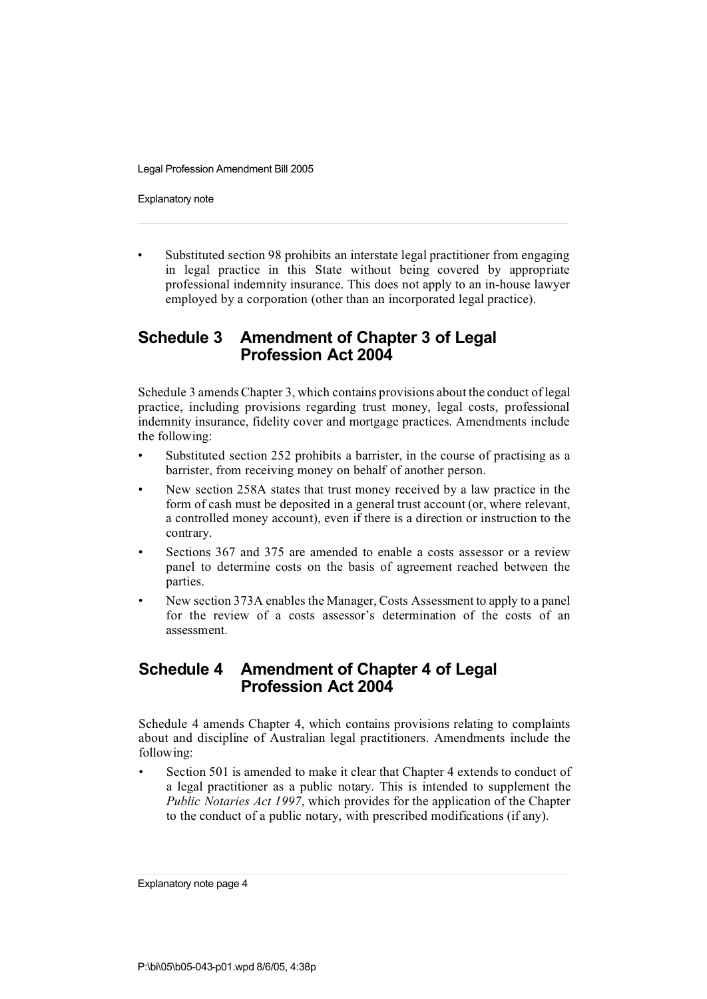Explanatory note

• Substituted section 98 prohibits an interstate legal practitioner from engaging in legal practice in this State without being covered by appropriate professional indemnity insurance. This does not apply to an in-house lawyer employed by a corporation (other than an incorporated legal practice).

## **Schedule 3 Amendment of Chapter 3 of Legal Profession Act 2004**

Schedule 3 amendsChapter 3, which contains provisions about the conduct of legal practice, including provisions regarding trust money, legal costs, professional indemnity insurance, fidelity cover and mortgage practices. Amendments include the following:

- Substituted section 252 prohibits a barrister, in the course of practising as a barrister, from receiving money on behalf of another person.
- New section 258A states that trust money received by a law practice in the form of cash must be deposited in a general trust account (or, where relevant, a controlled money account), even if there is a direction or instruction to the contrary.
- Sections 367 and 375 are amended to enable a costs assessor or a review panel to determine costs on the basis of agreement reached between the parties.
- New section 373A enables the Manager, Costs Assessment to apply to a panel for the review of a costs assessor's determination of the costs of an assessment.

### **Schedule 4 Amendment of Chapter 4 of Legal Profession Act 2004**

Schedule 4 amends Chapter 4, which contains provisions relating to complaints about and discipline of Australian legal practitioners. Amendments include the following:

Section 501 is amended to make it clear that Chapter 4 extends to conduct of a legal practitioner as a public notary. This is intended to supplement the *Public Notaries Act 1997*, which provides for the application of the Chapter to the conduct of a public notary, with prescribed modifications (if any).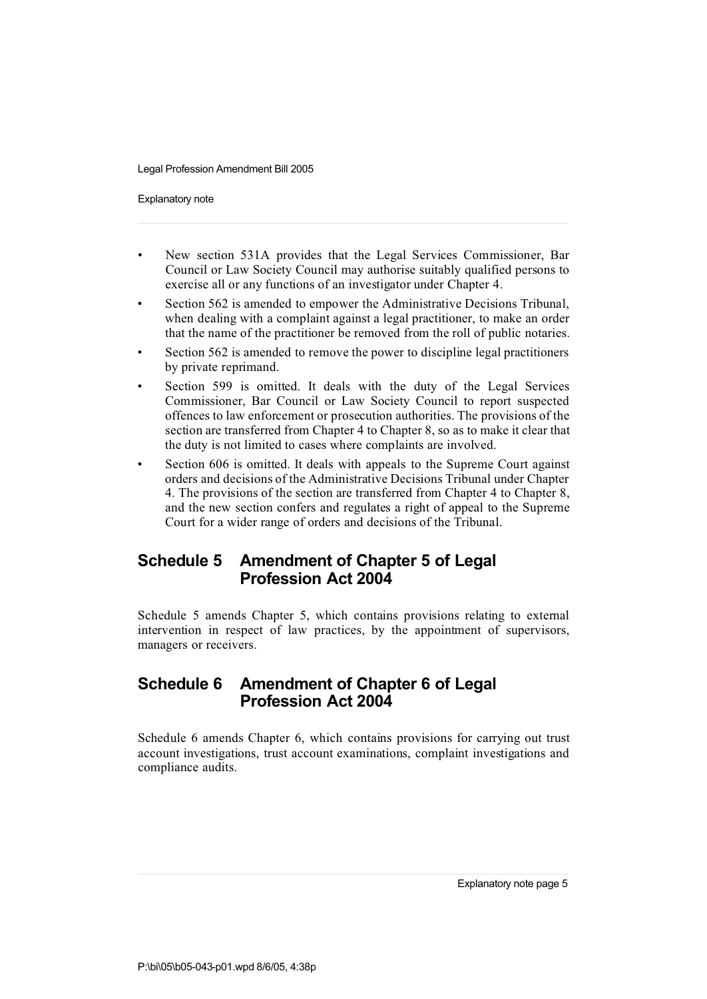Explanatory note

- New section 531A provides that the Legal Services Commissioner, Bar Council or Law Society Council may authorise suitably qualified persons to exercise all or any functions of an investigator under Chapter 4.
- Section 562 is amended to empower the Administrative Decisions Tribunal, when dealing with a complaint against a legal practitioner, to make an order that the name of the practitioner be removed from the roll of public notaries.
- Section 562 is amended to remove the power to discipline legal practitioners by private reprimand.
- Section 599 is omitted. It deals with the duty of the Legal Services Commissioner, Bar Council or Law Society Council to report suspected offences to law enforcement or prosecution authorities. The provisions of the section are transferred from Chapter 4 to Chapter 8, so as to make it clear that the duty is not limited to cases where complaints are involved.
- Section 606 is omitted. It deals with appeals to the Supreme Court against orders and decisions of the Administrative Decisions Tribunal under Chapter 4. The provisions of the section are transferred from Chapter 4 to Chapter 8, and the new section confers and regulates a right of appeal to the Supreme Court for a wider range of orders and decisions of the Tribunal.

## **Schedule 5 Amendment of Chapter 5 of Legal Profession Act 2004**

Schedule 5 amends Chapter 5, which contains provisions relating to external intervention in respect of law practices, by the appointment of supervisors, managers or receivers.

## **Schedule 6 Amendment of Chapter 6 of Legal Profession Act 2004**

Schedule 6 amends Chapter 6, which contains provisions for carrying out trust account investigations, trust account examinations, complaint investigations and compliance audits.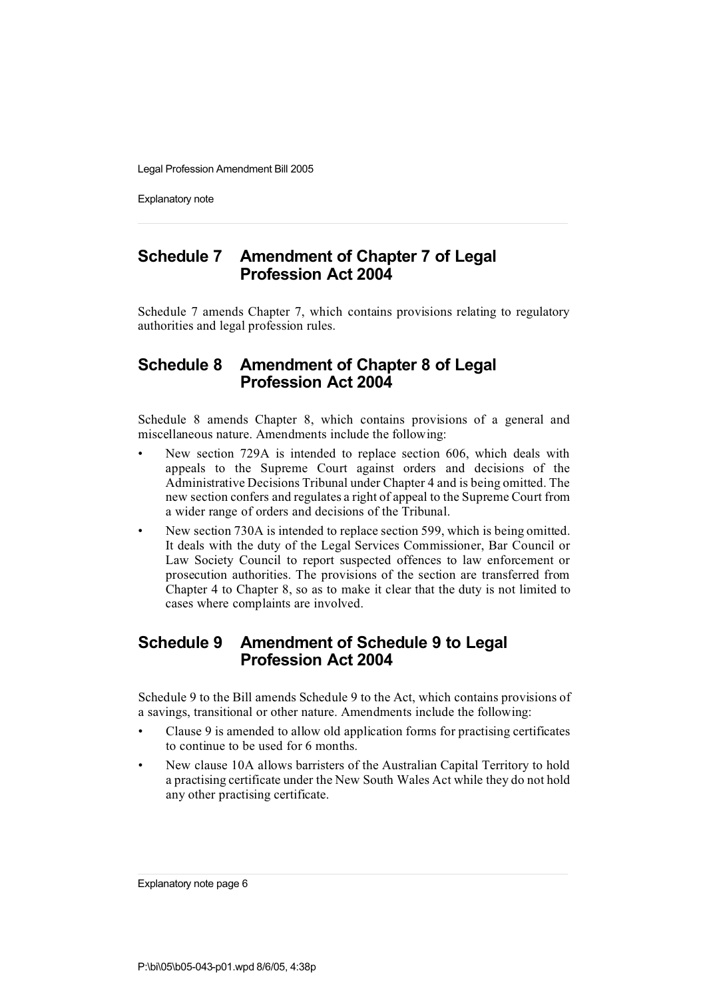Explanatory note

## **Schedule 7 Amendment of Chapter 7 of Legal Profession Act 2004**

Schedule 7 amends Chapter 7, which contains provisions relating to regulatory authorities and legal profession rules.

#### **Schedule 8 Amendment of Chapter 8 of Legal Profession Act 2004**

Schedule 8 amends Chapter 8, which contains provisions of a general and miscellaneous nature. Amendments include the following:

- New section 729A is intended to replace section 606, which deals with appeals to the Supreme Court against orders and decisions of the Administrative Decisions Tribunal under Chapter 4 and is being omitted. The new section confers and regulates a right of appeal to the Supreme Court from a wider range of orders and decisions of the Tribunal.
- New section 730A is intended to replace section 599, which is being omitted. It deals with the duty of the Legal Services Commissioner, Bar Council or Law Society Council to report suspected offences to law enforcement or prosecution authorities. The provisions of the section are transferred from Chapter 4 to Chapter 8, so as to make it clear that the duty is not limited to cases where complaints are involved.

### **Schedule 9 Amendment of Schedule 9 to Legal Profession Act 2004**

Schedule 9 to the Bill amends Schedule 9 to the Act, which contains provisions of a savings, transitional or other nature. Amendments include the following:

- Clause 9 is amended to allow old application forms for practising certificates to continue to be used for 6 months.
- New clause 10A allows barristers of the Australian Capital Territory to hold a practising certificate under the New South Wales Act while they do not hold any other practising certificate.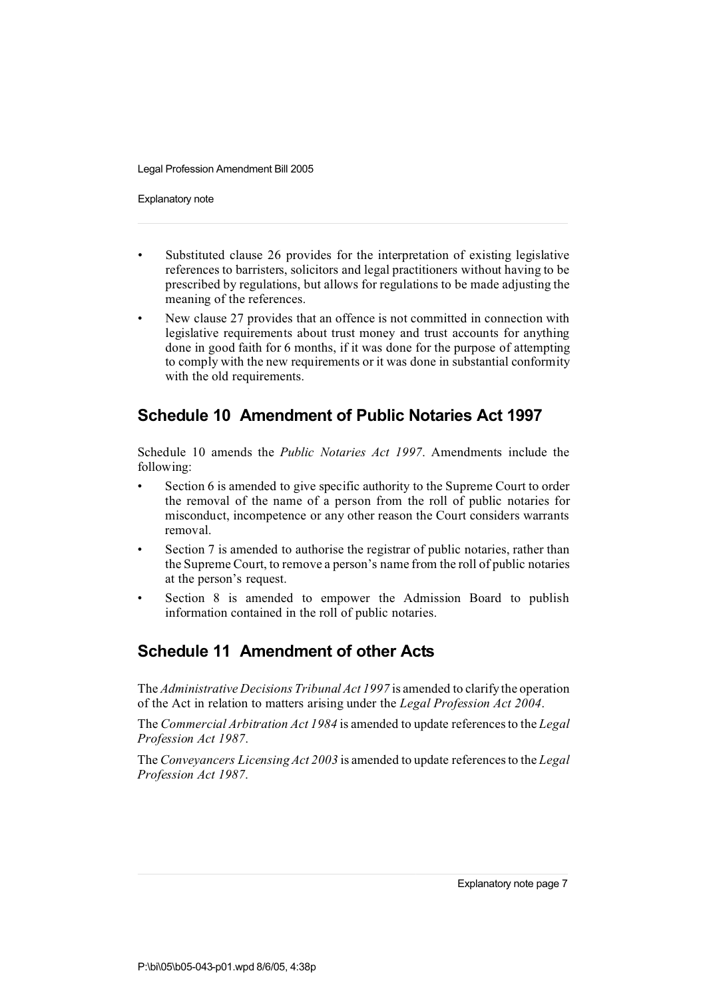Explanatory note

- Substituted clause 26 provides for the interpretation of existing legislative references to barristers, solicitors and legal practitioners without having to be prescribed by regulations, but allows for regulations to be made adjusting the meaning of the references.
- New clause 27 provides that an offence is not committed in connection with legislative requirements about trust money and trust accounts for anything done in good faith for 6 months, if it was done for the purpose of attempting to comply with the new requirements or it was done in substantial conformity with the old requirements.

# **Schedule 10 Amendment of Public Notaries Act 1997**

Schedule 10 amends the *Public Notaries Act 1997*. Amendments include the following:

- Section 6 is amended to give specific authority to the Supreme Court to order the removal of the name of a person from the roll of public notaries for misconduct, incompetence or any other reason the Court considers warrants removal.
- Section 7 is amended to authorise the registrar of public notaries, rather than the Supreme Court, to remove a person's name from the roll of public notaries at the person's request.
- Section 8 is amended to empower the Admission Board to publish information contained in the roll of public notaries.

# **Schedule 11 Amendment of other Acts**

The *Administrative Decisions Tribunal Act 1997* is amended to clarify the operation of the Act in relation to matters arising under the *Legal Profession Act 2004*.

The *Commercial Arbitration Act 1984* is amended to update referencesto the *Legal Profession Act 1987*.

The *Conveyancers LicensingAct 2003* is amended to update referencesto the *Legal Profession Act 1987*.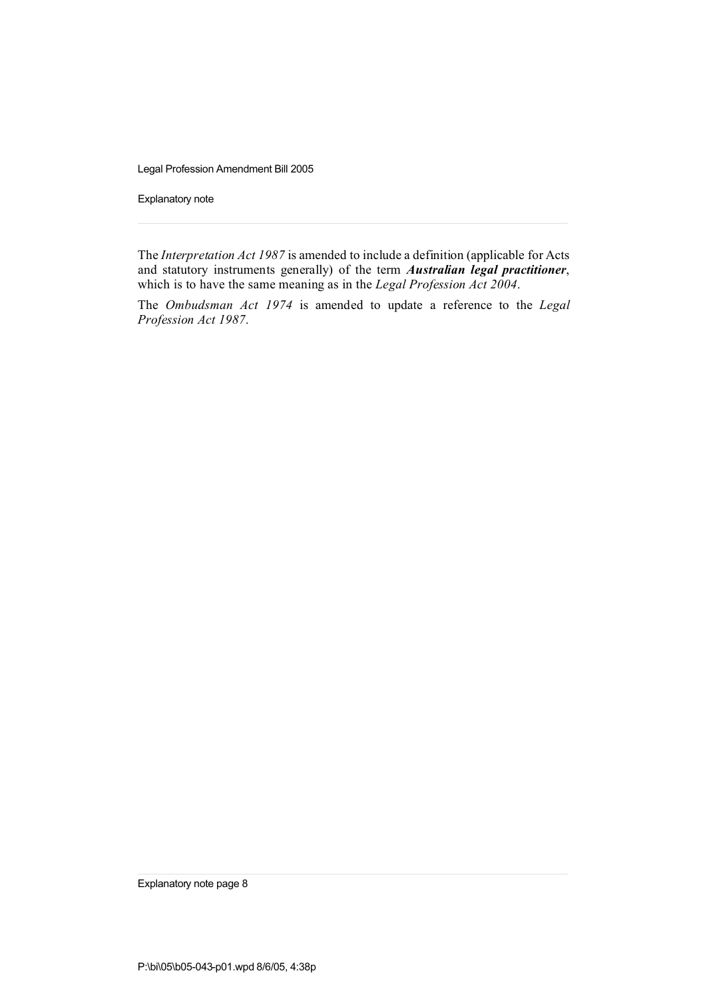Explanatory note

The *Interpretation Act 1987* is amended to include a definition (applicable for Acts and statutory instruments generally) of the term *Australian legal practitioner*, which is to have the same meaning as in the *Legal Profession Act 2004*.

The *Ombudsman Act 1974* is amended to update a reference to the *Legal Profession Act 1987*.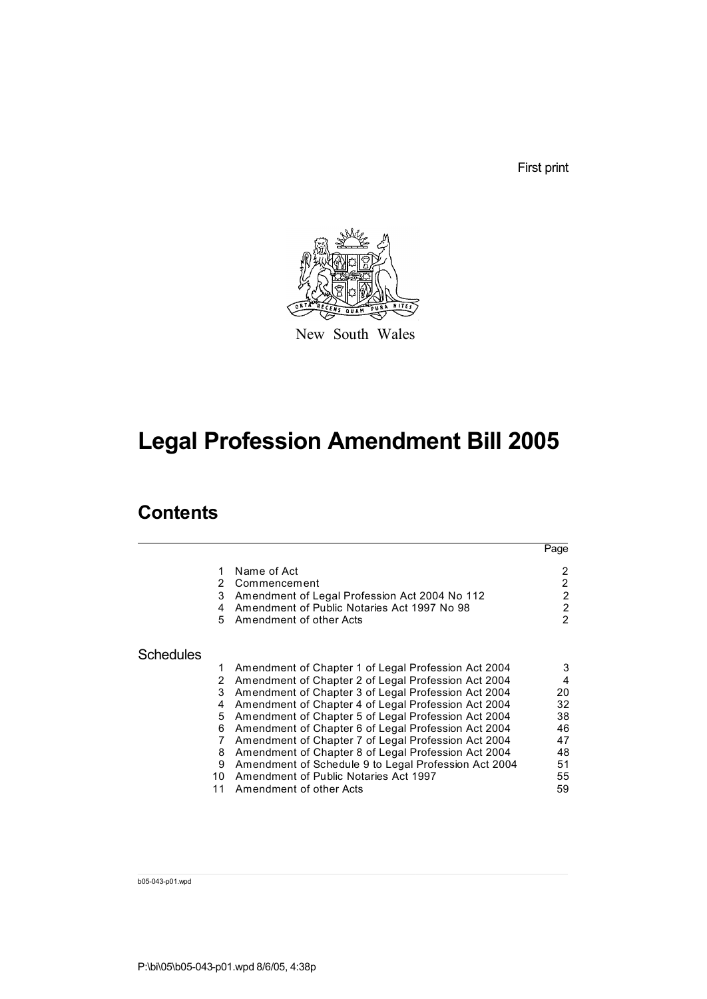First print



New South Wales

# **Legal Profession Amendment Bill 2005**

# **Contents**

|                  |                       |                                                                                                                                                        | Page                                                       |
|------------------|-----------------------|--------------------------------------------------------------------------------------------------------------------------------------------------------|------------------------------------------------------------|
|                  | 1<br>2<br>3<br>4<br>5 | Name of Act<br>Commencement<br>Amendment of Legal Profession Act 2004 No 112<br>Amendment of Public Notaries Act 1997 No 98<br>Amendment of other Acts | 2<br>$\mathcal{P}$<br>2<br>$\overline{2}$<br>$\mathcal{P}$ |
| <b>Schedules</b> |                       |                                                                                                                                                        |                                                            |
|                  | 1                     | Amendment of Chapter 1 of Legal Profession Act 2004                                                                                                    | 3                                                          |
|                  | 2                     | Amendment of Chapter 2 of Legal Profession Act 2004                                                                                                    | 4                                                          |
|                  | 3                     | Amendment of Chapter 3 of Legal Profession Act 2004                                                                                                    | 20                                                         |
|                  | 4                     | Amendment of Chapter 4 of Legal Profession Act 2004                                                                                                    | 32                                                         |
|                  | 5                     | Amendment of Chapter 5 of Legal Profession Act 2004                                                                                                    | 38                                                         |
|                  | 6                     | Amendment of Chapter 6 of Legal Profession Act 2004                                                                                                    | 46                                                         |
|                  | 7                     | Amendment of Chapter 7 of Legal Profession Act 2004                                                                                                    | 47                                                         |
|                  | 8                     | Amendment of Chapter 8 of Legal Profession Act 2004                                                                                                    | 48                                                         |
|                  | 9                     | Amendment of Schedule 9 to Legal Profession Act 2004                                                                                                   | 51                                                         |
|                  | 10                    | Amendment of Public Notaries Act 1997                                                                                                                  | 55                                                         |
|                  | 11                    | Amendment of other Acts                                                                                                                                | 59                                                         |

b05-043-p01.wpd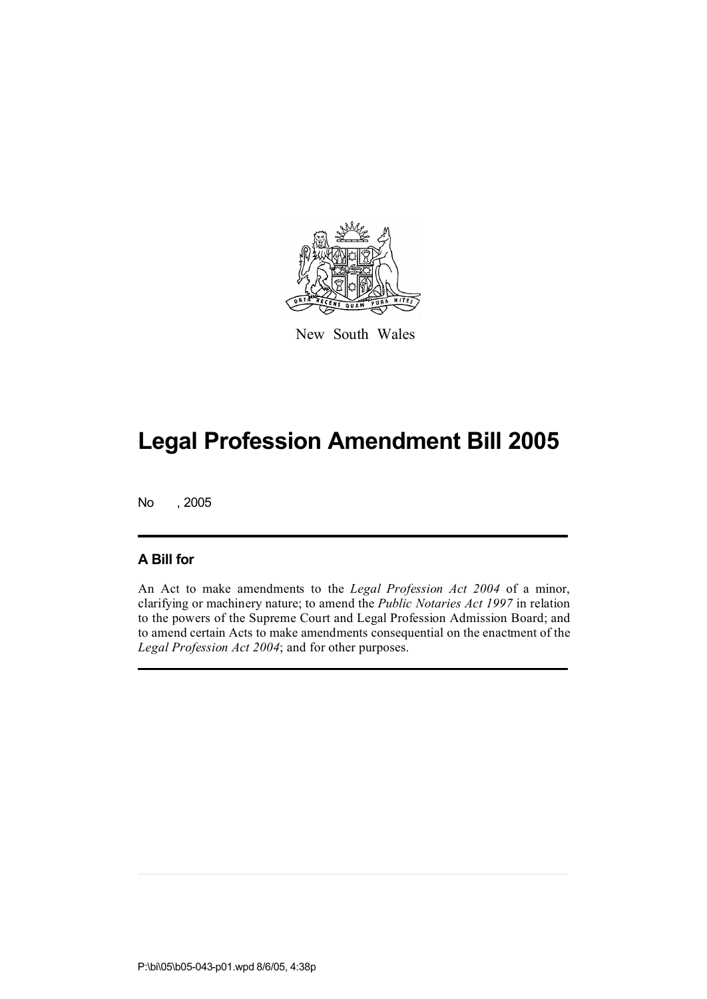

New South Wales

No , 2005

#### **A Bill for**

An Act to make amendments to the *Legal Profession Act 2004* of a minor, clarifying or machinery nature; to amend the *Public Notaries Act 1997* in relation to the powers of the Supreme Court and Legal Profession Admission Board; and to amend certain Acts to make amendments consequential on the enactment of the *Legal Profession Act 2004*; and for other purposes.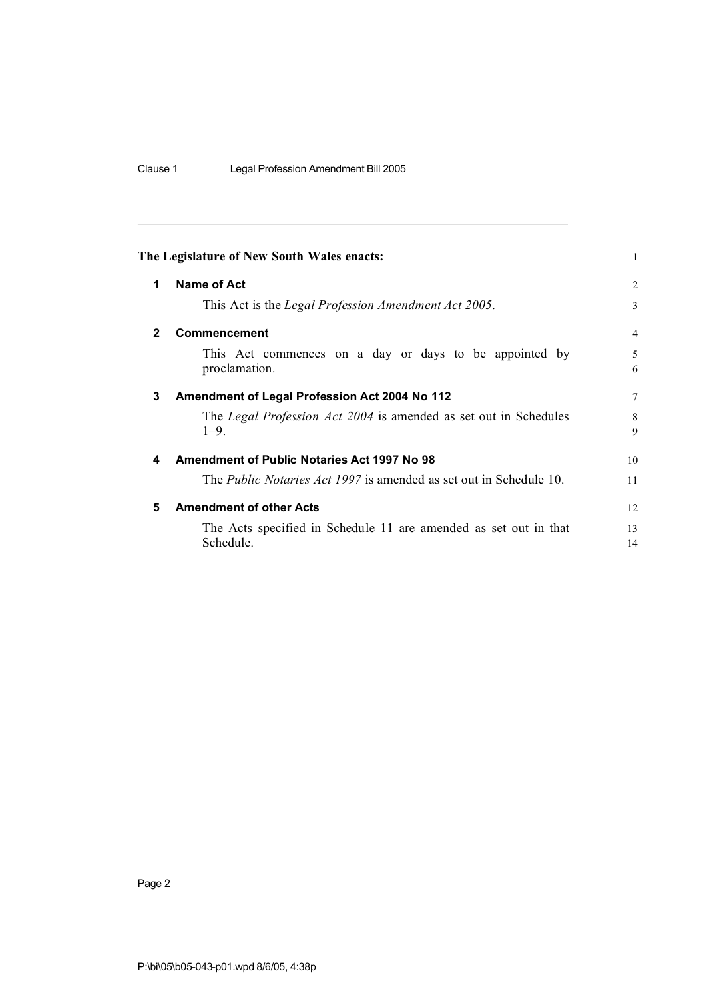| Clause 1 | Legal Profession Amendment Bill 2005 |
|----------|--------------------------------------|
|----------|--------------------------------------|

|                | The Legislature of New South Wales enacts:                                    | $\mathbf{1}$   |
|----------------|-------------------------------------------------------------------------------|----------------|
| 1              | Name of Act                                                                   | $\overline{2}$ |
|                | This Act is the Legal Profession Amendment Act 2005.                          | 3              |
| $\overline{2}$ | <b>Commencement</b>                                                           | $\overline{4}$ |
|                | This Act commences on a day or days to be appointed by<br>proclamation.       | 5<br>6         |
| 3              | Amendment of Legal Profession Act 2004 No 112                                 | 7              |
|                | The Legal Profession Act 2004 is amended as set out in Schedules<br>$1 - 9$ . | 8<br>9         |
| 4              | <b>Amendment of Public Notaries Act 1997 No 98</b>                            | 10             |
|                | The <i>Public Notaries Act 1997</i> is amended as set out in Schedule 10.     | 11             |
| 5              | <b>Amendment of other Acts</b>                                                | 12             |
|                | The Acts specified in Schedule 11 are amended as set out in that<br>Schedule. | 13<br>14       |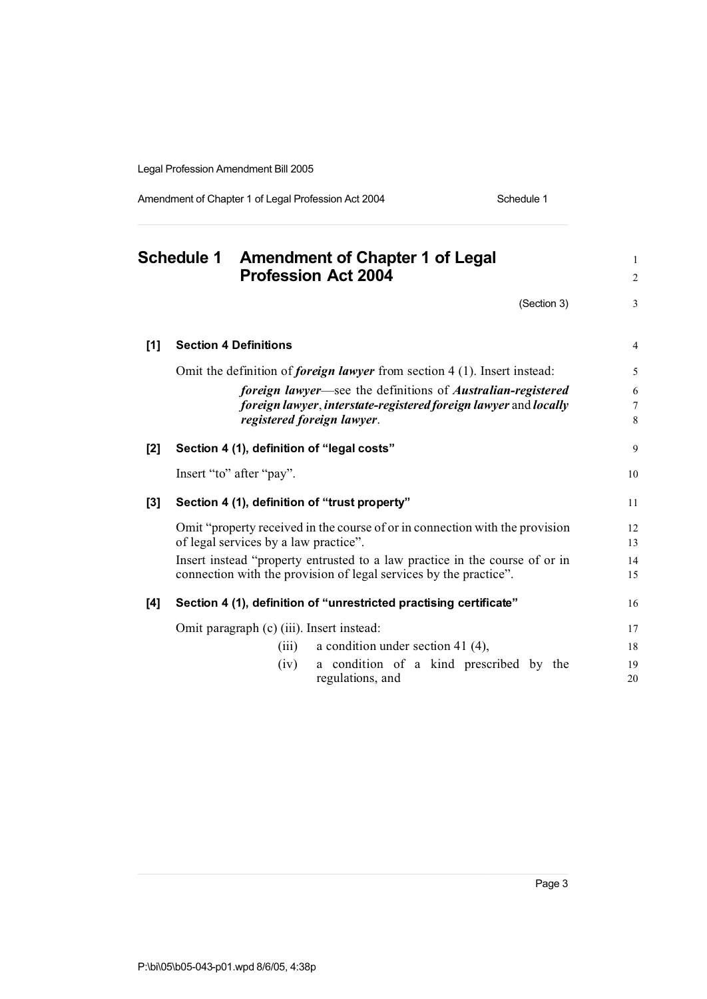Amendment of Chapter 1 of Legal Profession Act 2004 Schedule 1

**Schedule 1 Amendment of Chapter 1 of Legal** <sup>1</sup> **Profession Act 2004** <sup>2</sup>  $(Section 3)$  3 **[1] Section 4 Definitions** 4 Omit the definition of *foreign lawyer* from section 4 (1). Insert instead: 5 *foreign lawyer*—see the definitions of *Australian-registered* 6 *foreign lawyer*, *interstate-registered foreign lawyer* and *locally* 7 *registered foreign lawyer*. 8 **[2] Section 4 (1), definition of "legal costs"** 9 Insert "to" after "pay". 10 **[3] Section 4 (1), definition of "trust property"** 11 Omit "property received in the course of or in connection with the provision 12 of legal services by a law practice". 13 Insert instead "property entrusted to a law practice in the course of or in 14 connection with the provision of legal services by the practice". 15 **[4] Section 4 (1), definition of "unrestricted practising certificate"** 16 Omit paragraph (c) (iii). Insert instead: 17 (iii) a condition under section 41 (4), 18 (iv) a condition of a kind prescribed by the 19 regulations, and 20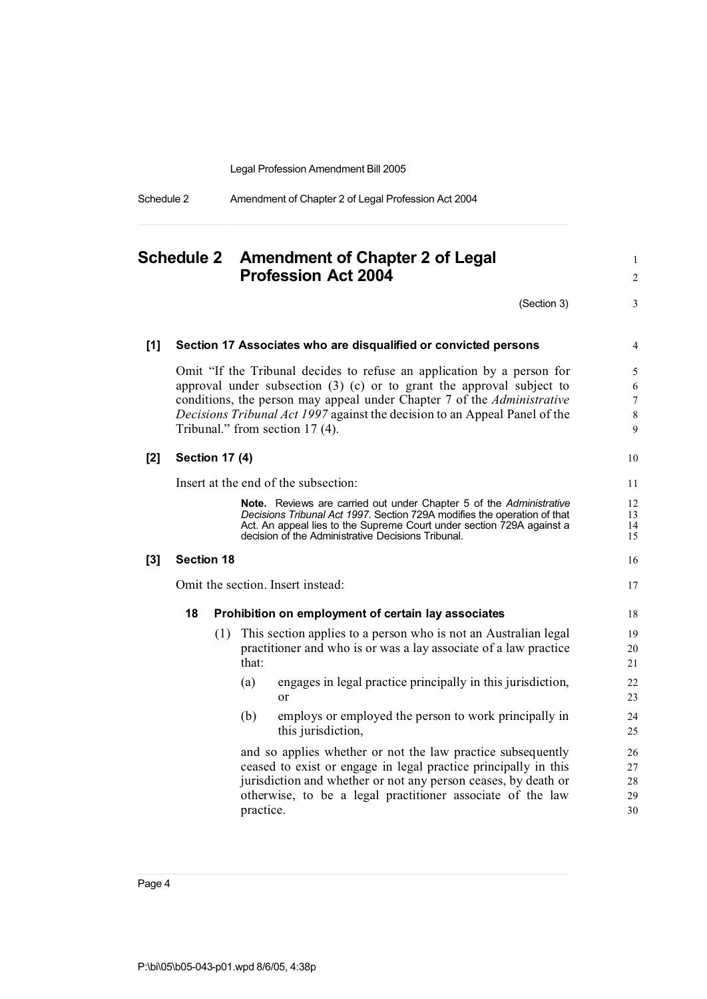Schedule 2 Amendment of Chapter 2 of Legal Profession Act 2004

# **Schedule 2 Amendment of Chapter 2 of Legal** <sup>1</sup> **Profession Act 2004** <sup>2</sup>  $(Section 3)$  3 **[1] Section 17 Associates who are disqualified or convicted persons** 4 Omit "If the Tribunal decides to refuse an application by a person for 5 approval under subsection  $(3)$  (c) or to grant the approval subject to 6 conditions, the person may appeal under Chapter 7 of the *Administrative* 7 *Decisions Tribunal Act 1997* against the decision to an Appeal Panel of the 8 Tribunal." from section 17 (4). 9 **[2] Section 17 (4)** 10 Insert at the end of the subsection: 11 **Note.** Reviews are carried out under Chapter 5 of the *Administrative* 12 *Decisions Tribunal Act 1997*. Section 729A modifies the operation of that 13 Act. An appeal lies to the Supreme Court under section 729A against a 14<br>decision of the Administrative Decisions Tribunal. decision of the Administrative Decisions Tribunal. **[3] Section 18** 16 Omit the section. Insert instead: 17 **18 Prohibition on employment of certain lay associates** 18 (1) This section applies to a person who is not an Australian legal 19 practitioner and who is or was a lay associate of a law practice 20  $\text{that:}$  21 (a) engages in legal practice principally in this jurisdiction, 22 or 23 (b) employs or employed the person to work principally in 24 this jurisdiction, 25 and so applies whether or not the law practice subsequently 26 ceased to exist or engage in legal practice principally in this 27 jurisdiction and whether or not any person ceases, by death or 28 otherwise, to be a legal practitioner associate of the law 29 practice. 30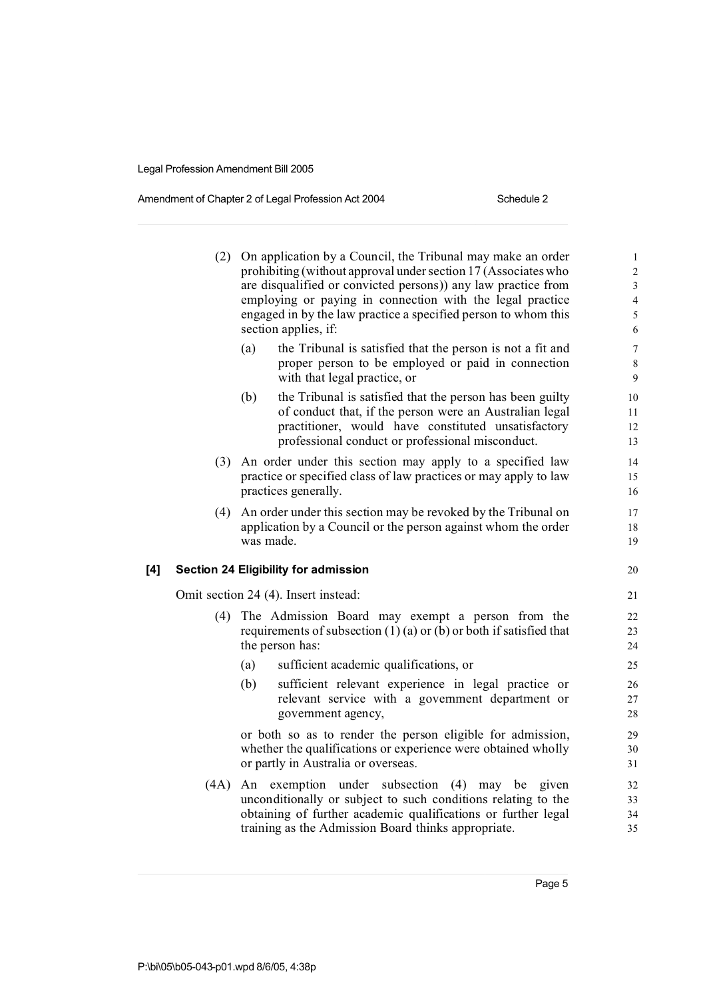#### Amendment of Chapter 2 of Legal Profession Act 2004 Schedule 2

|     | (2)  | On application by a Council, the Tribunal may make an order<br>prohibiting (without approval under section 17 (Associates who<br>are disqualified or convicted persons)) any law practice from<br>employing or paying in connection with the legal practice<br>engaged in by the law practice a specified person to whom this<br>section applies, if: | $\mathbf{1}$<br>$\overline{c}$<br>3<br>$\overline{\mathcal{L}}$<br>5<br>6 |
|-----|------|-------------------------------------------------------------------------------------------------------------------------------------------------------------------------------------------------------------------------------------------------------------------------------------------------------------------------------------------------------|---------------------------------------------------------------------------|
|     |      | (a)<br>the Tribunal is satisfied that the person is not a fit and<br>proper person to be employed or paid in connection<br>with that legal practice, or                                                                                                                                                                                               | $\overline{7}$<br>8<br>9                                                  |
|     |      | the Tribunal is satisfied that the person has been guilty<br>(b)<br>of conduct that, if the person were an Australian legal<br>practitioner, would have constituted unsatisfactory<br>professional conduct or professional misconduct.                                                                                                                | 10<br>11<br>12<br>13                                                      |
|     |      | (3) An order under this section may apply to a specified law<br>practice or specified class of law practices or may apply to law<br>practices generally.                                                                                                                                                                                              | 14<br>15<br>16                                                            |
|     | (4)  | An order under this section may be revoked by the Tribunal on<br>application by a Council or the person against whom the order<br>was made.                                                                                                                                                                                                           | 17<br>18<br>19                                                            |
| [4] |      | <b>Section 24 Eligibility for admission</b>                                                                                                                                                                                                                                                                                                           | 20                                                                        |
|     |      | Omit section 24 (4). Insert instead:                                                                                                                                                                                                                                                                                                                  | 21                                                                        |
|     | (4)  | The Admission Board may exempt a person from the<br>requirements of subsection $(1)(a)$ or $(b)$ or both if satisfied that<br>the person has:                                                                                                                                                                                                         | 22<br>23<br>24                                                            |
|     |      | sufficient academic qualifications, or<br>(a)                                                                                                                                                                                                                                                                                                         | 25                                                                        |
|     |      | sufficient relevant experience in legal practice or<br>(b)<br>relevant service with a government department or<br>government agency,                                                                                                                                                                                                                  | 26<br>27<br>28                                                            |
|     |      | or both so as to render the person eligible for admission,<br>whether the qualifications or experience were obtained wholly<br>or partly in Australia or overseas.                                                                                                                                                                                    | 29<br>30<br>31                                                            |
|     | (4A) | exemption under subsection<br>$(4)$ may be<br>An<br>given<br>unconditionally or subject to such conditions relating to the<br>obtaining of further academic qualifications or further legal<br>training as the Admission Board thinks appropriate.                                                                                                    | 32<br>33<br>34<br>35                                                      |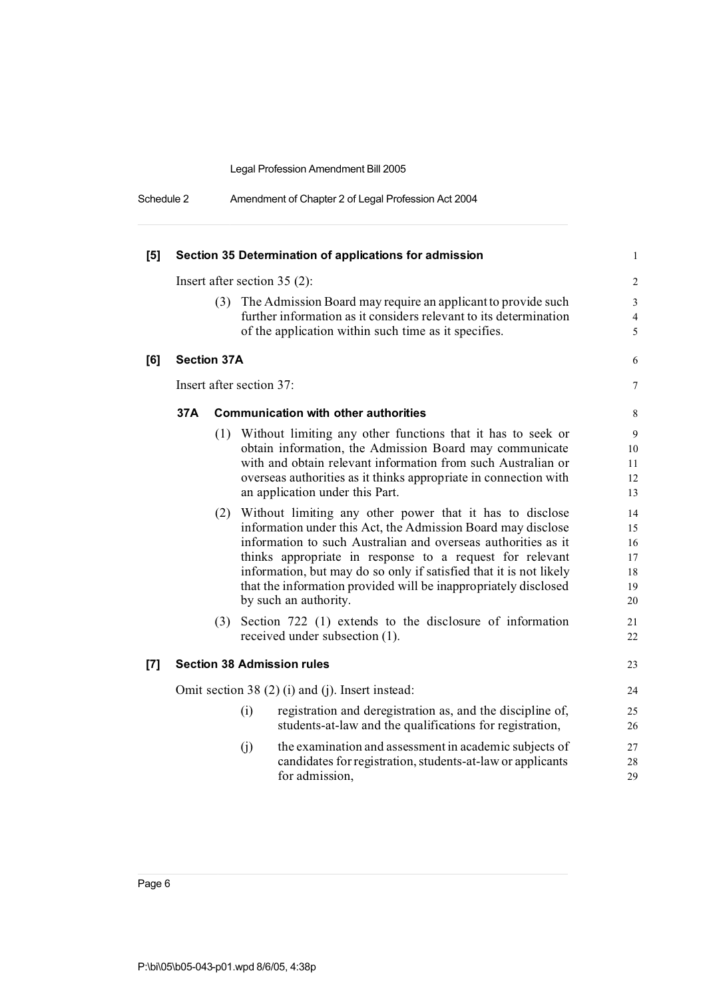| Schedule 2 | Amendment of Chapter 2 of Legal Profession Act 2004 |  |
|------------|-----------------------------------------------------|--|
|            |                                                     |  |

| [5]   |                    |     | Section 35 Determination of applications for admission                                                                                                                                                                                                                                                                                                                                                                  | 1                                      |
|-------|--------------------|-----|-------------------------------------------------------------------------------------------------------------------------------------------------------------------------------------------------------------------------------------------------------------------------------------------------------------------------------------------------------------------------------------------------------------------------|----------------------------------------|
|       |                    |     | Insert after section $35(2)$ :                                                                                                                                                                                                                                                                                                                                                                                          | $\overline{2}$                         |
|       |                    | (3) | The Admission Board may require an applicant to provide such<br>further information as it considers relevant to its determination<br>of the application within such time as it specifies.                                                                                                                                                                                                                               | 3<br>$\overline{4}$<br>5               |
| [6]   | <b>Section 37A</b> |     |                                                                                                                                                                                                                                                                                                                                                                                                                         | 6                                      |
|       |                    |     | Insert after section 37:                                                                                                                                                                                                                                                                                                                                                                                                | 7                                      |
|       | 37A                |     | <b>Communication with other authorities</b>                                                                                                                                                                                                                                                                                                                                                                             | 8                                      |
|       |                    |     | (1) Without limiting any other functions that it has to seek or<br>obtain information, the Admission Board may communicate<br>with and obtain relevant information from such Australian or<br>overseas authorities as it thinks appropriate in connection with<br>an application under this Part.                                                                                                                       | 9<br>10<br>11<br>12<br>13              |
|       |                    | (2) | Without limiting any other power that it has to disclose<br>information under this Act, the Admission Board may disclose<br>information to such Australian and overseas authorities as it<br>thinks appropriate in response to a request for relevant<br>information, but may do so only if satisfied that it is not likely<br>that the information provided will be inappropriately disclosed<br>by such an authority. | 14<br>15<br>16<br>17<br>18<br>19<br>20 |
|       |                    | (3) | Section 722 (1) extends to the disclosure of information<br>received under subsection (1).                                                                                                                                                                                                                                                                                                                              | 21<br>22                               |
| $[7]$ |                    |     | <b>Section 38 Admission rules</b>                                                                                                                                                                                                                                                                                                                                                                                       | 23                                     |
|       |                    |     | Omit section 38 (2) (i) and (j). Insert instead:                                                                                                                                                                                                                                                                                                                                                                        | 24                                     |
|       |                    |     | (i)<br>registration and deregistration as, and the discipline of,<br>students-at-law and the qualifications for registration,                                                                                                                                                                                                                                                                                           | 25<br>26                               |
|       |                    |     | (i)<br>the examination and assessment in academic subjects of<br>candidates for registration, students-at-law or applicants<br>for admission,                                                                                                                                                                                                                                                                           | 27<br>28<br>29                         |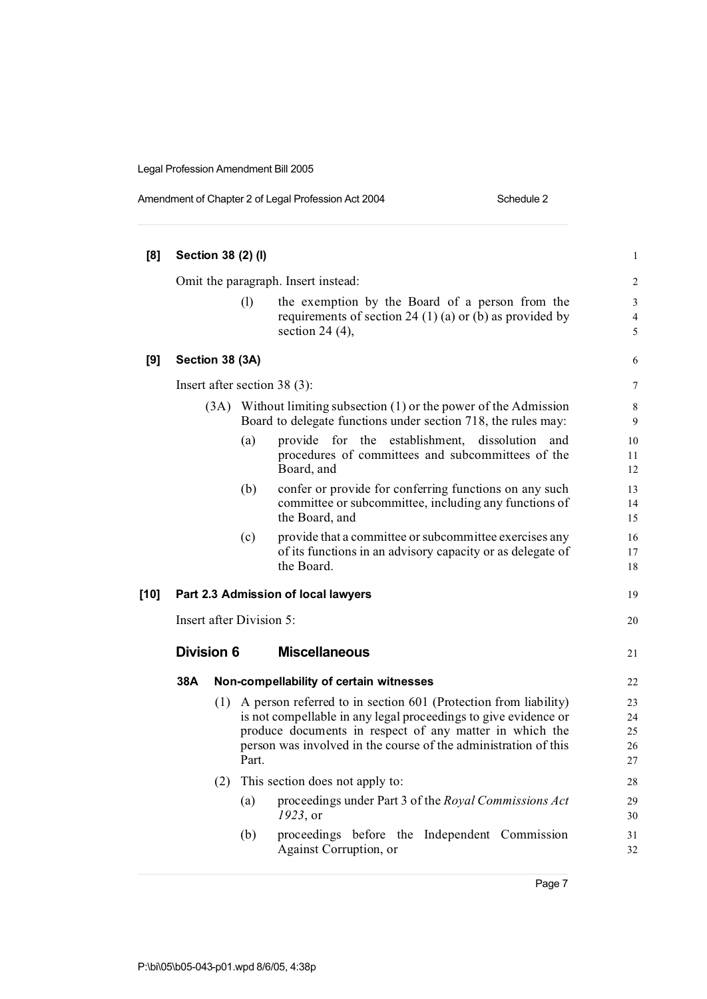| Amendment of Chapter 2 of Legal Profession Act 2004 |
|-----------------------------------------------------|
|                                                     |

| [8]    |                                |      | Section 38 (2) (I) |                                                                                                                                                                                                                                                                  | $\mathbf{1}$               |
|--------|--------------------------------|------|--------------------|------------------------------------------------------------------------------------------------------------------------------------------------------------------------------------------------------------------------------------------------------------------|----------------------------|
|        |                                |      |                    | Omit the paragraph. Insert instead:                                                                                                                                                                                                                              | $\overline{2}$             |
|        |                                |      | (1)                | the exemption by the Board of a person from the<br>requirements of section 24 (1) (a) or (b) as provided by<br>section 24 $(4)$ ,                                                                                                                                | 3<br>$\overline{4}$<br>5   |
| [9]    | Section 38 (3A)                |      |                    |                                                                                                                                                                                                                                                                  | 6                          |
|        | Insert after section $38(3)$ : |      |                    |                                                                                                                                                                                                                                                                  |                            |
|        |                                | (3A) |                    | Without limiting subsection (1) or the power of the Admission<br>Board to delegate functions under section 718, the rules may:                                                                                                                                   | 8<br>9                     |
|        |                                |      | (a)                | for the establishment,<br>provide<br>dissolution<br>and<br>procedures of committees and subcommittees of the<br>Board, and                                                                                                                                       | 10<br>11<br>12             |
|        |                                |      | (b)                | confer or provide for conferring functions on any such<br>committee or subcommittee, including any functions of<br>the Board, and                                                                                                                                | 13<br>14<br>15             |
|        |                                |      | (c)                | provide that a committee or subcommittee exercises any<br>of its functions in an advisory capacity or as delegate of<br>the Board.                                                                                                                               | 16<br>17<br>18             |
| $[10]$ |                                |      |                    | Part 2.3 Admission of local lawyers                                                                                                                                                                                                                              | 19                         |
|        | Insert after Division 5:       |      |                    |                                                                                                                                                                                                                                                                  | 20                         |
|        | <b>Division 6</b>              |      |                    | <b>Miscellaneous</b>                                                                                                                                                                                                                                             | 21                         |
|        | 38A                            |      |                    | Non-compellability of certain witnesses                                                                                                                                                                                                                          | 22                         |
|        |                                | (1)  | Part.              | A person referred to in section 601 (Protection from liability)<br>is not compellable in any legal proceedings to give evidence or<br>produce documents in respect of any matter in which the<br>person was involved in the course of the administration of this | 23<br>24<br>25<br>26<br>27 |
|        |                                | (2)  |                    | This section does not apply to:                                                                                                                                                                                                                                  | 28                         |
|        |                                |      | (a)                | proceedings under Part 3 of the Royal Commissions Act<br>1923, or                                                                                                                                                                                                | 29<br>30                   |
|        |                                |      | (b)                | proceedings before the Independent Commission<br>Against Corruption, or                                                                                                                                                                                          | 31<br>32                   |

Page 7

Schedule 2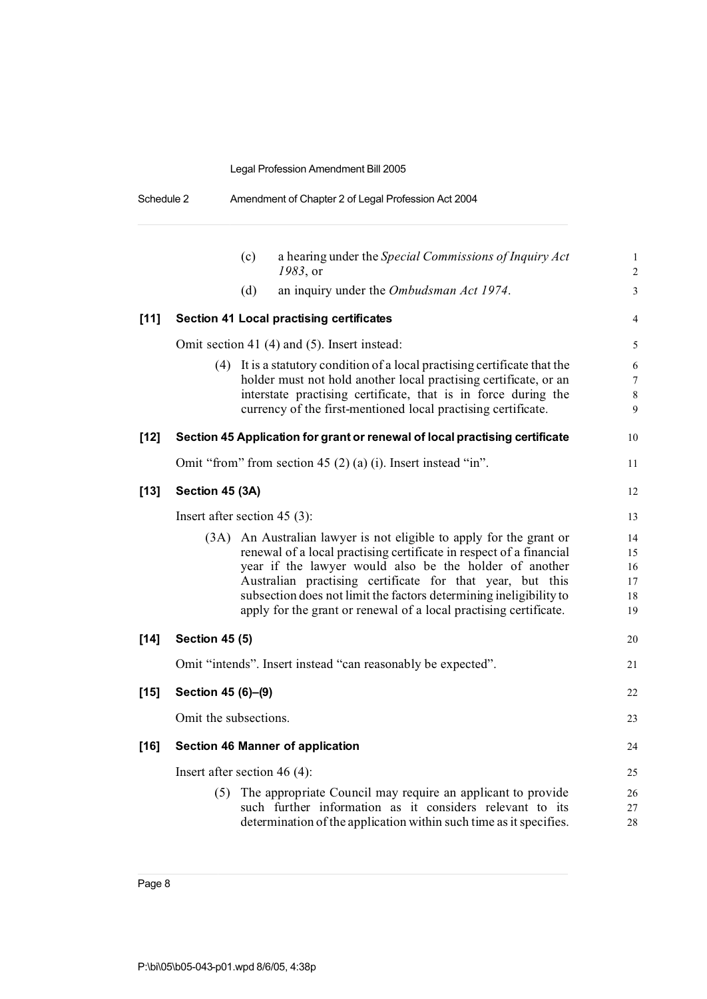| Schedule 2 | Amendment of Chapter 2 of Legal Profession Act 2004 |
|------------|-----------------------------------------------------|
|            |                                                     |

|        |                       | (c)<br>a hearing under the Special Commissions of Inquiry Act<br>1983, or                                                                                                                                        | $\mathbf{1}$<br>$\overline{2}$ |
|--------|-----------------------|------------------------------------------------------------------------------------------------------------------------------------------------------------------------------------------------------------------|--------------------------------|
|        |                       | (d)<br>an inquiry under the Ombudsman Act 1974.                                                                                                                                                                  | 3                              |
| $[11]$ |                       | <b>Section 41 Local practising certificates</b>                                                                                                                                                                  | 4                              |
|        |                       | Omit section 41 (4) and (5). Insert instead:                                                                                                                                                                     | 5                              |
|        |                       | (4) It is a statutory condition of a local practising certificate that the<br>holder must not hold another local practising certificate, or an<br>interstate practising certificate, that is in force during the | 6<br>7<br>$\,$ 8 $\,$          |
|        |                       | currency of the first-mentioned local practising certificate.                                                                                                                                                    | 9                              |
| $[12]$ |                       | Section 45 Application for grant or renewal of local practising certificate                                                                                                                                      | 10                             |
|        |                       | Omit "from" from section 45 (2) (a) (i). Insert instead "in".                                                                                                                                                    | 11                             |
| $[13]$ | Section 45 (3A)       |                                                                                                                                                                                                                  | 12                             |
|        |                       | Insert after section $45$ (3):                                                                                                                                                                                   | 13                             |
|        | (3A)                  | An Australian lawyer is not eligible to apply for the grant or                                                                                                                                                   | 14                             |
|        |                       | renewal of a local practising certificate in respect of a financial                                                                                                                                              | 15                             |
|        |                       | year if the lawyer would also be the holder of another                                                                                                                                                           | 16                             |
|        |                       | Australian practising certificate for that year, but this<br>subsection does not limit the factors determining ineligibility to                                                                                  | 17                             |
|        |                       | apply for the grant or renewal of a local practising certificate.                                                                                                                                                | 18<br>19                       |
|        |                       |                                                                                                                                                                                                                  |                                |
| $[14]$ | <b>Section 45 (5)</b> |                                                                                                                                                                                                                  | 20                             |
|        |                       | Omit "intends". Insert instead "can reasonably be expected".                                                                                                                                                     | 21                             |
| [15]   | Section 45 (6)-(9)    |                                                                                                                                                                                                                  | 22                             |
|        | Omit the subsections. |                                                                                                                                                                                                                  | 23                             |
| [16]   |                       | <b>Section 46 Manner of application</b>                                                                                                                                                                          | 24                             |
|        |                       | Insert after section 46 $(4)$ :                                                                                                                                                                                  | 25                             |
|        |                       | (5) The appropriate Council may require an applicant to provide<br>such further information as it considers relevant to its<br>determination of the application within such time as it specifies.                | 26<br>27<br>28                 |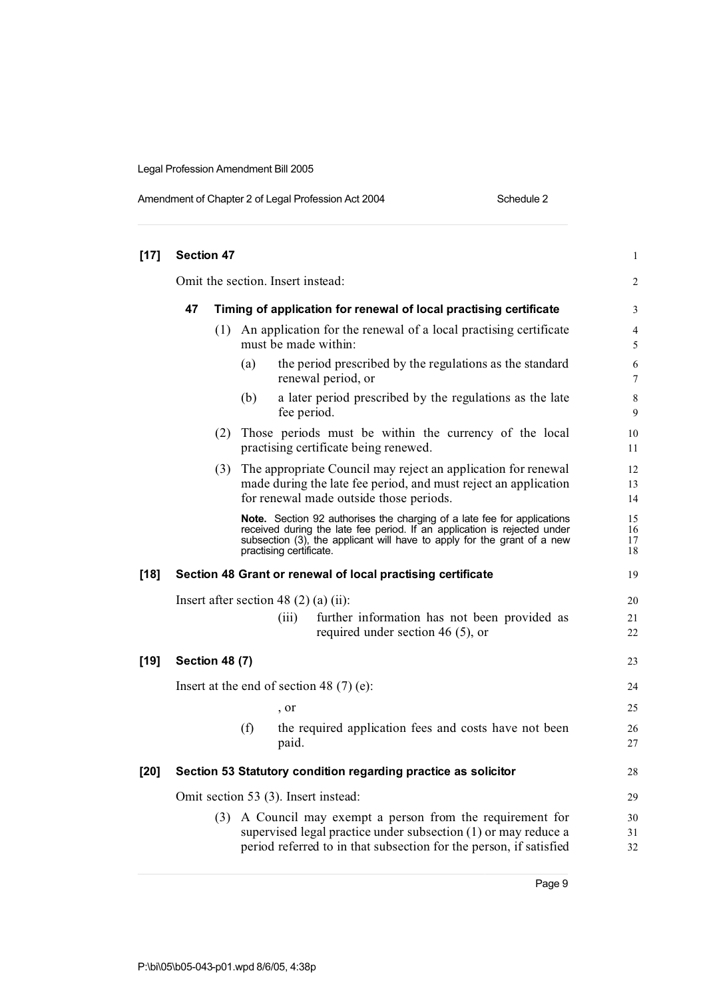| Amendment of Chapter 2 of Legal Profession Act 2004 |  |  |
|-----------------------------------------------------|--|--|
|                                                     |  |  |

Schedule 2

| $[17]$ | <b>Section 47</b>                                                       |     |                                                                                              |                                   |                                                                                                                                                                                                                                | $\mathbf{1}$         |  |
|--------|-------------------------------------------------------------------------|-----|----------------------------------------------------------------------------------------------|-----------------------------------|--------------------------------------------------------------------------------------------------------------------------------------------------------------------------------------------------------------------------------|----------------------|--|
|        |                                                                         |     |                                                                                              | Omit the section. Insert instead: |                                                                                                                                                                                                                                | $\overline{c}$       |  |
|        | 47<br>Timing of application for renewal of local practising certificate |     |                                                                                              |                                   |                                                                                                                                                                                                                                |                      |  |
|        |                                                                         |     | (1) An application for the renewal of a local practising certificate<br>must be made within: |                                   |                                                                                                                                                                                                                                |                      |  |
|        |                                                                         |     | (a)                                                                                          |                                   | the period prescribed by the regulations as the standard<br>renewal period, or                                                                                                                                                 | 6<br>7               |  |
|        |                                                                         |     | (b)                                                                                          | fee period.                       | a later period prescribed by the regulations as the late                                                                                                                                                                       | 8<br>9               |  |
|        |                                                                         | (2) |                                                                                              |                                   | Those periods must be within the currency of the local<br>practising certificate being renewed.                                                                                                                                | 10<br>11             |  |
|        |                                                                         |     |                                                                                              |                                   | (3) The appropriate Council may reject an application for renewal<br>made during the late fee period, and must reject an application<br>for renewal made outside those periods.                                                | 12<br>13<br>14       |  |
|        |                                                                         |     |                                                                                              | practising certificate.           | Note. Section 92 authorises the charging of a late fee for applications<br>received during the late fee period. If an application is rejected under<br>subsection (3), the applicant will have to apply for the grant of a new | 15<br>16<br>17<br>18 |  |
| $[18]$ |                                                                         |     |                                                                                              |                                   | Section 48 Grant or renewal of local practising certificate                                                                                                                                                                    | 19                   |  |
|        |                                                                         |     |                                                                                              |                                   | Insert after section 48 $(2)$ (a) (ii):                                                                                                                                                                                        | 20                   |  |
|        |                                                                         |     |                                                                                              | (iii)                             | further information has not been provided as<br>required under section 46 $(5)$ , or                                                                                                                                           | 21<br>22             |  |
| $[19]$ | <b>Section 48 (7)</b>                                                   |     |                                                                                              |                                   |                                                                                                                                                                                                                                | 23                   |  |
|        |                                                                         |     |                                                                                              |                                   | Insert at the end of section 48 $(7)$ (e):                                                                                                                                                                                     | 24                   |  |
|        |                                                                         |     |                                                                                              | , or                              |                                                                                                                                                                                                                                | 25                   |  |
|        |                                                                         |     | (f)                                                                                          | paid.                             | the required application fees and costs have not been                                                                                                                                                                          | 26<br>27             |  |
| $[20]$ |                                                                         |     |                                                                                              |                                   | Section 53 Statutory condition regarding practice as solicitor                                                                                                                                                                 | 28                   |  |
|        |                                                                         |     |                                                                                              |                                   | Omit section 53 (3). Insert instead:                                                                                                                                                                                           | 29                   |  |
|        |                                                                         | (3) |                                                                                              |                                   | A Council may exempt a person from the requirement for<br>supervised legal practice under subsection (1) or may reduce a<br>period referred to in that subsection for the person, if satisfied                                 | 30<br>31<br>32       |  |
|        |                                                                         |     |                                                                                              |                                   |                                                                                                                                                                                                                                |                      |  |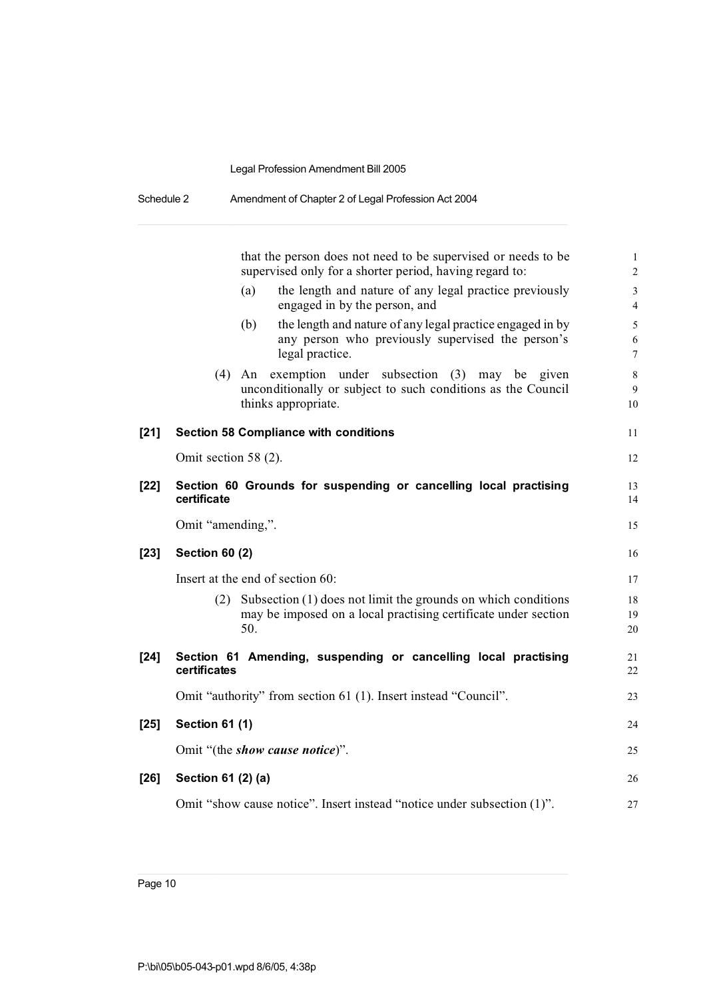|        | that the person does not need to be supervised or needs to be<br>supervised only for a shorter period, having regard to:                           | $\mathbf 1$<br>$\overline{c}$                       |
|--------|----------------------------------------------------------------------------------------------------------------------------------------------------|-----------------------------------------------------|
|        | the length and nature of any legal practice previously<br>(a)<br>engaged in by the person, and                                                     | $\overline{\mathbf{3}}$<br>$\overline{\mathcal{L}}$ |
|        | the length and nature of any legal practice engaged in by<br>(b)<br>any person who previously supervised the person's<br>legal practice.           | 5<br>6<br>7                                         |
|        | (4)<br>exemption under subsection (3)<br>An<br>may be given<br>unconditionally or subject to such conditions as the Council<br>thinks appropriate. | $\,$ 8 $\,$<br>9<br>10                              |
| $[21]$ | <b>Section 58 Compliance with conditions</b>                                                                                                       | 11                                                  |
|        | Omit section 58 (2).                                                                                                                               | 12                                                  |
| [22]   | Section 60 Grounds for suspending or cancelling local practising<br>certificate                                                                    | 13<br>14                                            |
|        | Omit "amending,".                                                                                                                                  | 15                                                  |
| $[23]$ | <b>Section 60 (2)</b>                                                                                                                              | 16                                                  |
|        | Insert at the end of section 60:                                                                                                                   | 17                                                  |
|        | Subsection (1) does not limit the grounds on which conditions<br>(2)<br>may be imposed on a local practising certificate under section<br>50.      | 18<br>19<br>20                                      |
| $[24]$ | Section 61 Amending, suspending or cancelling local practising<br>certificates                                                                     | 21<br>22                                            |
|        | Omit "authority" from section 61 (1). Insert instead "Council".                                                                                    | 23                                                  |
| $[25]$ | <b>Section 61 (1)</b>                                                                                                                              | 24                                                  |
|        | Omit "(the show cause notice)".                                                                                                                    | 25                                                  |
| [26]   | Section 61 (2) (a)                                                                                                                                 | 26                                                  |
|        | Omit "show cause notice". Insert instead "notice under subsection (1)".                                                                            | 27                                                  |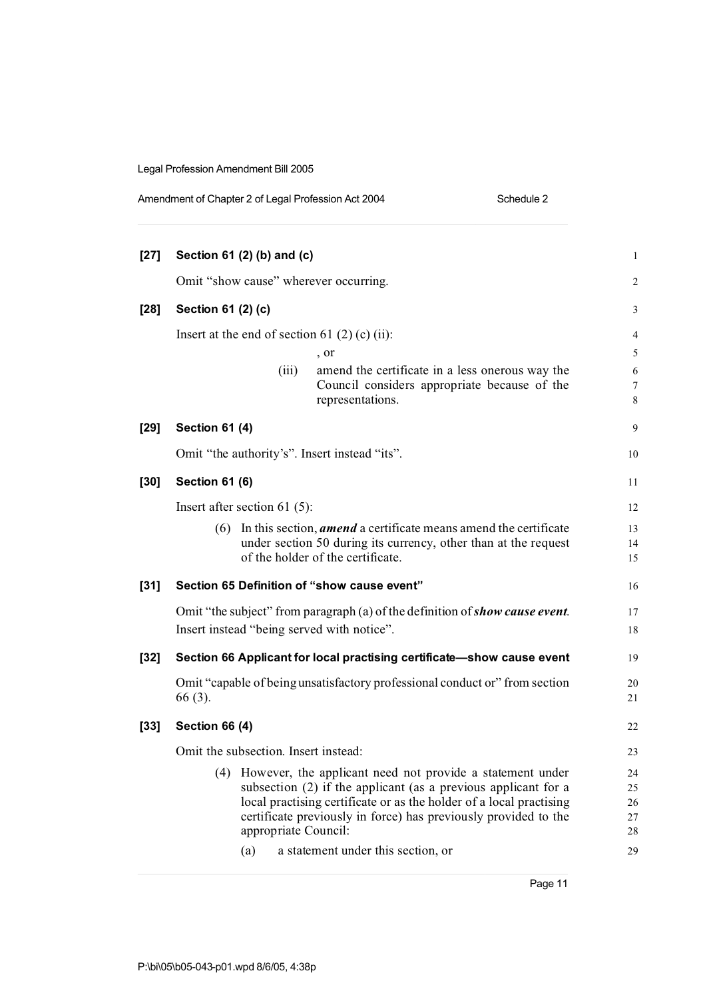|        | Amendment of Chapter 2 of Legal Profession Act 2004                                                                                                                                                                                                                                                                                       |                                                                                                                     | Schedule 2     |  |  |
|--------|-------------------------------------------------------------------------------------------------------------------------------------------------------------------------------------------------------------------------------------------------------------------------------------------------------------------------------------------|---------------------------------------------------------------------------------------------------------------------|----------------|--|--|
|        |                                                                                                                                                                                                                                                                                                                                           |                                                                                                                     |                |  |  |
| $[27]$ | Section 61 (2) (b) and (c)                                                                                                                                                                                                                                                                                                                |                                                                                                                     | 1              |  |  |
|        | Omit "show cause" wherever occurring.                                                                                                                                                                                                                                                                                                     |                                                                                                                     |                |  |  |
| $[28]$ | Section 61 (2) (c)                                                                                                                                                                                                                                                                                                                        |                                                                                                                     | 3              |  |  |
|        | Insert at the end of section 61 $(2)$ (c) (ii):                                                                                                                                                                                                                                                                                           |                                                                                                                     | $\overline{4}$ |  |  |
|        |                                                                                                                                                                                                                                                                                                                                           | , or                                                                                                                | 5              |  |  |
|        | (iii)                                                                                                                                                                                                                                                                                                                                     | amend the certificate in a less onerous way the<br>Council considers appropriate because of the<br>representations. | 6<br>7<br>8    |  |  |
| $[29]$ | <b>Section 61 (4)</b>                                                                                                                                                                                                                                                                                                                     |                                                                                                                     | 9              |  |  |
|        | Omit "the authority's". Insert instead "its".                                                                                                                                                                                                                                                                                             |                                                                                                                     | 10             |  |  |
| [30]   | <b>Section 61 (6)</b>                                                                                                                                                                                                                                                                                                                     |                                                                                                                     | 11             |  |  |
|        | Insert after section 61 $(5)$ :                                                                                                                                                                                                                                                                                                           |                                                                                                                     | 12             |  |  |
|        | In this section, <i>amend</i> a certificate means amend the certificate<br>(6)<br>under section 50 during its currency, other than at the request<br>of the holder of the certificate.                                                                                                                                                    |                                                                                                                     |                |  |  |
| $[31]$ | Section 65 Definition of "show cause event"                                                                                                                                                                                                                                                                                               |                                                                                                                     | 16             |  |  |
|        | Insert instead "being served with notice".                                                                                                                                                                                                                                                                                                | Omit "the subject" from paragraph (a) of the definition of show cause event.                                        | 17<br>18       |  |  |
| $[32]$ |                                                                                                                                                                                                                                                                                                                                           | Section 66 Applicant for local practising certificate-show cause event                                              | 19             |  |  |
|        | 66 (3).                                                                                                                                                                                                                                                                                                                                   | Omit "capable of being unsatisfactory professional conduct or" from section                                         | 20<br>21       |  |  |
| [33]   | <b>Section 66 (4)</b>                                                                                                                                                                                                                                                                                                                     |                                                                                                                     | 22             |  |  |
|        | Omit the subsection. Insert instead:                                                                                                                                                                                                                                                                                                      |                                                                                                                     | 23             |  |  |
|        | (4) However, the applicant need not provide a statement under<br>subsection $(2)$ if the applicant (as a previous applicant for a<br>local practising certificate or as the holder of a local practising<br>certificate previously in force) has previously provided to the<br>appropriate Council:<br>a statement under this section, or |                                                                                                                     |                |  |  |
|        | (a)                                                                                                                                                                                                                                                                                                                                       |                                                                                                                     | 29             |  |  |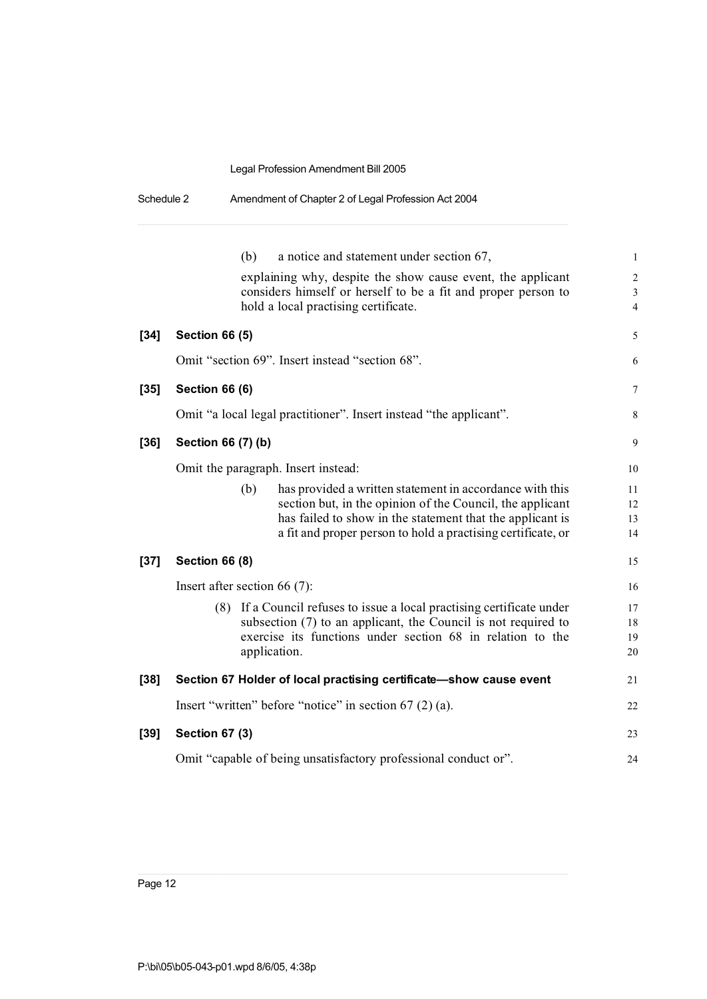| Schedule 2 |                                     |     | Amendment of Chapter 2 of Legal Profession Act 2004                                                                                                                                                                                                |                                     |
|------------|-------------------------------------|-----|----------------------------------------------------------------------------------------------------------------------------------------------------------------------------------------------------------------------------------------------------|-------------------------------------|
|            |                                     | (b) | a notice and statement under section 67,<br>explaining why, despite the show cause event, the applicant<br>considers himself or herself to be a fit and proper person to                                                                           | $\mathbf{1}$<br>$\overline{c}$<br>3 |
|            |                                     |     | hold a local practising certificate.                                                                                                                                                                                                               | $\overline{4}$                      |
| $[34]$     | <b>Section 66 (5)</b>               |     |                                                                                                                                                                                                                                                    | 5                                   |
|            |                                     |     | Omit "section 69". Insert instead "section 68".                                                                                                                                                                                                    | 6                                   |
| $[35]$     | <b>Section 66 (6)</b>               |     |                                                                                                                                                                                                                                                    | 7                                   |
|            |                                     |     | Omit "a local legal practitioner". Insert instead "the applicant".                                                                                                                                                                                 | 8                                   |
| $[36]$     | Section 66 (7) (b)                  |     |                                                                                                                                                                                                                                                    |                                     |
|            | Omit the paragraph. Insert instead: |     |                                                                                                                                                                                                                                                    |                                     |
|            |                                     | (b) | has provided a written statement in accordance with this<br>section but, in the opinion of the Council, the applicant<br>has failed to show in the statement that the applicant is<br>a fit and proper person to hold a practising certificate, or | 11<br>12<br>13<br>14                |
| $[37]$     | <b>Section 66 (8)</b>               |     |                                                                                                                                                                                                                                                    | 15                                  |
|            | Insert after section 66 $(7)$ :     |     |                                                                                                                                                                                                                                                    | 16                                  |
|            | (8)                                 |     | If a Council refuses to issue a local practising certificate under<br>subsection (7) to an applicant, the Council is not required to<br>exercise its functions under section 68 in relation to the<br>application.                                 | 17<br>18<br>19<br>20                |
| $[38]$     |                                     |     | Section 67 Holder of local practising certificate-show cause event                                                                                                                                                                                 | 21                                  |
|            |                                     |     | Insert "written" before "notice" in section $67(2)(a)$ .                                                                                                                                                                                           | 22                                  |
| $[39]$     | <b>Section 67 (3)</b>               |     |                                                                                                                                                                                                                                                    | 23                                  |
|            |                                     |     | Omit "capable of being unsatisfactory professional conduct or".                                                                                                                                                                                    | 24                                  |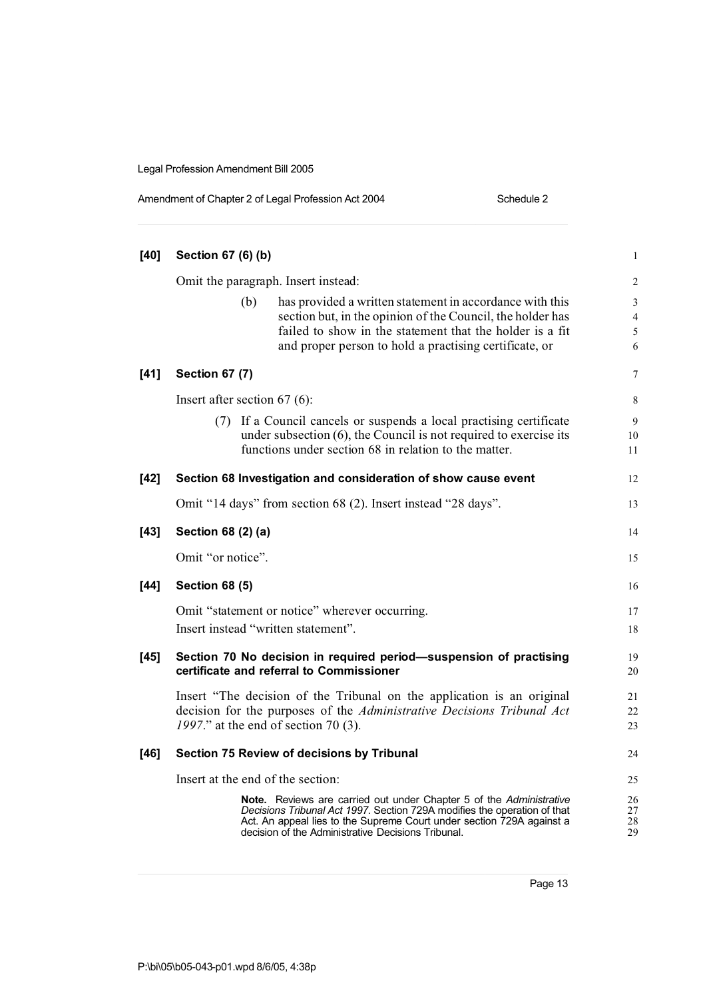| Amendment of Chapter 2 of Legal Profession Act 2004 | Schedule 2 |
|-----------------------------------------------------|------------|
|-----------------------------------------------------|------------|

| $[40]$ | Section 67 (6) (b)                |                                                                                                                                                                                                                                                                                | $\mathbf{1}$                  |
|--------|-----------------------------------|--------------------------------------------------------------------------------------------------------------------------------------------------------------------------------------------------------------------------------------------------------------------------------|-------------------------------|
|        |                                   | Omit the paragraph. Insert instead:                                                                                                                                                                                                                                            | $\boldsymbol{2}$              |
|        | (b)                               | has provided a written statement in accordance with this<br>section but, in the opinion of the Council, the holder has<br>failed to show in the statement that the holder is a fit<br>and proper person to hold a practising certificate, or                                   | 3<br>$\overline{4}$<br>5<br>6 |
| $[41]$ | <b>Section 67 (7)</b>             |                                                                                                                                                                                                                                                                                | 7                             |
|        | Insert after section $67(6)$ :    |                                                                                                                                                                                                                                                                                | 8                             |
|        | (7)                               | If a Council cancels or suspends a local practising certificate<br>under subsection $(6)$ , the Council is not required to exercise its<br>functions under section 68 in relation to the matter.                                                                               | 9<br>10<br>11                 |
| $[42]$ |                                   | Section 68 Investigation and consideration of show cause event                                                                                                                                                                                                                 | 12                            |
|        |                                   | Omit "14 days" from section 68 (2). Insert instead "28 days".                                                                                                                                                                                                                  | 13                            |
| $[43]$ | Section 68 (2) (a)                |                                                                                                                                                                                                                                                                                | 14                            |
|        | Omit "or notice".                 |                                                                                                                                                                                                                                                                                | 15                            |
| $[44]$ | <b>Section 68 (5)</b>             |                                                                                                                                                                                                                                                                                | 16                            |
|        |                                   | Omit "statement or notice" wherever occurring.<br>Insert instead "written statement".                                                                                                                                                                                          | 17<br>18                      |
| $[45]$ |                                   | Section 70 No decision in required period-suspension of practising<br>certificate and referral to Commissioner                                                                                                                                                                 | 19<br>20                      |
|        |                                   | Insert "The decision of the Tribunal on the application is an original<br>decision for the purposes of the Administrative Decisions Tribunal Act<br>1997." at the end of section 70 (3).                                                                                       | 21<br>22<br>23                |
| $[46]$ |                                   | Section 75 Review of decisions by Tribunal                                                                                                                                                                                                                                     | 24                            |
|        | Insert at the end of the section: |                                                                                                                                                                                                                                                                                | 25                            |
|        |                                   | Note. Reviews are carried out under Chapter 5 of the Administrative<br>Decisions Tribunal Act 1997. Section 729A modifies the operation of that<br>Act. An appeal lies to the Supreme Court under section 729A against a<br>decision of the Administrative Decisions Tribunal. | 26<br>27<br>28<br>29          |
|        |                                   |                                                                                                                                                                                                                                                                                |                               |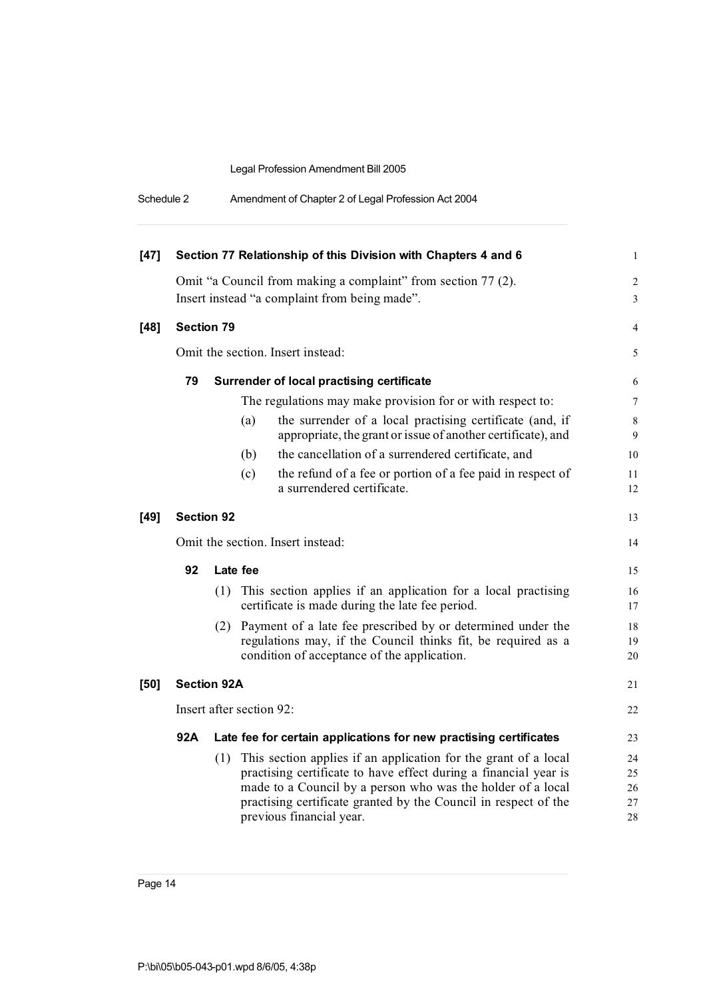| Schedule 2 | Amendment of Chapter 2 of Legal Profession Act 2004 |  |
|------------|-----------------------------------------------------|--|
|------------|-----------------------------------------------------|--|

| $[47]$ | Section 77 Relationship of this Division with Chapters 4 and 6 |          |                          |                                                                                                                                                                                                                                                                                                   |                            |  |
|--------|----------------------------------------------------------------|----------|--------------------------|---------------------------------------------------------------------------------------------------------------------------------------------------------------------------------------------------------------------------------------------------------------------------------------------------|----------------------------|--|
|        |                                                                |          |                          | Omit "a Council from making a complaint" from section 77 (2).                                                                                                                                                                                                                                     | $\overline{c}$<br>3        |  |
|        | Insert instead "a complaint from being made".                  |          |                          |                                                                                                                                                                                                                                                                                                   |                            |  |
| [48]   | <b>Section 79</b>                                              |          |                          |                                                                                                                                                                                                                                                                                                   | 4                          |  |
|        | Omit the section. Insert instead:                              |          |                          | 5                                                                                                                                                                                                                                                                                                 |                            |  |
|        | 79                                                             |          |                          | Surrender of local practising certificate                                                                                                                                                                                                                                                         | 6                          |  |
|        |                                                                |          |                          | The regulations may make provision for or with respect to:                                                                                                                                                                                                                                        | 7                          |  |
|        |                                                                |          | (a)                      | the surrender of a local practising certificate (and, if<br>appropriate, the grant or issue of another certificate), and                                                                                                                                                                          | $\,$ 8 $\,$<br>9           |  |
|        |                                                                |          | (b)                      | the cancellation of a surrendered certificate, and                                                                                                                                                                                                                                                | 10                         |  |
|        |                                                                |          | (c)                      | the refund of a fee or portion of a fee paid in respect of<br>a surrendered certificate.                                                                                                                                                                                                          | 11<br>12                   |  |
| $[49]$ | <b>Section 92</b>                                              |          |                          |                                                                                                                                                                                                                                                                                                   | 13                         |  |
|        | Omit the section. Insert instead:                              |          |                          |                                                                                                                                                                                                                                                                                                   | 14                         |  |
|        | 92                                                             | Late fee |                          |                                                                                                                                                                                                                                                                                                   | 15                         |  |
|        |                                                                | (1)      |                          | This section applies if an application for a local practising<br>certificate is made during the late fee period.                                                                                                                                                                                  | 16<br>17                   |  |
|        |                                                                | (2)      |                          | Payment of a late fee prescribed by or determined under the<br>regulations may, if the Council thinks fit, be required as a<br>condition of acceptance of the application.                                                                                                                        | 18<br>19<br>20             |  |
| $[50]$ | <b>Section 92A</b>                                             |          |                          |                                                                                                                                                                                                                                                                                                   | 21                         |  |
|        |                                                                |          | Insert after section 92: |                                                                                                                                                                                                                                                                                                   | 22                         |  |
|        | 92A                                                            |          |                          | Late fee for certain applications for new practising certificates                                                                                                                                                                                                                                 | 23                         |  |
|        |                                                                | (1)      |                          | This section applies if an application for the grant of a local<br>practising certificate to have effect during a financial year is<br>made to a Council by a person who was the holder of a local<br>practising certificate granted by the Council in respect of the<br>previous financial year. | 24<br>25<br>26<br>27<br>28 |  |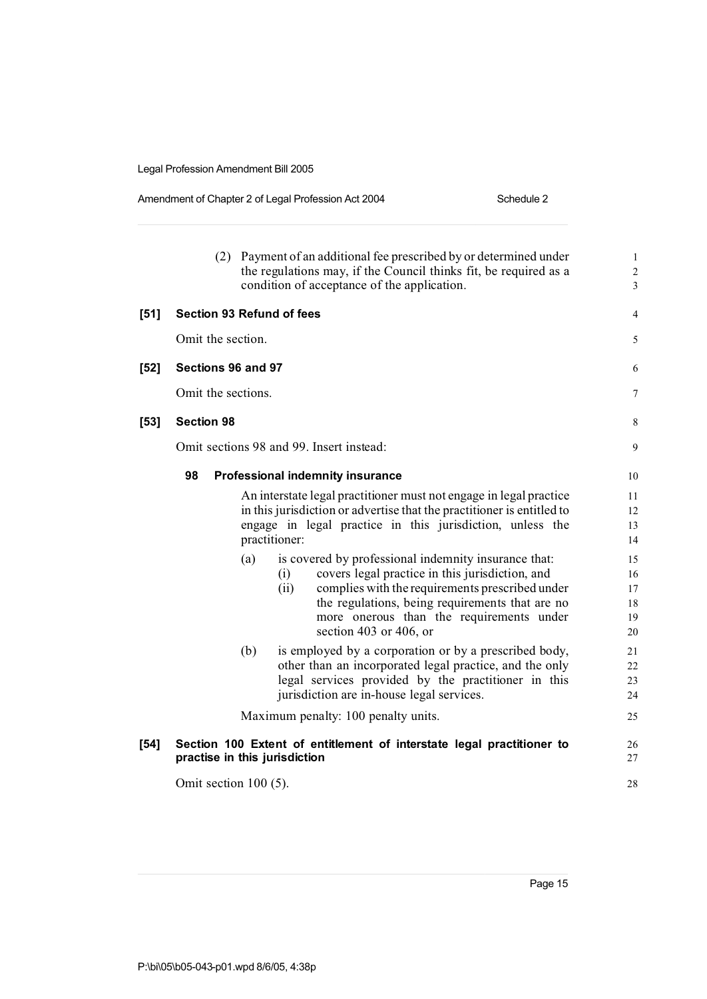#### Amendment of Chapter 2 of Legal Profession Act 2004 Schedule 2

|        | (2)                              |     | Payment of an additional fee prescribed by or determined under<br>the regulations may, if the Council thinks fit, be required as a<br>condition of acceptance of the application. | $\mathbf{1}$<br>$\sqrt{2}$<br>3 |  |
|--------|----------------------------------|-----|-----------------------------------------------------------------------------------------------------------------------------------------------------------------------------------|---------------------------------|--|
| [51]   | <b>Section 93 Refund of fees</b> |     |                                                                                                                                                                                   | 4                               |  |
|        | Omit the section.                |     |                                                                                                                                                                                   | 5                               |  |
| $[52]$ | Sections 96 and 97               |     |                                                                                                                                                                                   | 6                               |  |
|        | Omit the sections.               |     |                                                                                                                                                                                   | 7                               |  |
| $[53]$ | <b>Section 98</b>                |     |                                                                                                                                                                                   | $\,$ 8 $\,$                     |  |
|        |                                  |     | Omit sections 98 and 99. Insert instead:                                                                                                                                          | 9                               |  |
|        | 98                               |     | <b>Professional indemnity insurance</b>                                                                                                                                           | 10                              |  |
|        |                                  |     | An interstate legal practitioner must not engage in legal practice                                                                                                                | 11                              |  |
|        |                                  |     | in this jurisdiction or advertise that the practitioner is entitled to                                                                                                            | 12                              |  |
|        |                                  |     | engage in legal practice in this jurisdiction, unless the                                                                                                                         | 13                              |  |
|        |                                  |     | practitioner:                                                                                                                                                                     | 14                              |  |
|        |                                  | (a) | is covered by professional indemnity insurance that:                                                                                                                              | 15                              |  |
|        |                                  |     | covers legal practice in this jurisdiction, and<br>(i)                                                                                                                            | 16                              |  |
|        |                                  |     | complies with the requirements prescribed under<br>(ii)                                                                                                                           | 17                              |  |
|        |                                  |     | the regulations, being requirements that are no                                                                                                                                   | 18                              |  |
|        |                                  |     | more onerous than the requirements under                                                                                                                                          | 19                              |  |
|        |                                  |     | section 403 or 406, or                                                                                                                                                            | 20                              |  |
|        |                                  | (b) | is employed by a corporation or by a prescribed body,                                                                                                                             | 21                              |  |
|        |                                  |     | other than an incorporated legal practice, and the only                                                                                                                           | 22                              |  |
|        |                                  |     | legal services provided by the practitioner in this                                                                                                                               | 23                              |  |
|        |                                  |     | jurisdiction are in-house legal services.                                                                                                                                         | 24                              |  |
|        |                                  |     | Maximum penalty: 100 penalty units.                                                                                                                                               | 25                              |  |
| [54]   |                                  |     | Section 100 Extent of entitlement of interstate legal practitioner to                                                                                                             | 26                              |  |
|        | practise in this jurisdiction    |     |                                                                                                                                                                                   | 27                              |  |
|        | Omit section $100(5)$ .          |     |                                                                                                                                                                                   |                                 |  |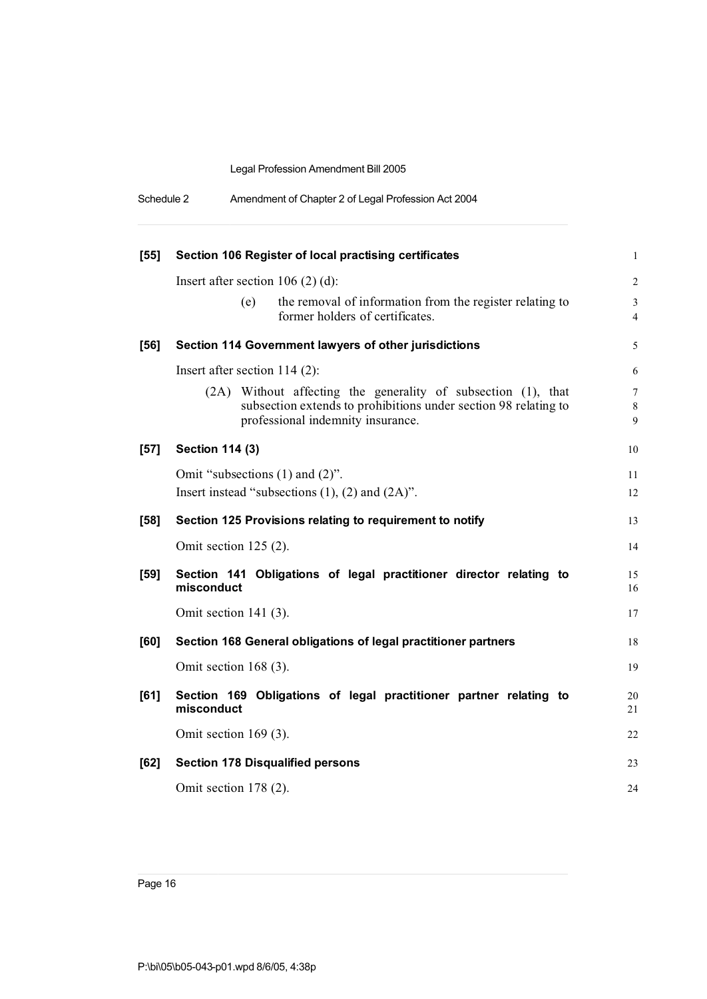| Schedule 2 | Amendment of Chapter 2 of Legal Profession Act 2004 |  |
|------------|-----------------------------------------------------|--|
|------------|-----------------------------------------------------|--|

| $[55]$ | Section 106 Register of local practising certificates                                                                                                                 | $\mathbf{1}$                                      |
|--------|-----------------------------------------------------------------------------------------------------------------------------------------------------------------------|---------------------------------------------------|
|        | Insert after section $106(2)(d)$ :                                                                                                                                    | $\overline{2}$                                    |
|        | the removal of information from the register relating to<br>(e)<br>former holders of certificates.                                                                    | $\mathfrak{Z}$<br>$\overline{4}$                  |
| $[56]$ | Section 114 Government lawyers of other jurisdictions                                                                                                                 | 5                                                 |
|        | Insert after section $114(2)$ :                                                                                                                                       | 6                                                 |
|        | (2A) Without affecting the generality of subsection (1), that<br>subsection extends to prohibitions under section 98 relating to<br>professional indemnity insurance. | $\boldsymbol{7}$<br>$\,$ 8 $\,$<br>$\overline{9}$ |
| $[57]$ | <b>Section 114 (3)</b>                                                                                                                                                | 10                                                |
|        | Omit "subsections $(1)$ and $(2)$ ".                                                                                                                                  | 11                                                |
|        | Insert instead "subsections $(1)$ , $(2)$ and $(2A)$ ".                                                                                                               | 12                                                |
| $[58]$ | Section 125 Provisions relating to requirement to notify                                                                                                              | 13                                                |
|        | Omit section 125 (2).                                                                                                                                                 | 14                                                |
| $[59]$ | Section 141 Obligations of legal practitioner director relating to<br>misconduct                                                                                      | 15<br>16                                          |
|        | Omit section $141$ (3).                                                                                                                                               | 17                                                |
| [60]   | Section 168 General obligations of legal practitioner partners                                                                                                        | 18                                                |
|        | Omit section $168(3)$ .                                                                                                                                               | 19                                                |
| [61]   | Section 169 Obligations of legal practitioner partner relating to<br>misconduct                                                                                       | 20<br>21                                          |
|        | Omit section $169(3)$ .                                                                                                                                               | 22                                                |
| [62]   | <b>Section 178 Disqualified persons</b>                                                                                                                               | 23                                                |
|        | Omit section $178(2)$ .                                                                                                                                               | 24                                                |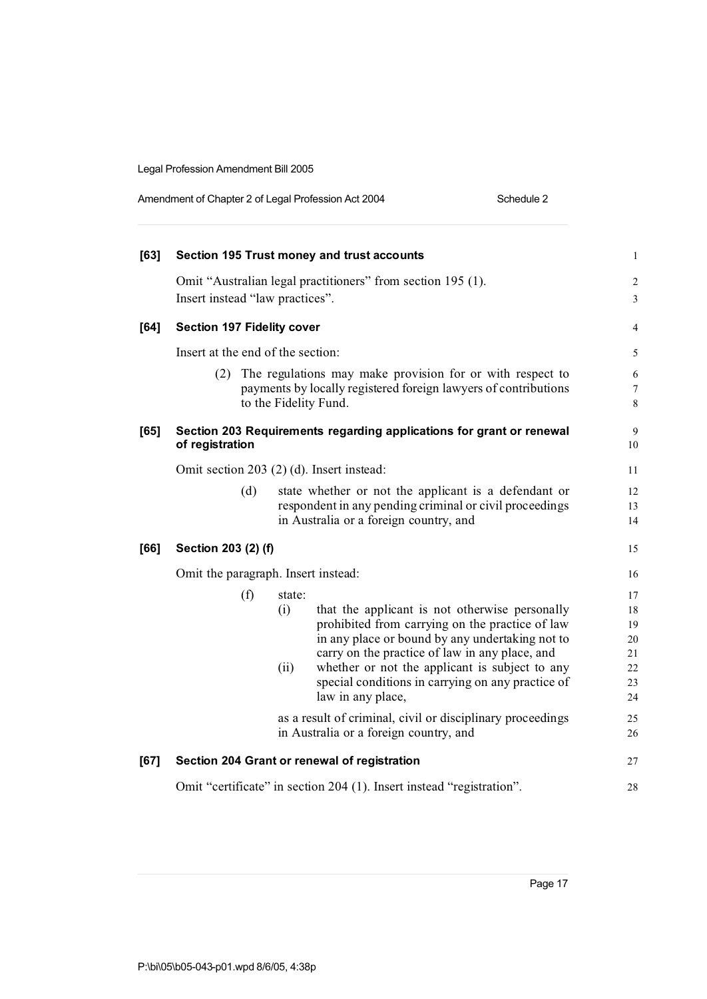| [63] |                                     |     |        | Section 195 Trust money and trust accounts                                                                                                                                 | $\mathbf{1}$         |
|------|-------------------------------------|-----|--------|----------------------------------------------------------------------------------------------------------------------------------------------------------------------------|----------------------|
|      |                                     |     |        | Omit "Australian legal practitioners" from section 195 (1).                                                                                                                | 2                    |
|      | Insert instead "law practices".     |     |        |                                                                                                                                                                            | 3                    |
| [64] | <b>Section 197 Fidelity cover</b>   |     |        |                                                                                                                                                                            | 4                    |
|      | Insert at the end of the section:   |     |        |                                                                                                                                                                            | 5                    |
|      |                                     |     |        | (2) The regulations may make provision for or with respect to<br>payments by locally registered foreign lawyers of contributions<br>to the Fidelity Fund.                  | $\sqrt{6}$<br>7<br>8 |
| [65] | of registration                     |     |        | Section 203 Requirements regarding applications for grant or renewal                                                                                                       | 9<br>10              |
|      |                                     |     |        | Omit section 203 (2) (d). Insert instead:                                                                                                                                  | 11                   |
|      |                                     | (d) |        | state whether or not the applicant is a defendant or<br>respondent in any pending criminal or civil proceedings<br>in Australia or a foreign country, and                  | 12<br>13<br>14       |
| [66] | Section 203 (2) (f)                 |     |        |                                                                                                                                                                            | 15                   |
|      | Omit the paragraph. Insert instead: |     |        |                                                                                                                                                                            | 16                   |
|      |                                     | (f) | state: |                                                                                                                                                                            | 17                   |
|      |                                     |     | (i)    | that the applicant is not otherwise personally<br>prohibited from carrying on the practice of law<br>in any place or bound by any undertaking not to                       | 18<br>19<br>20       |
|      |                                     |     | (ii)   | carry on the practice of law in any place, and<br>whether or not the applicant is subject to any<br>special conditions in carrying on any practice of<br>law in any place, | 21<br>22<br>23<br>24 |
|      |                                     |     |        | as a result of criminal, civil or disciplinary proceedings<br>in Australia or a foreign country, and                                                                       | 25<br>26             |
| [67] |                                     |     |        | Section 204 Grant or renewal of registration                                                                                                                               | 27                   |
|      |                                     |     |        | Omit "certificate" in section 204 (1). Insert instead "registration".                                                                                                      | 28                   |

Amendment of Chapter 2 of Legal Profession Act 2004 Schedule 2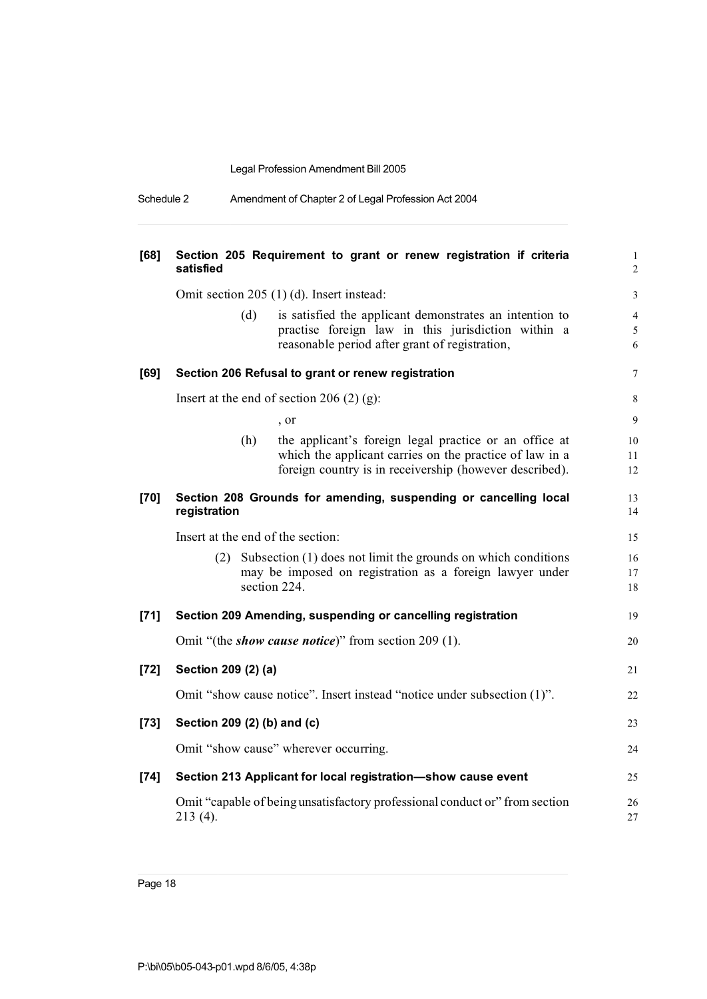| Schedule 2 | Amendment of Chapter 2 of Legal Profession Act 2004 |  |
|------------|-----------------------------------------------------|--|
|            |                                                     |  |

| [68]   | satisfied                         | Section 205 Requirement to grant or renew registration if criteria                                                                                                           | $\mathbf{1}$<br>$\boldsymbol{2}$  |
|--------|-----------------------------------|------------------------------------------------------------------------------------------------------------------------------------------------------------------------------|-----------------------------------|
|        |                                   | Omit section 205 (1) (d). Insert instead:                                                                                                                                    | $\mathfrak{Z}$                    |
|        | (d)                               | is satisfied the applicant demonstrates an intention to<br>practise foreign law in this jurisdiction within a<br>reasonable period after grant of registration,              | $\overline{4}$<br>$\sqrt{5}$<br>6 |
| [69]   |                                   | Section 206 Refusal to grant or renew registration                                                                                                                           | 7                                 |
|        |                                   | Insert at the end of section 206 $(2)$ (g):                                                                                                                                  | $\,$ 8 $\,$                       |
|        |                                   | , or                                                                                                                                                                         | 9                                 |
|        | (h)                               | the applicant's foreign legal practice or an office at<br>which the applicant carries on the practice of law in a<br>foreign country is in receivership (however described). | 10<br>11<br>12                    |
| $[70]$ | registration                      | Section 208 Grounds for amending, suspending or cancelling local                                                                                                             | 13<br>14                          |
|        | Insert at the end of the section: |                                                                                                                                                                              | 15                                |
|        |                                   | (2) Subsection (1) does not limit the grounds on which conditions<br>may be imposed on registration as a foreign lawyer under<br>section 224.                                | 16<br>17<br>18                    |
| [71]   |                                   | Section 209 Amending, suspending or cancelling registration                                                                                                                  | 19                                |
|        |                                   | Omit "(the <i>show cause notice</i> )" from section 209 (1).                                                                                                                 | 20                                |
| $[72]$ | Section 209 (2) (a)               |                                                                                                                                                                              | 21                                |
|        |                                   | Omit "show cause notice". Insert instead "notice under subsection (1)".                                                                                                      | 22                                |
| $[73]$ | Section 209 (2) (b) and (c)       |                                                                                                                                                                              | 23                                |
|        |                                   | Omit "show cause" wherever occurring.                                                                                                                                        | 24                                |
| $[74]$ |                                   | Section 213 Applicant for local registration-show cause event                                                                                                                | 25                                |
|        | 213 (4).                          | Omit "capable of being unsatisfactory professional conduct or" from section                                                                                                  | 26<br>27                          |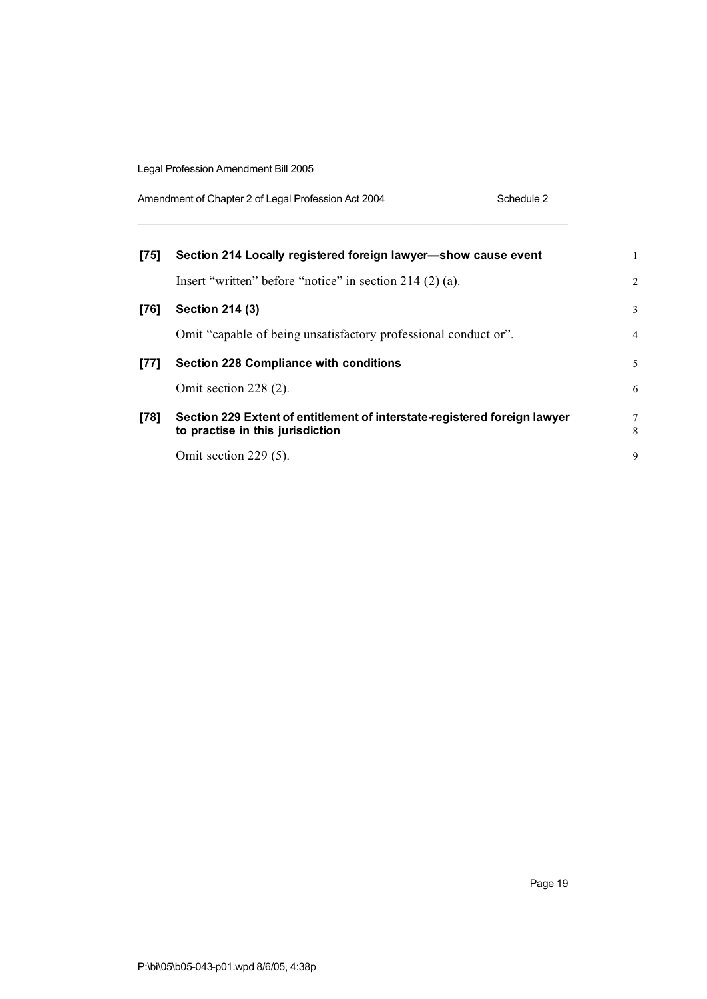| Amendment of Chapter 2 of Legal Profession Act 2004 | Schedule 2 |
|-----------------------------------------------------|------------|
|-----------------------------------------------------|------------|

| $[75]$ | Section 214 Locally registered foreign lawyer-show cause event                                                |                |
|--------|---------------------------------------------------------------------------------------------------------------|----------------|
|        | Insert "written" before "notice" in section $214(2)(a)$ .                                                     | 2              |
| [76]   | Section 214 (3)                                                                                               | 3              |
|        | Omit "capable of being unsatisfactory professional conduct or".                                               | $\overline{4}$ |
| [77]   | <b>Section 228 Compliance with conditions</b>                                                                 | 5              |
|        | Omit section 228 (2).                                                                                         | 6              |
| $[78]$ | Section 229 Extent of entitlement of interstate-registered foreign lawyer<br>to practise in this jurisdiction | 7<br>8         |
|        | Omit section 229 (5).                                                                                         | 9              |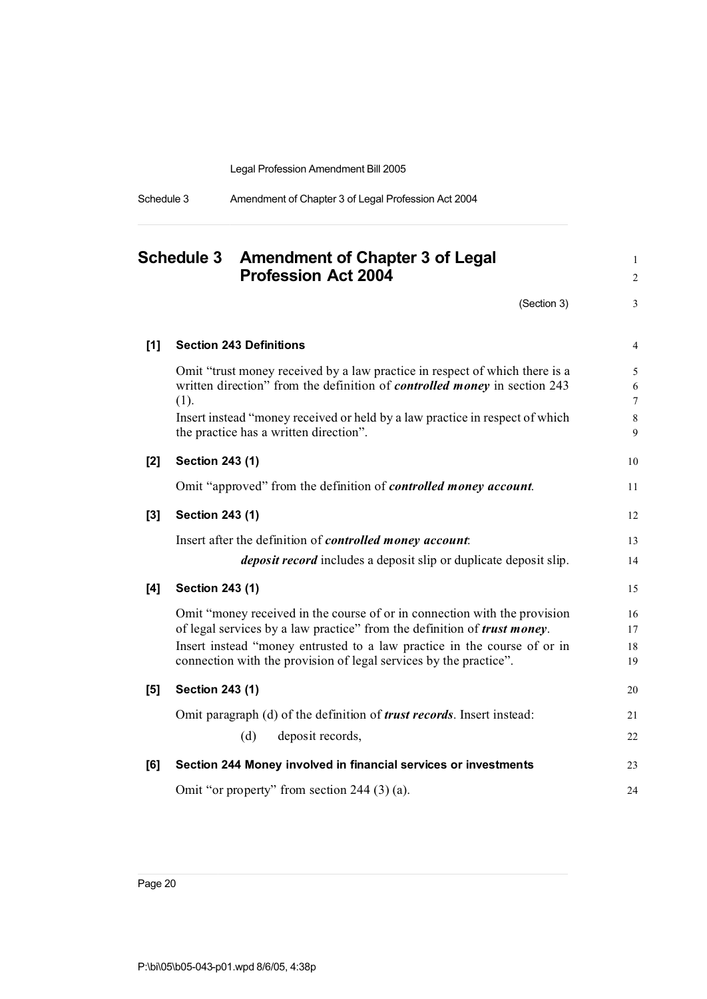| Schedule 3 | Amendment of Chapter 3 of Legal Profession Act 2004 |  |
|------------|-----------------------------------------------------|--|
|            |                                                     |  |

|       | <b>Schedule 3</b><br><b>Amendment of Chapter 3 of Legal</b><br><b>Profession Act 2004</b>                                                                                                                                                                                                                      |                                  |  |
|-------|----------------------------------------------------------------------------------------------------------------------------------------------------------------------------------------------------------------------------------------------------------------------------------------------------------------|----------------------------------|--|
|       | (Section 3)                                                                                                                                                                                                                                                                                                    | 3                                |  |
| $[1]$ | <b>Section 243 Definitions</b>                                                                                                                                                                                                                                                                                 | 4                                |  |
|       | Omit "trust money received by a law practice in respect of which there is a<br>written direction" from the definition of <i>controlled money</i> in section 243<br>(1).<br>Insert instead "money received or held by a law practice in respect of which<br>the practice has a written direction".              | 5<br>6<br>$\tau$<br>$\,8\,$<br>9 |  |
| [2]   | <b>Section 243 (1)</b>                                                                                                                                                                                                                                                                                         | 10                               |  |
|       | Omit "approved" from the definition of <i>controlled money account</i> .                                                                                                                                                                                                                                       | 11                               |  |
| $[3]$ | <b>Section 243 (1)</b>                                                                                                                                                                                                                                                                                         | 12                               |  |
|       | Insert after the definition of <i>controlled money account</i> :<br><i>deposit record</i> includes a deposit slip or duplicate deposit slip.                                                                                                                                                                   | 13<br>14                         |  |
| [4]   | <b>Section 243 (1)</b>                                                                                                                                                                                                                                                                                         | 15                               |  |
|       | Omit "money received in the course of or in connection with the provision<br>of legal services by a law practice" from the definition of <i>trust money</i> .<br>Insert instead "money entrusted to a law practice in the course of or in<br>connection with the provision of legal services by the practice". | 16<br>17<br>18<br>19             |  |
| [5]   | Section 243 (1)                                                                                                                                                                                                                                                                                                | 20                               |  |
|       | Omit paragraph (d) of the definition of <i>trust records</i> . Insert instead:<br>(d)<br>deposit records,                                                                                                                                                                                                      | 21<br>22                         |  |
| [6]   | Section 244 Money involved in financial services or investments                                                                                                                                                                                                                                                | 23                               |  |
|       | Omit "or property" from section 244 (3) (a).                                                                                                                                                                                                                                                                   | 24                               |  |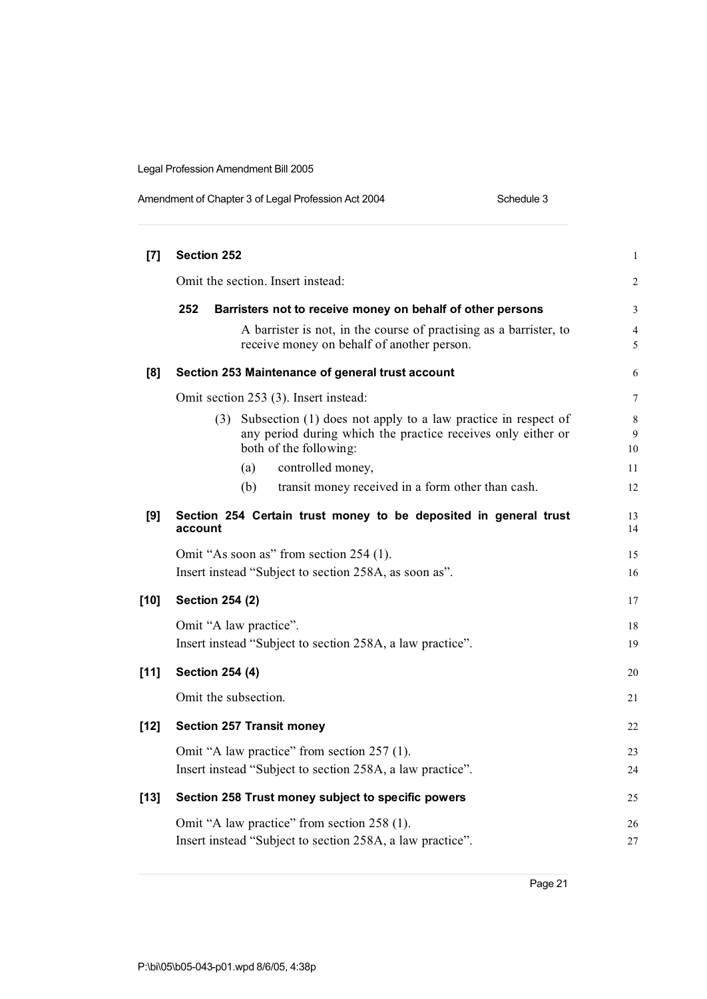| Amendment of Chapter 3 of Legal Profession Act 2004 | Schedule 3 |
|-----------------------------------------------------|------------|
|-----------------------------------------------------|------------|

| [7]    | <b>Section 252</b>                                                                                                                                             |              |  |  |
|--------|----------------------------------------------------------------------------------------------------------------------------------------------------------------|--------------|--|--|
|        | Omit the section. Insert instead:                                                                                                                              |              |  |  |
|        | 252<br>Barristers not to receive money on behalf of other persons                                                                                              | 3            |  |  |
|        | A barrister is not, in the course of practising as a barrister, to<br>receive money on behalf of another person.                                               | 4<br>5       |  |  |
| [8]    | Section 253 Maintenance of general trust account                                                                                                               | 6            |  |  |
|        | Omit section 253 (3). Insert instead:                                                                                                                          | 7            |  |  |
|        | Subsection (1) does not apply to a law practice in respect of<br>(3)<br>any period during which the practice receives only either or<br>both of the following: | 8<br>9<br>10 |  |  |
|        | controlled money,<br>(a)                                                                                                                                       | 11           |  |  |
|        | transit money received in a form other than cash.<br>(b)                                                                                                       | 12           |  |  |
| [9]    | Section 254 Certain trust money to be deposited in general trust<br>account                                                                                    | 13<br>14     |  |  |
|        | Omit "As soon as" from section 254 (1).<br>Insert instead "Subject to section 258A, as soon as".                                                               |              |  |  |
| $[10]$ | <b>Section 254 (2)</b>                                                                                                                                         | 17           |  |  |
|        | Omit "A law practice".                                                                                                                                         | 18           |  |  |
|        | Insert instead "Subject to section 258A, a law practice".                                                                                                      | 19           |  |  |
| $[11]$ | <b>Section 254 (4)</b>                                                                                                                                         | 20           |  |  |
|        | Omit the subsection.                                                                                                                                           | 21           |  |  |
| $[12]$ | <b>Section 257 Transit money</b>                                                                                                                               | 22           |  |  |
|        | Omit "A law practice" from section 257 (1).                                                                                                                    |              |  |  |
|        | Insert instead "Subject to section 258A, a law practice".                                                                                                      | 24           |  |  |
| $[13]$ | Section 258 Trust money subject to specific powers                                                                                                             | 25           |  |  |
|        | Omit "A law practice" from section 258 (1).                                                                                                                    |              |  |  |
|        | Insert instead "Subject to section 258A, a law practice".                                                                                                      |              |  |  |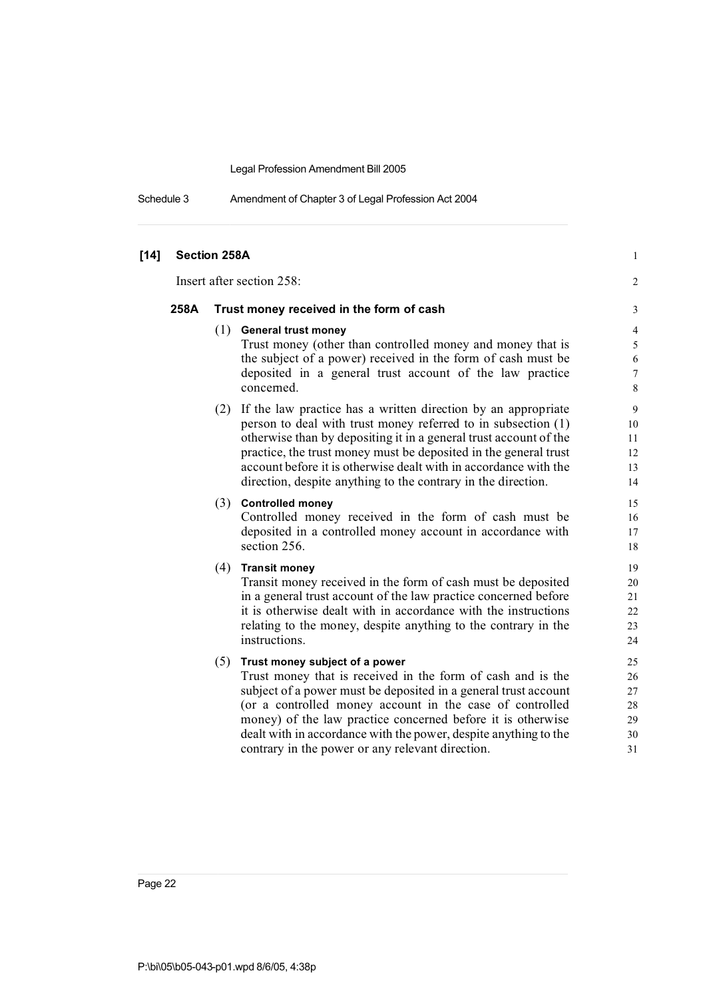Schedule 3 Amendment of Chapter 3 of Legal Profession Act 2004

| $[14]$ |      | Section 258A                                                      | $\mathbf{1}$     |
|--------|------|-------------------------------------------------------------------|------------------|
|        |      | Insert after section 258:                                         | $\overline{c}$   |
|        | 258A | Trust money received in the form of cash                          | 3                |
|        |      | $(1)$ General trust money                                         | $\overline{4}$   |
|        |      | Trust money (other than controlled money and money that is        | 5                |
|        |      | the subject of a power) received in the form of cash must be      | $\sqrt{6}$       |
|        |      | deposited in a general trust account of the law practice          | $\boldsymbol{7}$ |
|        |      | concerned.                                                        | $\,8\,$          |
|        |      | (2) If the law practice has a written direction by an appropriate | 9                |
|        |      | person to deal with trust money referred to in subsection (1)     | 10               |
|        |      | otherwise than by depositing it in a general trust account of the | 11               |
|        |      | practice, the trust money must be deposited in the general trust  | 12               |
|        |      | account before it is otherwise dealt with in accordance with the  | 13               |
|        |      | direction, despite anything to the contrary in the direction.     | 14               |
|        |      | (3) Controlled money                                              | 15               |
|        |      | Controlled money received in the form of cash must be             | 16               |
|        |      | deposited in a controlled money account in accordance with        | 17               |
|        |      | section 256.                                                      | 18               |
|        |      | $(4)$ Transit money                                               | 19               |
|        |      | Transit money received in the form of cash must be deposited      | 20               |
|        |      | in a general trust account of the law practice concerned before   | 21               |
|        |      | it is otherwise dealt with in accordance with the instructions    | 22               |
|        |      | relating to the money, despite anything to the contrary in the    | 23               |
|        |      | instructions.                                                     | 24               |
|        |      | (5)<br>Trust money subject of a power                             | 25               |
|        |      | Trust money that is received in the form of cash and is the       | 26               |
|        |      | subject of a power must be deposited in a general trust account   | 27               |
|        |      | (or a controlled money account in the case of controlled          | 28               |
|        |      | money) of the law practice concerned before it is otherwise       | 29               |
|        |      | dealt with in accordance with the power, despite anything to the  | 30               |
|        |      | contrary in the power or any relevant direction.                  | 31               |
|        |      |                                                                   |                  |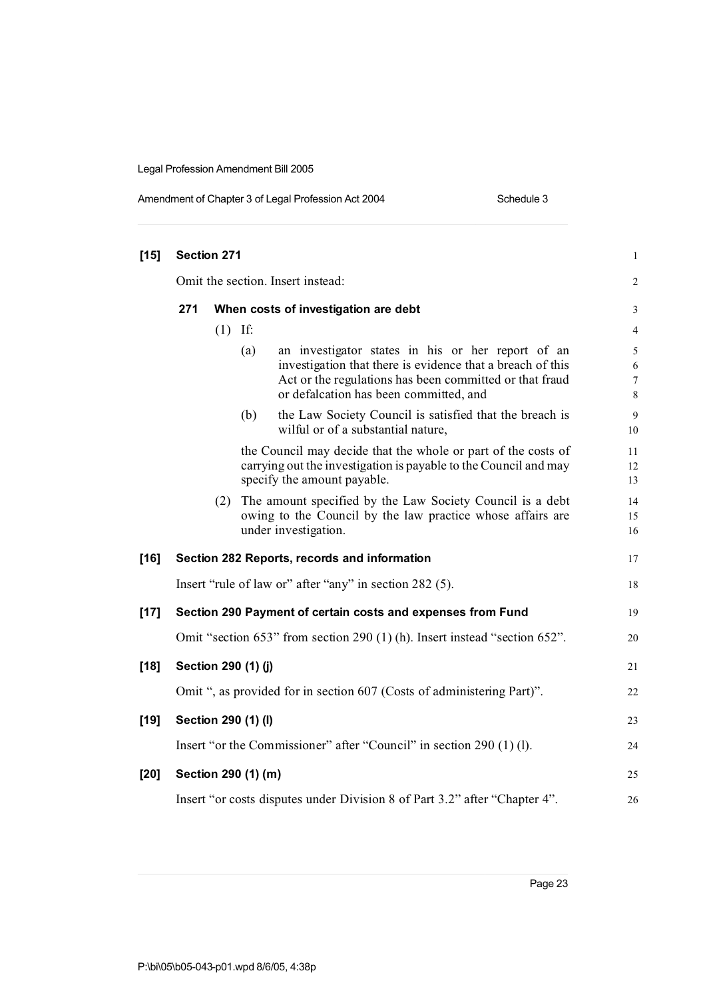| Amendment of Chapter 3 of Legal Profession Act 2004 | Schedule 3 |
|-----------------------------------------------------|------------|
|-----------------------------------------------------|------------|

| $[15]$ | Section 271<br>Omit the section. Insert instead:                     |     |                     | $\mathbf{1}$                                                                                                                                                                                                         |                                           |
|--------|----------------------------------------------------------------------|-----|---------------------|----------------------------------------------------------------------------------------------------------------------------------------------------------------------------------------------------------------------|-------------------------------------------|
|        |                                                                      |     |                     | $\overline{2}$                                                                                                                                                                                                       |                                           |
|        | 271                                                                  |     |                     | When costs of investigation are debt                                                                                                                                                                                 | 3                                         |
|        |                                                                      | (1) | If:                 |                                                                                                                                                                                                                      | $\overline{4}$                            |
|        |                                                                      |     | (a)                 | an investigator states in his or her report of an<br>investigation that there is evidence that a breach of this<br>Act or the regulations has been committed or that fraud<br>or defalcation has been committed, and | 5<br>6<br>$\boldsymbol{7}$<br>$\,$ 8 $\,$ |
|        |                                                                      |     | (b)                 | the Law Society Council is satisfied that the breach is<br>wilful or of a substantial nature,                                                                                                                        | 9<br>10                                   |
|        |                                                                      |     |                     | the Council may decide that the whole or part of the costs of<br>carrying out the investigation is payable to the Council and may<br>specify the amount payable.                                                     | 11<br>12<br>13                            |
|        |                                                                      |     |                     | (2) The amount specified by the Law Society Council is a debt<br>owing to the Council by the law practice whose affairs are<br>under investigation.                                                                  | 14<br>15<br>16                            |
| $[16]$ |                                                                      |     |                     | Section 282 Reports, records and information                                                                                                                                                                         | 17                                        |
|        |                                                                      |     |                     | Insert "rule of law or" after "any" in section 282 (5).                                                                                                                                                              | 18                                        |
| $[17]$ |                                                                      |     |                     | Section 290 Payment of certain costs and expenses from Fund                                                                                                                                                          | 19                                        |
|        |                                                                      |     |                     | Omit "section 653" from section 290 (1) (h). Insert instead "section 652".                                                                                                                                           | 20                                        |
| $[18]$ |                                                                      |     | Section 290 (1) (j) |                                                                                                                                                                                                                      | 21                                        |
|        |                                                                      |     |                     | Omit ", as provided for in section 607 (Costs of administering Part)".                                                                                                                                               | 22                                        |
| $[19]$ |                                                                      |     | Section 290 (1) (I) |                                                                                                                                                                                                                      | 23                                        |
|        | Insert "or the Commissioner" after "Council" in section 290 (1) (1). |     |                     | 24                                                                                                                                                                                                                   |                                           |
| $[20]$ |                                                                      |     | Section 290 (1) (m) |                                                                                                                                                                                                                      | 25                                        |
|        |                                                                      |     |                     | Insert "or costs disputes under Division 8 of Part 3.2" after "Chapter 4".                                                                                                                                           | 26                                        |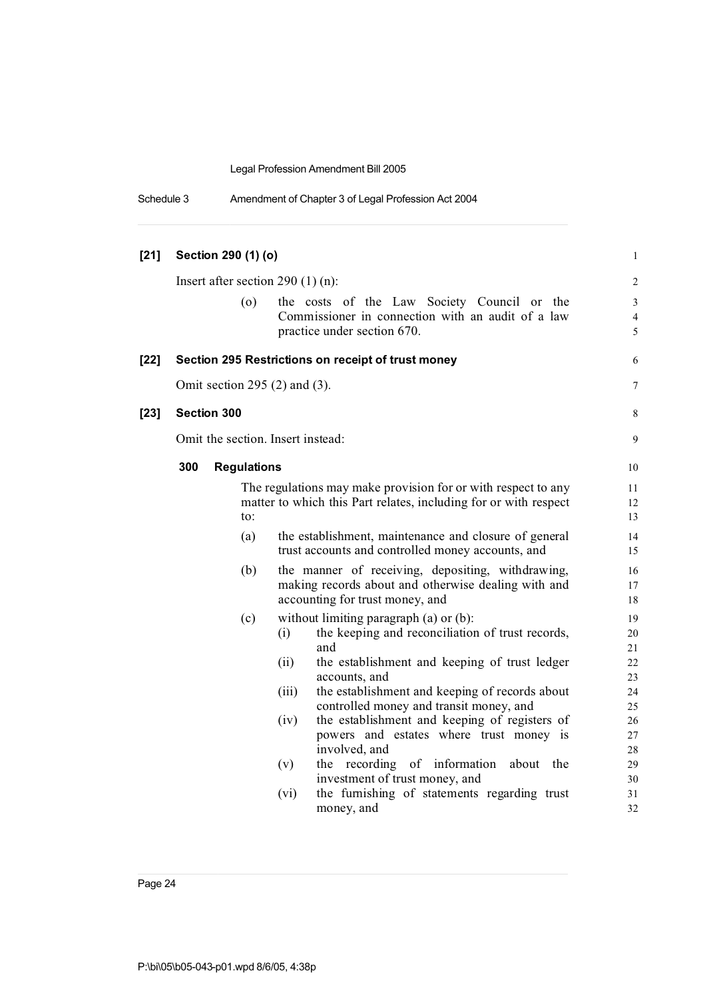|  | Schedule 3 | Amendment of Chapter 3 of Legal Profession Act 2004 |  |
|--|------------|-----------------------------------------------------|--|
|--|------------|-----------------------------------------------------|--|

| $[21]$ |                                   | Section 290 (1) (o) |                                                                                                                                                                                                                                                                                          | $\mathbf{1}$                           |
|--------|-----------------------------------|---------------------|------------------------------------------------------------------------------------------------------------------------------------------------------------------------------------------------------------------------------------------------------------------------------------------|----------------------------------------|
|        |                                   |                     | Insert after section 290 $(1)$ (n):                                                                                                                                                                                                                                                      | $\overline{2}$                         |
|        |                                   | (0)                 | the costs of the Law Society Council or the<br>Commissioner in connection with an audit of a law<br>practice under section 670.                                                                                                                                                          | 3<br>$\overline{4}$<br>5               |
| $[22]$ |                                   |                     | Section 295 Restrictions on receipt of trust money                                                                                                                                                                                                                                       | 6                                      |
|        |                                   |                     | Omit section 295 $(2)$ and $(3)$ .                                                                                                                                                                                                                                                       | 7                                      |
| $[23]$ | Section 300                       |                     |                                                                                                                                                                                                                                                                                          | $\,8\,$                                |
|        | Omit the section. Insert instead: |                     |                                                                                                                                                                                                                                                                                          | 9                                      |
|        | 300                               | <b>Regulations</b>  |                                                                                                                                                                                                                                                                                          | 10                                     |
|        |                                   | to:                 | The regulations may make provision for or with respect to any<br>matter to which this Part relates, including for or with respect                                                                                                                                                        | 11<br>12<br>13                         |
|        |                                   | (a)                 | the establishment, maintenance and closure of general<br>trust accounts and controlled money accounts, and                                                                                                                                                                               | 14<br>15                               |
|        |                                   | (b)                 | the manner of receiving, depositing, withdrawing,<br>making records about and otherwise dealing with and<br>accounting for trust money, and                                                                                                                                              | 16<br>17<br>18                         |
|        |                                   | (c)                 | without limiting paragraph (a) or (b):<br>the keeping and reconciliation of trust records,<br>(i)<br>and<br>the establishment and keeping of trust ledger<br>(ii)<br>accounts, and<br>the establishment and keeping of records about<br>(iii)<br>controlled money and transit money, and | 19<br>20<br>21<br>22<br>23<br>24<br>25 |
|        |                                   |                     | the establishment and keeping of registers of<br>(iv)<br>powers and estates where trust money is<br>involved, and                                                                                                                                                                        | 26<br>27<br>28                         |
|        |                                   |                     | the recording of information<br>(v)<br>about the<br>investment of trust money, and<br>the furnishing of statements regarding trust<br>(vi)<br>money, and                                                                                                                                 | 29<br>30<br>31<br>32                   |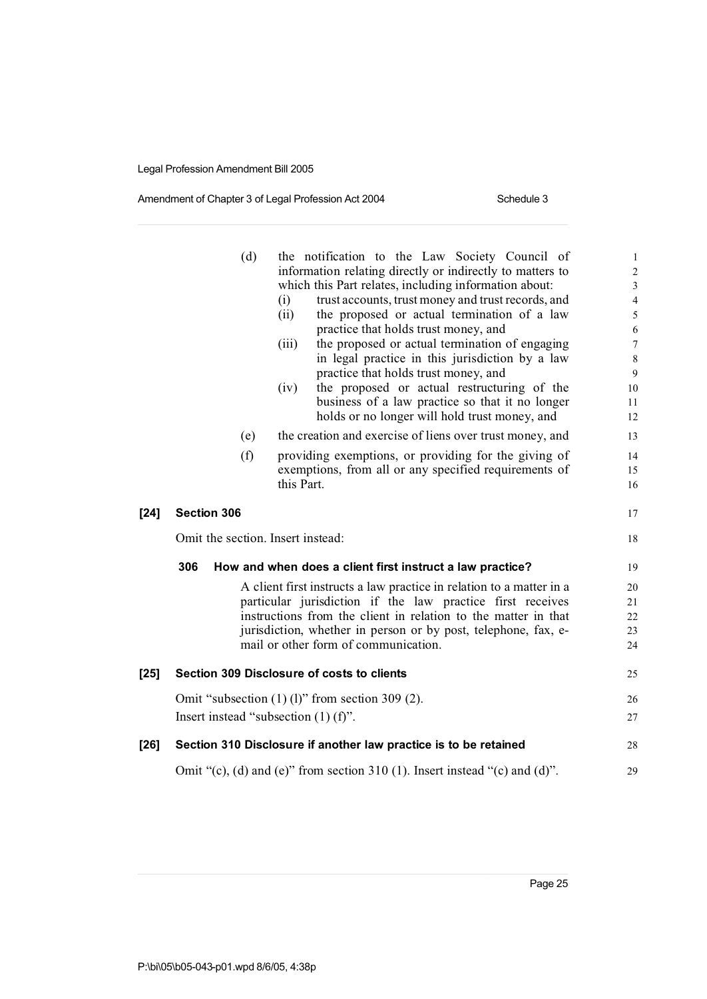#### Amendment of Chapter 3 of Legal Profession Act 2004 Schedule 3

|     | (d) | the notification to the Law Society Council of          | $\mathbf{1}$                                                                                                                                                                                                                                                                                                                                                                                                                                                                                                                                                                                                                                                                                                                                                                                                                                                                                                                                                                                                                                                                                                                                                                                                                                                                                                                                    |
|-----|-----|---------------------------------------------------------|-------------------------------------------------------------------------------------------------------------------------------------------------------------------------------------------------------------------------------------------------------------------------------------------------------------------------------------------------------------------------------------------------------------------------------------------------------------------------------------------------------------------------------------------------------------------------------------------------------------------------------------------------------------------------------------------------------------------------------------------------------------------------------------------------------------------------------------------------------------------------------------------------------------------------------------------------------------------------------------------------------------------------------------------------------------------------------------------------------------------------------------------------------------------------------------------------------------------------------------------------------------------------------------------------------------------------------------------------|
|     |     |                                                         | $\sqrt{2}$<br>$\mathfrak{Z}$                                                                                                                                                                                                                                                                                                                                                                                                                                                                                                                                                                                                                                                                                                                                                                                                                                                                                                                                                                                                                                                                                                                                                                                                                                                                                                                    |
|     |     |                                                         | $\overline{4}$                                                                                                                                                                                                                                                                                                                                                                                                                                                                                                                                                                                                                                                                                                                                                                                                                                                                                                                                                                                                                                                                                                                                                                                                                                                                                                                                  |
|     |     | the proposed or actual termination of a law<br>(ii)     | 5                                                                                                                                                                                                                                                                                                                                                                                                                                                                                                                                                                                                                                                                                                                                                                                                                                                                                                                                                                                                                                                                                                                                                                                                                                                                                                                                               |
|     |     | practice that holds trust money, and                    | $\sqrt{6}$                                                                                                                                                                                                                                                                                                                                                                                                                                                                                                                                                                                                                                                                                                                                                                                                                                                                                                                                                                                                                                                                                                                                                                                                                                                                                                                                      |
|     |     | the proposed or actual termination of engaging<br>(iii) | $\boldsymbol{7}$                                                                                                                                                                                                                                                                                                                                                                                                                                                                                                                                                                                                                                                                                                                                                                                                                                                                                                                                                                                                                                                                                                                                                                                                                                                                                                                                |
|     |     |                                                         | $\,8\,$                                                                                                                                                                                                                                                                                                                                                                                                                                                                                                                                                                                                                                                                                                                                                                                                                                                                                                                                                                                                                                                                                                                                                                                                                                                                                                                                         |
|     |     |                                                         | 9                                                                                                                                                                                                                                                                                                                                                                                                                                                                                                                                                                                                                                                                                                                                                                                                                                                                                                                                                                                                                                                                                                                                                                                                                                                                                                                                               |
|     |     |                                                         | 10<br>11                                                                                                                                                                                                                                                                                                                                                                                                                                                                                                                                                                                                                                                                                                                                                                                                                                                                                                                                                                                                                                                                                                                                                                                                                                                                                                                                        |
|     |     |                                                         | 12                                                                                                                                                                                                                                                                                                                                                                                                                                                                                                                                                                                                                                                                                                                                                                                                                                                                                                                                                                                                                                                                                                                                                                                                                                                                                                                                              |
|     |     |                                                         | 13                                                                                                                                                                                                                                                                                                                                                                                                                                                                                                                                                                                                                                                                                                                                                                                                                                                                                                                                                                                                                                                                                                                                                                                                                                                                                                                                              |
|     |     |                                                         | 14                                                                                                                                                                                                                                                                                                                                                                                                                                                                                                                                                                                                                                                                                                                                                                                                                                                                                                                                                                                                                                                                                                                                                                                                                                                                                                                                              |
|     |     |                                                         | 15                                                                                                                                                                                                                                                                                                                                                                                                                                                                                                                                                                                                                                                                                                                                                                                                                                                                                                                                                                                                                                                                                                                                                                                                                                                                                                                                              |
|     |     | this Part.                                              | 16                                                                                                                                                                                                                                                                                                                                                                                                                                                                                                                                                                                                                                                                                                                                                                                                                                                                                                                                                                                                                                                                                                                                                                                                                                                                                                                                              |
|     |     |                                                         | 17                                                                                                                                                                                                                                                                                                                                                                                                                                                                                                                                                                                                                                                                                                                                                                                                                                                                                                                                                                                                                                                                                                                                                                                                                                                                                                                                              |
|     |     |                                                         | 18                                                                                                                                                                                                                                                                                                                                                                                                                                                                                                                                                                                                                                                                                                                                                                                                                                                                                                                                                                                                                                                                                                                                                                                                                                                                                                                                              |
| 306 |     |                                                         | 19                                                                                                                                                                                                                                                                                                                                                                                                                                                                                                                                                                                                                                                                                                                                                                                                                                                                                                                                                                                                                                                                                                                                                                                                                                                                                                                                              |
|     |     |                                                         | 20                                                                                                                                                                                                                                                                                                                                                                                                                                                                                                                                                                                                                                                                                                                                                                                                                                                                                                                                                                                                                                                                                                                                                                                                                                                                                                                                              |
|     |     |                                                         | 21                                                                                                                                                                                                                                                                                                                                                                                                                                                                                                                                                                                                                                                                                                                                                                                                                                                                                                                                                                                                                                                                                                                                                                                                                                                                                                                                              |
|     |     |                                                         | 22                                                                                                                                                                                                                                                                                                                                                                                                                                                                                                                                                                                                                                                                                                                                                                                                                                                                                                                                                                                                                                                                                                                                                                                                                                                                                                                                              |
|     |     |                                                         | 23                                                                                                                                                                                                                                                                                                                                                                                                                                                                                                                                                                                                                                                                                                                                                                                                                                                                                                                                                                                                                                                                                                                                                                                                                                                                                                                                              |
|     |     |                                                         | 24                                                                                                                                                                                                                                                                                                                                                                                                                                                                                                                                                                                                                                                                                                                                                                                                                                                                                                                                                                                                                                                                                                                                                                                                                                                                                                                                              |
|     |     |                                                         | 25                                                                                                                                                                                                                                                                                                                                                                                                                                                                                                                                                                                                                                                                                                                                                                                                                                                                                                                                                                                                                                                                                                                                                                                                                                                                                                                                              |
|     |     |                                                         | 26                                                                                                                                                                                                                                                                                                                                                                                                                                                                                                                                                                                                                                                                                                                                                                                                                                                                                                                                                                                                                                                                                                                                                                                                                                                                                                                                              |
|     |     |                                                         | 27                                                                                                                                                                                                                                                                                                                                                                                                                                                                                                                                                                                                                                                                                                                                                                                                                                                                                                                                                                                                                                                                                                                                                                                                                                                                                                                                              |
|     |     |                                                         | 28                                                                                                                                                                                                                                                                                                                                                                                                                                                                                                                                                                                                                                                                                                                                                                                                                                                                                                                                                                                                                                                                                                                                                                                                                                                                                                                                              |
|     |     |                                                         | 29                                                                                                                                                                                                                                                                                                                                                                                                                                                                                                                                                                                                                                                                                                                                                                                                                                                                                                                                                                                                                                                                                                                                                                                                                                                                                                                                              |
|     |     | (e)<br>(f)<br><b>Section 306</b>                        | information relating directly or indirectly to matters to<br>which this Part relates, including information about:<br>trust accounts, trust money and trust records, and<br>(i)<br>in legal practice in this jurisdiction by a law<br>practice that holds trust money, and<br>the proposed or actual restructuring of the<br>(iv)<br>business of a law practice so that it no longer<br>holds or no longer will hold trust money, and<br>the creation and exercise of liens over trust money, and<br>providing exemptions, or providing for the giving of<br>exemptions, from all or any specified requirements of<br>Omit the section. Insert instead:<br>How and when does a client first instruct a law practice?<br>A client first instructs a law practice in relation to a matter in a<br>particular jurisdiction if the law practice first receives<br>instructions from the client in relation to the matter in that<br>jurisdiction, whether in person or by post, telephone, fax, e-<br>mail or other form of communication.<br>Section 309 Disclosure of costs to clients<br>Omit "subsection $(1)$ $(1)$ " from section 309 $(2)$ .<br>Insert instead "subsection $(1)$ $(f)$ ".<br>Section 310 Disclosure if another law practice is to be retained<br>Omit "(c), (d) and (e)" from section 310 (1). Insert instead "(c) and (d)". |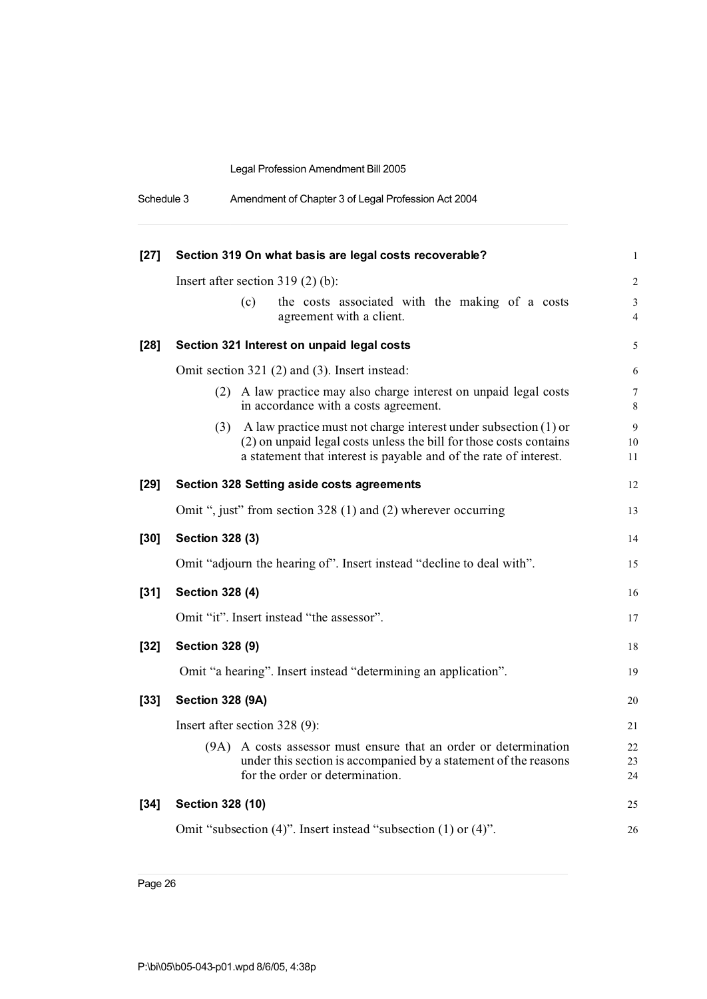| Schedule 3 | Amendment of Chapter 3 of Legal Profession Act 2004 |  |
|------------|-----------------------------------------------------|--|
|------------|-----------------------------------------------------|--|

| $[27]$ | Section 319 On what basis are legal costs recoverable?                                                                                                                                                             | $\mathbf{1}$                     |
|--------|--------------------------------------------------------------------------------------------------------------------------------------------------------------------------------------------------------------------|----------------------------------|
|        | Insert after section $319(2)$ (b):                                                                                                                                                                                 | $\overline{2}$                   |
|        | the costs associated with the making of a costs<br>(c)<br>agreement with a client.                                                                                                                                 | $\mathfrak{Z}$<br>$\overline{4}$ |
| $[28]$ | Section 321 Interest on unpaid legal costs                                                                                                                                                                         | 5                                |
|        | Omit section 321 (2) and (3). Insert instead:                                                                                                                                                                      | 6                                |
|        | (2) A law practice may also charge interest on unpaid legal costs<br>in accordance with a costs agreement.                                                                                                         | 7<br>$\,8\,$                     |
|        | $(3)$ A law practice must not charge interest under subsection $(1)$ or<br>(2) on unpaid legal costs unless the bill for those costs contains<br>a statement that interest is payable and of the rate of interest. | $\overline{9}$<br>$10\,$<br>11   |
| $[29]$ | Section 328 Setting aside costs agreements                                                                                                                                                                         | 12                               |
|        | Omit ", just" from section 328 (1) and (2) wherever occurring                                                                                                                                                      | 13                               |
| $[30]$ | <b>Section 328 (3)</b>                                                                                                                                                                                             | 14                               |
|        | Omit "adjourn the hearing of". Insert instead "decline to deal with".                                                                                                                                              | 15                               |
| $[31]$ | <b>Section 328 (4)</b>                                                                                                                                                                                             | 16                               |
|        | Omit "it". Insert instead "the assessor".                                                                                                                                                                          | 17                               |
| $[32]$ | <b>Section 328 (9)</b>                                                                                                                                                                                             | 18                               |
|        | Omit "a hearing". Insert instead "determining an application".                                                                                                                                                     | 19                               |
| $[33]$ | <b>Section 328 (9A)</b>                                                                                                                                                                                            |                                  |
|        | Insert after section 328 (9):                                                                                                                                                                                      |                                  |
|        | A costs assessor must ensure that an order or determination<br>(9A)<br>under this section is accompanied by a statement of the reasons<br>for the order or determination.                                          | 22<br>23<br>24                   |
| $[34]$ | Section 328 (10)                                                                                                                                                                                                   | 25                               |
|        | Omit "subsection (4)". Insert instead "subsection (1) or (4)".                                                                                                                                                     | 26                               |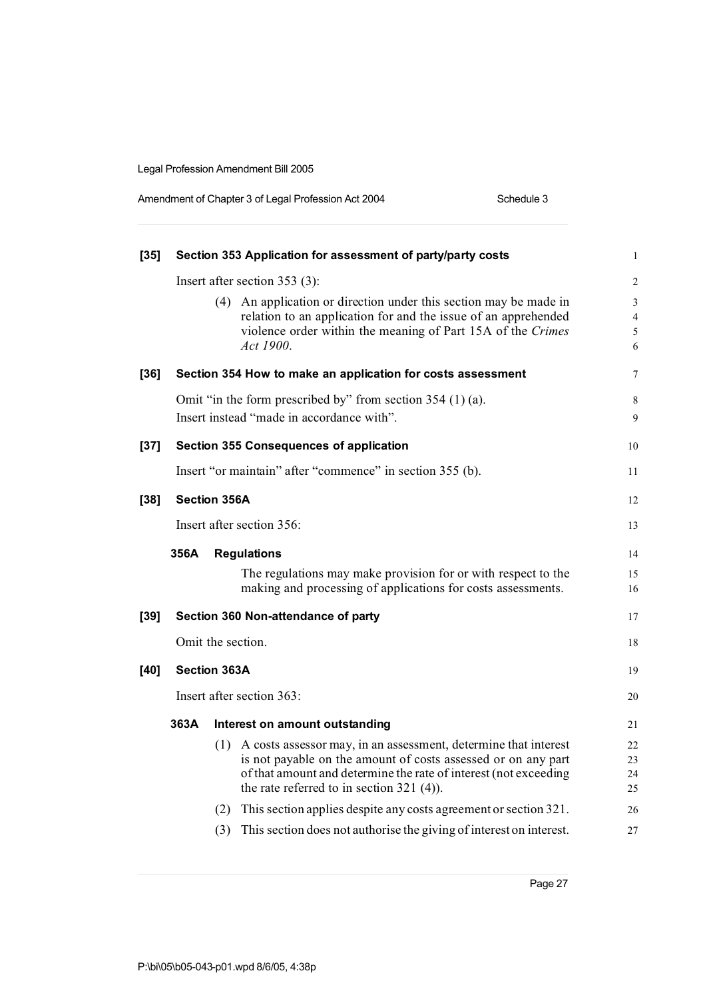| Amendment of Chapter 3 of Legal Profession Act 2004 | Schedule 3 |
|-----------------------------------------------------|------------|
|-----------------------------------------------------|------------|

| $[35]$ | Section 353 Application for assessment of party/party costs |                                                                                                                                                                                                                                                            | $\mathbf{1}$                  |
|--------|-------------------------------------------------------------|------------------------------------------------------------------------------------------------------------------------------------------------------------------------------------------------------------------------------------------------------------|-------------------------------|
|        | Insert after section $353(3)$ :                             |                                                                                                                                                                                                                                                            |                               |
|        |                                                             | (4) An application or direction under this section may be made in<br>relation to an application for and the issue of an apprehended<br>violence order within the meaning of Part 15A of the Crimes<br>Act 1900.                                            | 3<br>$\overline{4}$<br>5<br>6 |
| $[36]$ |                                                             | Section 354 How to make an application for costs assessment                                                                                                                                                                                                | $\tau$                        |
|        |                                                             | Omit "in the form prescribed by" from section $354(1)(a)$ .<br>Insert instead "made in accordance with".                                                                                                                                                   | 8<br>9                        |
| $[37]$ |                                                             | <b>Section 355 Consequences of application</b>                                                                                                                                                                                                             | 10                            |
|        |                                                             | Insert "or maintain" after "commence" in section 355 (b).                                                                                                                                                                                                  | 11                            |
| $[38]$ |                                                             | <b>Section 356A</b>                                                                                                                                                                                                                                        | 12                            |
|        |                                                             | Insert after section 356:                                                                                                                                                                                                                                  | 13                            |
|        | 356A                                                        | <b>Regulations</b>                                                                                                                                                                                                                                         | 14                            |
|        |                                                             | The regulations may make provision for or with respect to the<br>making and processing of applications for costs assessments.                                                                                                                              | 15<br>16                      |
| $[39]$ |                                                             | Section 360 Non-attendance of party                                                                                                                                                                                                                        | 17                            |
|        |                                                             | Omit the section.                                                                                                                                                                                                                                          | 18                            |
| $[40]$ |                                                             | <b>Section 363A</b>                                                                                                                                                                                                                                        | 19                            |
|        | Insert after section 363:                                   |                                                                                                                                                                                                                                                            | 20                            |
|        | 363A                                                        | Interest on amount outstanding                                                                                                                                                                                                                             | 21                            |
|        |                                                             | A costs assessor may, in an assessment, determine that interest<br>(1)<br>is not payable on the amount of costs assessed or on any part<br>of that amount and determine the rate of interest (not exceeding<br>the rate referred to in section $321$ (4)). | 22<br>23<br>24<br>25          |
|        |                                                             | (2) This section applies despite any costs agreement or section 321.                                                                                                                                                                                       | 26                            |
|        |                                                             | This section does not authorise the giving of interest on interest.<br>(3)                                                                                                                                                                                 | 27                            |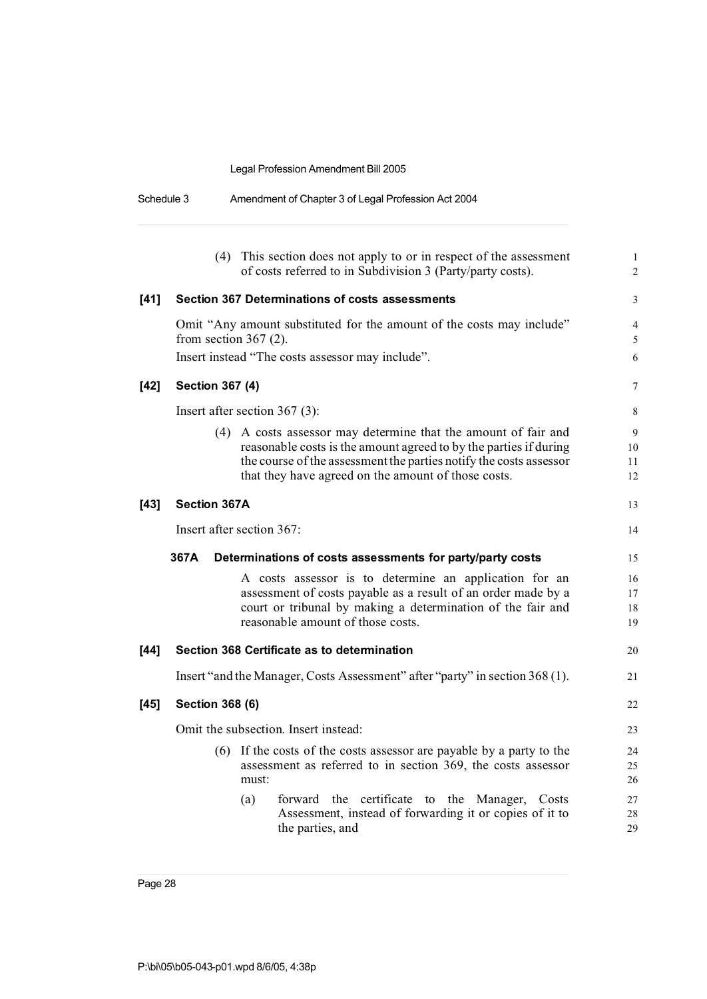| Schedule 3 | Amendment of Chapter 3 of Legal Profession Act 2004 |
|------------|-----------------------------------------------------|
|            |                                                     |

|        | (4) This section does not apply to or in respect of the assessment<br>of costs referred to in Subdivision 3 (Party/party costs).                                                                                                                                 | $\mathbf{1}$<br>$\overline{2}$ |
|--------|------------------------------------------------------------------------------------------------------------------------------------------------------------------------------------------------------------------------------------------------------------------|--------------------------------|
| $[41]$ | <b>Section 367 Determinations of costs assessments</b>                                                                                                                                                                                                           | 3                              |
|        | Omit "Any amount substituted for the amount of the costs may include"<br>from section $367(2)$ .                                                                                                                                                                 | 4<br>5                         |
|        | Insert instead "The costs assessor may include".                                                                                                                                                                                                                 | 6                              |
| [42]   | <b>Section 367 (4)</b>                                                                                                                                                                                                                                           | 7                              |
|        | Insert after section $367$ (3):                                                                                                                                                                                                                                  | 8                              |
|        | (4) A costs assessor may determine that the amount of fair and<br>reasonable costs is the amount agreed to by the parties if during<br>the course of the assessment the parties notify the costs assessor<br>that they have agreed on the amount of those costs. | 9<br>10<br>11<br>12            |
| [43]   | <b>Section 367A</b>                                                                                                                                                                                                                                              | 13                             |
|        | Insert after section 367:                                                                                                                                                                                                                                        | 14                             |
|        | 367A<br>Determinations of costs assessments for party/party costs                                                                                                                                                                                                | 15                             |
|        | A costs assessor is to determine an application for an<br>assessment of costs payable as a result of an order made by a<br>court or tribunal by making a determination of the fair and<br>reasonable amount of those costs.                                      | 16<br>17<br>18<br>19           |
| [44]   | Section 368 Certificate as to determination                                                                                                                                                                                                                      | 20                             |
|        | Insert "and the Manager, Costs Assessment" after "party" in section 368 (1).                                                                                                                                                                                     | 21                             |
| [45]   | <b>Section 368 (6)</b>                                                                                                                                                                                                                                           | 22                             |
|        | Omit the subsection. Insert instead:                                                                                                                                                                                                                             | 23                             |
|        | (6) If the costs of the costs assessor are payable by a party to the<br>assessment as referred to in section 369, the costs assessor<br>must:                                                                                                                    | 24<br>25<br>26                 |
|        | the certificate to the Manager,<br>(a)<br>forward<br>Costs<br>Assessment, instead of forwarding it or copies of it to<br>the parties, and                                                                                                                        | 27<br>28<br>29                 |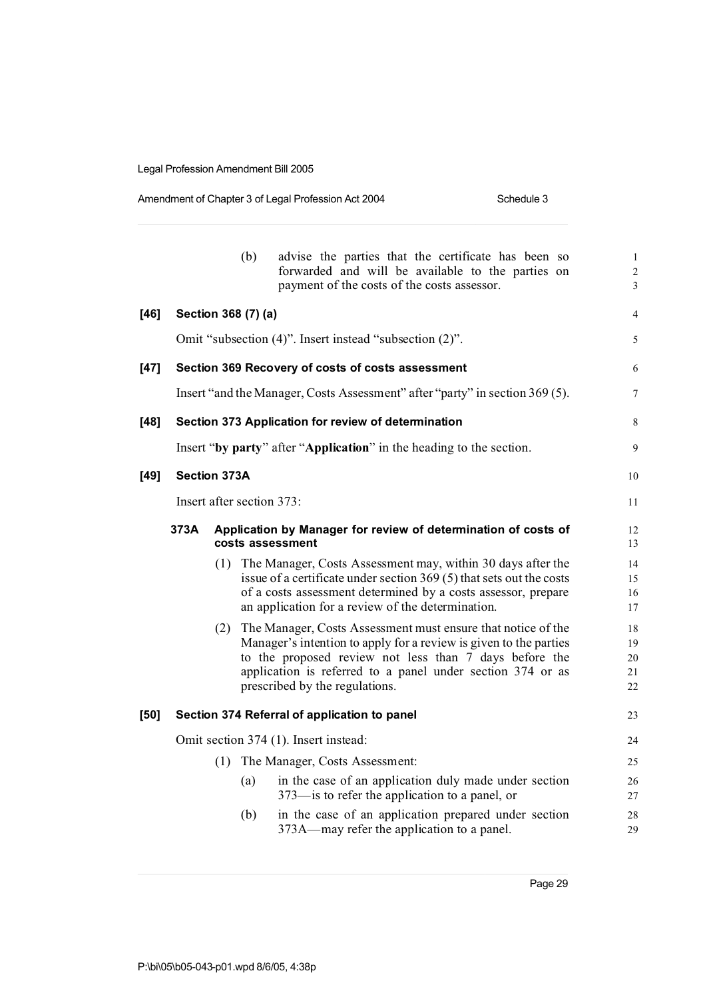| Amendment of Chapter 3 of Legal Profession Act 2004 | Schedule 3 |
|-----------------------------------------------------|------------|
|-----------------------------------------------------|------------|

|      |                     |     | (b)                       | advise the parties that the certificate has been so<br>forwarded and will be available to the parties on<br>payment of the costs of the costs assessor.                                                                                                                                         | $\,1\,$<br>$\overline{c}$<br>3 |
|------|---------------------|-----|---------------------------|-------------------------------------------------------------------------------------------------------------------------------------------------------------------------------------------------------------------------------------------------------------------------------------------------|--------------------------------|
| [46] |                     |     | Section 368 (7) (a)       |                                                                                                                                                                                                                                                                                                 | 4                              |
|      |                     |     |                           | Omit "subsection (4)". Insert instead "subsection (2)".                                                                                                                                                                                                                                         | 5                              |
| [47] |                     |     |                           | Section 369 Recovery of costs of costs assessment                                                                                                                                                                                                                                               | 6                              |
|      |                     |     |                           | Insert "and the Manager, Costs Assessment" after "party" in section 369 (5).                                                                                                                                                                                                                    | 7                              |
| [48] |                     |     |                           | Section 373 Application for review of determination                                                                                                                                                                                                                                             | 8                              |
|      |                     |     |                           | Insert "by party" after "Application" in the heading to the section.                                                                                                                                                                                                                            | 9                              |
| [49] | <b>Section 373A</b> |     |                           |                                                                                                                                                                                                                                                                                                 | 10                             |
|      |                     |     | Insert after section 373: |                                                                                                                                                                                                                                                                                                 | 11                             |
|      | 373A                |     |                           | Application by Manager for review of determination of costs of<br>costs assessment                                                                                                                                                                                                              | 12<br>13                       |
|      |                     |     |                           | (1) The Manager, Costs Assessment may, within 30 days after the<br>issue of a certificate under section 369 (5) that sets out the costs<br>of a costs assessment determined by a costs assessor, prepare<br>an application for a review of the determination.                                   | 14<br>15<br>16<br>17           |
|      |                     |     |                           | (2) The Manager, Costs Assessment must ensure that notice of the<br>Manager's intention to apply for a review is given to the parties<br>to the proposed review not less than 7 days before the<br>application is referred to a panel under section 374 or as<br>prescribed by the regulations. | 18<br>19<br>20<br>21<br>22     |
| [50] |                     |     |                           | Section 374 Referral of application to panel                                                                                                                                                                                                                                                    | 23                             |
|      |                     |     |                           | Omit section 374 (1). Insert instead:                                                                                                                                                                                                                                                           | 24                             |
|      |                     | (1) |                           | The Manager, Costs Assessment:                                                                                                                                                                                                                                                                  | 25                             |
|      |                     |     | (a)                       | in the case of an application duly made under section<br>373—is to refer the application to a panel, or                                                                                                                                                                                         | 26<br>27                       |
|      |                     |     | (b)                       | in the case of an application prepared under section<br>373A—may refer the application to a panel.                                                                                                                                                                                              | 28<br>29                       |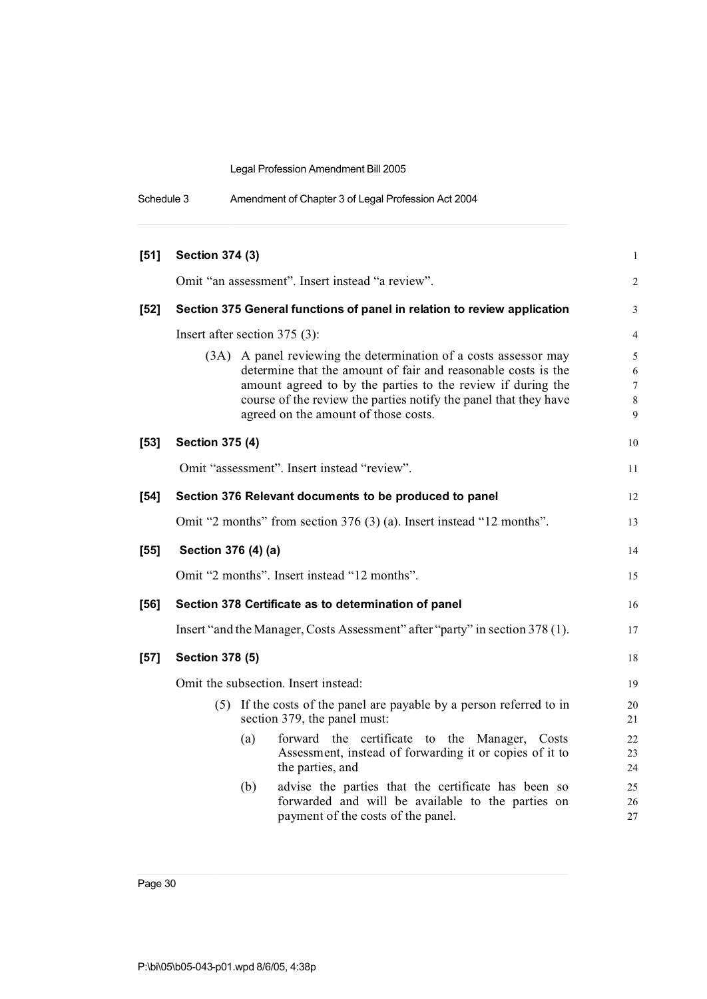| $[51]$ | <b>Section 374 (3)</b>                                                                                                                                                                                                                                                                                          | 1                     |
|--------|-----------------------------------------------------------------------------------------------------------------------------------------------------------------------------------------------------------------------------------------------------------------------------------------------------------------|-----------------------|
|        | Omit "an assessment". Insert instead "a review".                                                                                                                                                                                                                                                                | $\overline{c}$        |
| $[52]$ | Section 375 General functions of panel in relation to review application                                                                                                                                                                                                                                        | 3                     |
|        | Insert after section 375 (3):                                                                                                                                                                                                                                                                                   | 4                     |
|        | A panel reviewing the determination of a costs assessor may<br>(3A)<br>determine that the amount of fair and reasonable costs is the<br>amount agreed to by the parties to the review if during the<br>course of the review the parties notify the panel that they have<br>agreed on the amount of those costs. | 5<br>6<br>7<br>8<br>9 |
| $[53]$ | <b>Section 375 (4)</b>                                                                                                                                                                                                                                                                                          | 10                    |
|        | Omit "assessment". Insert instead "review".                                                                                                                                                                                                                                                                     | 11                    |
| $[54]$ | Section 376 Relevant documents to be produced to panel                                                                                                                                                                                                                                                          | 12                    |
|        | Omit "2 months" from section 376 (3) (a). Insert instead "12 months".                                                                                                                                                                                                                                           | 13                    |
| $[55]$ | Section 376 (4) (a)                                                                                                                                                                                                                                                                                             | 14                    |
|        | Omit "2 months". Insert instead "12 months".                                                                                                                                                                                                                                                                    | 15                    |
| $[56]$ | Section 378 Certificate as to determination of panel                                                                                                                                                                                                                                                            | 16                    |
|        | Insert "and the Manager, Costs Assessment" after "party" in section 378 (1).                                                                                                                                                                                                                                    | 17                    |
| $[57]$ | <b>Section 378 (5)</b>                                                                                                                                                                                                                                                                                          | 18                    |
|        | Omit the subsection. Insert instead:                                                                                                                                                                                                                                                                            | 19                    |
|        | (5) If the costs of the panel are payable by a person referred to in<br>section 379, the panel must:                                                                                                                                                                                                            | 20<br>21              |
|        | forward the certificate to the Manager, Costs<br>(a)<br>Assessment, instead of forwarding it or copies of it to<br>the parties, and                                                                                                                                                                             | 22<br>23<br>24        |
|        | advise the parties that the certificate has been so<br>(b)<br>forwarded and will be available to the parties on<br>payment of the costs of the panel.                                                                                                                                                           | 25<br>26<br>27        |

Schedule 3 Amendment of Chapter 3 of Legal Profession Act 2004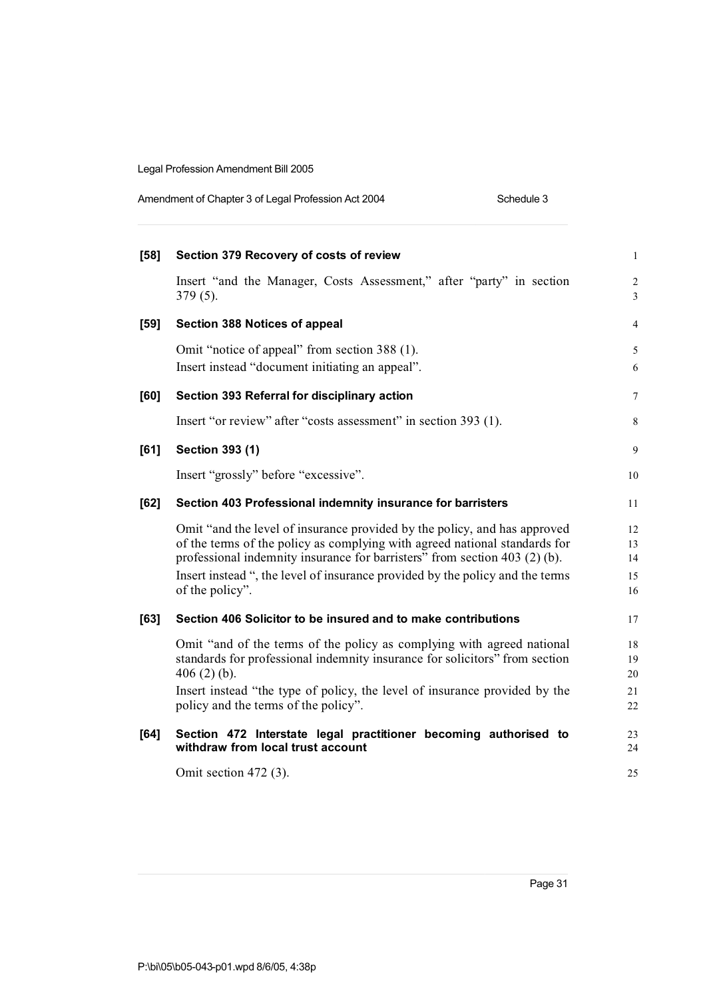| Amendment of Chapter 3 of Legal Profession Act 2004 | Schedule 3 |
|-----------------------------------------------------|------------|
|-----------------------------------------------------|------------|

| $[58]$ | Section 379 Recovery of costs of review                                                                                                                  | $\mathbf{1}$                     |
|--------|----------------------------------------------------------------------------------------------------------------------------------------------------------|----------------------------------|
|        | Insert "and the Manager, Costs Assessment," after "party" in section<br>$379(5)$ .                                                                       | $\overline{2}$<br>$\overline{3}$ |
| $[59]$ | Section 388 Notices of appeal                                                                                                                            | $\overline{4}$                   |
|        | Omit "notice of appeal" from section 388 (1).                                                                                                            | 5                                |
|        | Insert instead "document initiating an appeal".                                                                                                          | 6                                |
| [60]   | Section 393 Referral for disciplinary action                                                                                                             | 7                                |
|        | Insert "or review" after "costs assessment" in section 393 (1).                                                                                          | 8                                |
| [61]   | Section 393 (1)                                                                                                                                          | 9                                |
|        | Insert "grossly" before "excessive".                                                                                                                     | 10                               |
| [62]   | Section 403 Professional indemnity insurance for barristers                                                                                              | 11                               |
|        | Omit "and the level of insurance provided by the policy, and has approved                                                                                | 12                               |
|        | of the terms of the policy as complying with agreed national standards for<br>professional indemnity insurance for barristers" from section 403 (2) (b). | 13<br>14                         |
|        | Insert instead ", the level of insurance provided by the policy and the terms                                                                            | 15                               |
|        | of the policy".                                                                                                                                          | 16                               |
| [63]   | Section 406 Solicitor to be insured and to make contributions                                                                                            | 17                               |
|        | Omit "and of the terms of the policy as complying with agreed national                                                                                   | 18                               |
|        | standards for professional indemnity insurance for solicitors" from section                                                                              | 19                               |
|        | 406 $(2)$ $(b)$ .                                                                                                                                        | 20                               |
|        | Insert instead "the type of policy, the level of insurance provided by the<br>policy and the terms of the policy".                                       | 21<br>22                         |
| [64]   | Section 472 Interstate legal practitioner becoming authorised to<br>withdraw from local trust account                                                    | 23<br>24                         |
|        | Omit section $472$ (3).                                                                                                                                  | 25                               |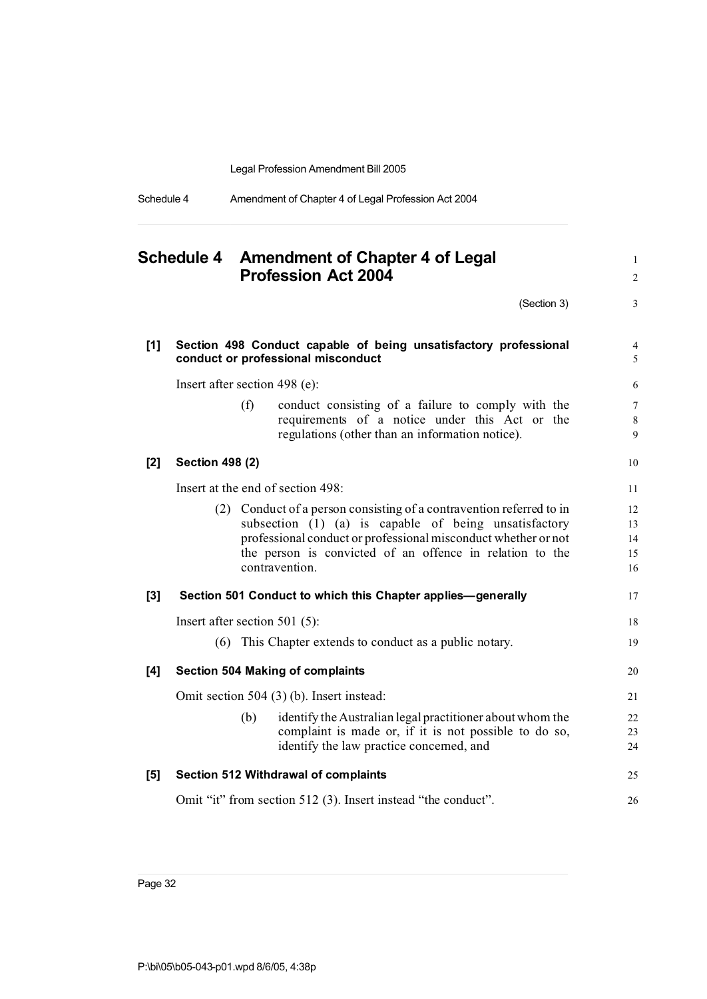|  | Schedule 4 | Amendment of Chapter 4 of Legal Profession Act 2004 |  |
|--|------------|-----------------------------------------------------|--|
|--|------------|-----------------------------------------------------|--|

|       |                                  |     | Schedule 4 Amendment of Chapter 4 of Legal<br><b>Profession Act 2004</b>                                                                                | $\mathbf{1}$<br>$\sqrt{2}$    |
|-------|----------------------------------|-----|---------------------------------------------------------------------------------------------------------------------------------------------------------|-------------------------------|
|       |                                  |     | (Section 3)                                                                                                                                             | 3                             |
| $[1]$ |                                  |     | Section 498 Conduct capable of being unsatisfactory professional<br>conduct or professional misconduct                                                  | $\overline{4}$<br>5           |
|       | Insert after section 498 (e):    |     |                                                                                                                                                         | 6                             |
|       |                                  | (f) | conduct consisting of a failure to comply with the<br>requirements of a notice under this Act or the<br>regulations (other than an information notice). | $7\phantom{.0}$<br>$8\,$<br>9 |
| $[2]$ | <b>Section 498 (2)</b>           |     |                                                                                                                                                         | 10                            |
|       |                                  |     | Insert at the end of section 498:                                                                                                                       | 11                            |
|       |                                  |     | (2) Conduct of a person consisting of a contravention referred to in                                                                                    | 12                            |
|       |                                  |     | subsection (1) (a) is capable of being unsatisfactory                                                                                                   | 13                            |
|       |                                  |     | professional conduct or professional misconduct whether or not                                                                                          | 14                            |
|       |                                  |     | the person is convicted of an offence in relation to the<br>contravention.                                                                              | 15<br>16                      |
| $[3]$ |                                  |     | Section 501 Conduct to which this Chapter applies-generally                                                                                             | 17                            |
|       | Insert after section 501 $(5)$ : |     |                                                                                                                                                         | 18                            |
|       |                                  |     | (6) This Chapter extends to conduct as a public notary.                                                                                                 | 19                            |
| [4]   |                                  |     | <b>Section 504 Making of complaints</b>                                                                                                                 | 20                            |
|       |                                  |     | Omit section 504 (3) (b). Insert instead:                                                                                                               | 21                            |
|       |                                  | (b) | identify the Australian legal practitioner about whom the                                                                                               | 22                            |
|       |                                  |     | complaint is made or, if it is not possible to do so,                                                                                                   | 23                            |
|       |                                  |     | identify the law practice concerned, and                                                                                                                | 24                            |
| [5]   |                                  |     | <b>Section 512 Withdrawal of complaints</b>                                                                                                             | 25                            |
|       |                                  |     | Omit "it" from section 512 (3). Insert instead "the conduct".                                                                                           | 26                            |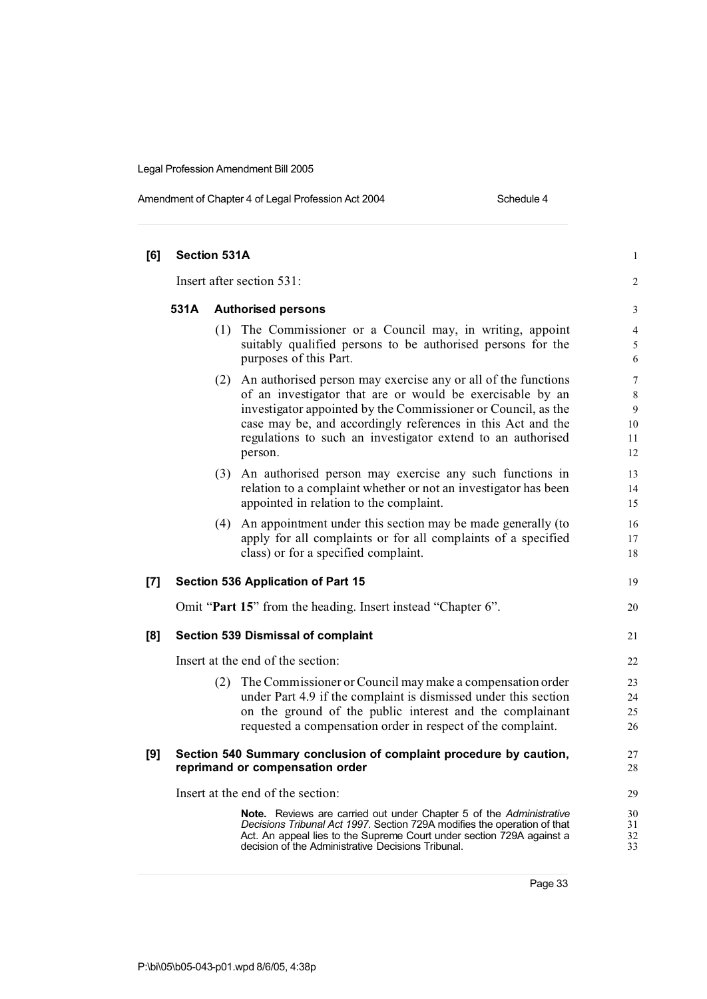| Amendment of Chapter 4 of Legal Profession Act 2004 |  |  |
|-----------------------------------------------------|--|--|
|                                                     |  |  |

Schedule 4

| [6] | <b>Section 531A</b> |     |                                                                                                                                                                                                                                                                                                                                          | $\mathbf{1}$                               |
|-----|---------------------|-----|------------------------------------------------------------------------------------------------------------------------------------------------------------------------------------------------------------------------------------------------------------------------------------------------------------------------------------------|--------------------------------------------|
|     |                     |     | Insert after section 531:                                                                                                                                                                                                                                                                                                                | $\overline{c}$                             |
|     | 531A                |     | <b>Authorised persons</b>                                                                                                                                                                                                                                                                                                                | 3                                          |
|     |                     | (1) | The Commissioner or a Council may, in writing, appoint<br>suitably qualified persons to be authorised persons for the<br>purposes of this Part.                                                                                                                                                                                          | $\overline{4}$<br>5<br>6                   |
|     |                     |     | (2) An authorised person may exercise any or all of the functions<br>of an investigator that are or would be exercisable by an<br>investigator appointed by the Commissioner or Council, as the<br>case may be, and accordingly references in this Act and the<br>regulations to such an investigator extend to an authorised<br>person. | $\overline{7}$<br>8<br>9<br>10<br>11<br>12 |
|     |                     |     | (3) An authorised person may exercise any such functions in<br>relation to a complaint whether or not an investigator has been<br>appointed in relation to the complaint.                                                                                                                                                                | 13<br>14<br>15                             |
|     |                     |     | (4) An appointment under this section may be made generally (to<br>apply for all complaints or for all complaints of a specified<br>class) or for a specified complaint.                                                                                                                                                                 | 16<br>17<br>18                             |
| [7] |                     |     | <b>Section 536 Application of Part 15</b>                                                                                                                                                                                                                                                                                                | 19                                         |
|     |                     |     | Omit "Part 15" from the heading. Insert instead "Chapter 6".                                                                                                                                                                                                                                                                             | 20                                         |
| [8] |                     |     | <b>Section 539 Dismissal of complaint</b>                                                                                                                                                                                                                                                                                                | 21                                         |
|     |                     |     | Insert at the end of the section:                                                                                                                                                                                                                                                                                                        | 22                                         |
|     |                     |     | (2) The Commissioner or Council may make a compensation order<br>under Part 4.9 if the complaint is dismissed under this section<br>on the ground of the public interest and the complainant<br>requested a compensation order in respect of the complaint.                                                                              | 23<br>24<br>25<br>26                       |
| [9] |                     |     | Section 540 Summary conclusion of complaint procedure by caution,<br>reprimand or compensation order                                                                                                                                                                                                                                     | 27<br>28                                   |
|     |                     |     | Insert at the end of the section:                                                                                                                                                                                                                                                                                                        | 29                                         |
|     |                     |     | Note. Reviews are carried out under Chapter 5 of the Administrative<br>Decisions Tribunal Act 1997. Section 729A modifies the operation of that<br>Act. An appeal lies to the Supreme Court under section 729A against a<br>decision of the Administrative Decisions Tribunal.                                                           | 30<br>31<br>32<br>33                       |
|     |                     |     |                                                                                                                                                                                                                                                                                                                                          |                                            |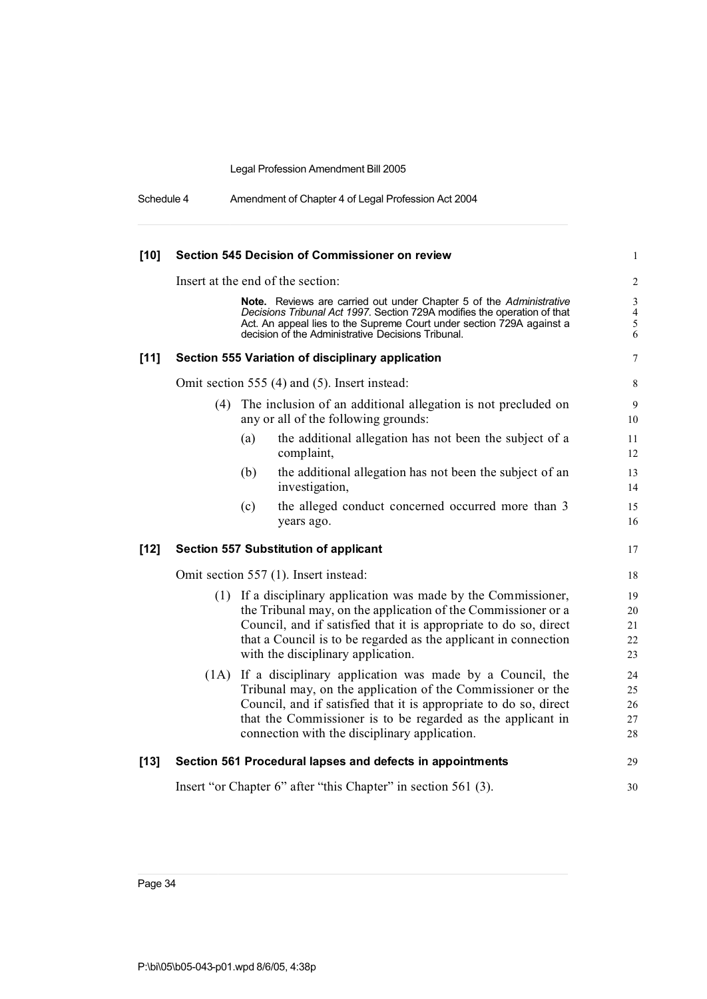| Schedule 4 | Amendment of Chapter 4 of Legal Profession Act 2004 |
|------------|-----------------------------------------------------|
|------------|-----------------------------------------------------|

| $[10]$ | Section 545 Decision of Commissioner on review                 |                                                                                                                                                                                                                                                                                                                |                                                     |
|--------|----------------------------------------------------------------|----------------------------------------------------------------------------------------------------------------------------------------------------------------------------------------------------------------------------------------------------------------------------------------------------------------|-----------------------------------------------------|
|        |                                                                | Insert at the end of the section:                                                                                                                                                                                                                                                                              | $\overline{2}$                                      |
|        |                                                                | Note. Reviews are carried out under Chapter 5 of the Administrative<br>Decisions Tribunal Act 1997. Section 729A modifies the operation of that<br>Act. An appeal lies to the Supreme Court under section 729A against a<br>decision of the Administrative Decisions Tribunal.                                 | $\mathfrak{Z}$<br>$\overline{4}$<br>$\sqrt{5}$<br>6 |
| $[11]$ |                                                                | Section 555 Variation of disciplinary application                                                                                                                                                                                                                                                              | $\overline{7}$                                      |
|        |                                                                | Omit section 555 (4) and (5). Insert instead:                                                                                                                                                                                                                                                                  | 8                                                   |
|        | (4)                                                            | The inclusion of an additional allegation is not precluded on<br>any or all of the following grounds:                                                                                                                                                                                                          | 9<br>10                                             |
|        |                                                                | (a)<br>the additional allegation has not been the subject of a<br>complaint,                                                                                                                                                                                                                                   | 11<br>12                                            |
|        |                                                                | the additional allegation has not been the subject of an<br>(b)<br>investigation,                                                                                                                                                                                                                              | 13<br>14                                            |
|        |                                                                | (c)<br>the alleged conduct concerned occurred more than 3<br>years ago.                                                                                                                                                                                                                                        | 15<br>16                                            |
| $[12]$ |                                                                | <b>Section 557 Substitution of applicant</b>                                                                                                                                                                                                                                                                   | 17                                                  |
|        | Omit section 557 (1). Insert instead:                          |                                                                                                                                                                                                                                                                                                                | 18                                                  |
|        |                                                                | (1) If a disciplinary application was made by the Commissioner,<br>the Tribunal may, on the application of the Commissioner or a<br>Council, and if satisfied that it is appropriate to do so, direct<br>that a Council is to be regarded as the applicant in connection<br>with the disciplinary application. | 19<br>20<br>21<br>22<br>23                          |
|        | (1A)                                                           | If a disciplinary application was made by a Council, the<br>Tribunal may, on the application of the Commissioner or the<br>Council, and if satisfied that it is appropriate to do so, direct<br>that the Commissioner is to be regarded as the applicant in<br>connection with the disciplinary application.   | 24<br>25<br>26<br>27<br>28                          |
| $[13]$ |                                                                | Section 561 Procedural lapses and defects in appointments                                                                                                                                                                                                                                                      | 29                                                  |
|        | Insert "or Chapter 6" after "this Chapter" in section 561 (3). |                                                                                                                                                                                                                                                                                                                |                                                     |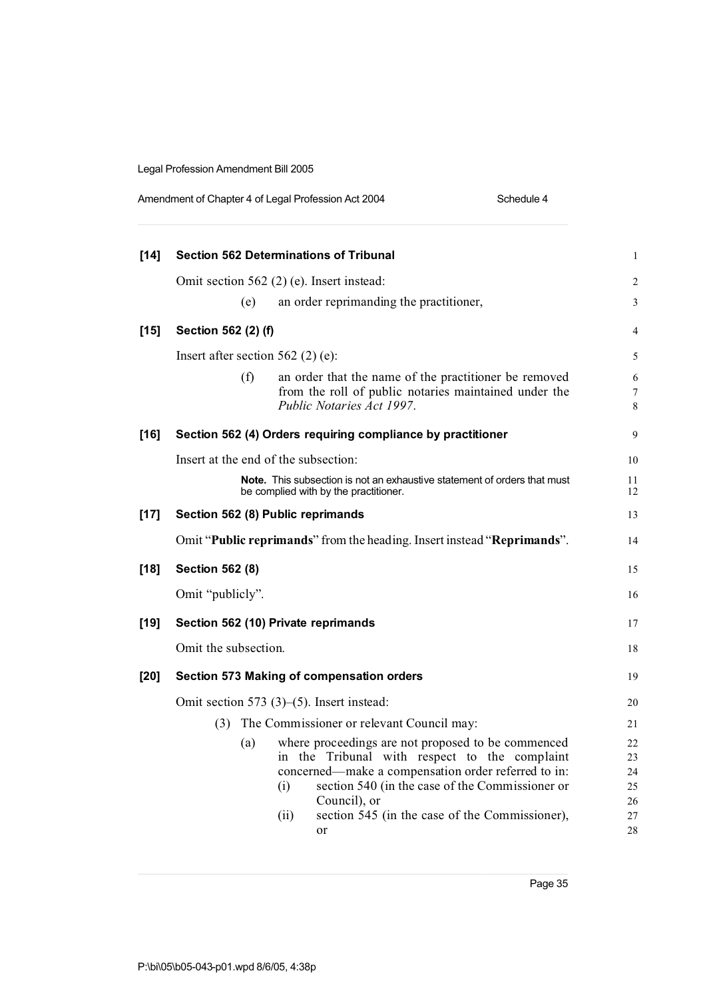| Amendment of Chapter 4 of Legal Profession Act 2004 | Schedule 4 |
|-----------------------------------------------------|------------|
|-----------------------------------------------------|------------|

| $[14]$ | <b>Section 562 Determinations of Tribunal</b>                                                                                                                                                                               | $\mathbf{1}$         |
|--------|-----------------------------------------------------------------------------------------------------------------------------------------------------------------------------------------------------------------------------|----------------------|
|        | Omit section 562 (2) (e). Insert instead:                                                                                                                                                                                   | 2                    |
|        | an order reprimanding the practitioner,<br>(e)                                                                                                                                                                              | 3                    |
| $[15]$ | Section 562 (2) (f)                                                                                                                                                                                                         | 4                    |
|        | Insert after section $562$ (2) (e):                                                                                                                                                                                         | 5                    |
|        | (f)<br>an order that the name of the practitioner be removed<br>from the roll of public notaries maintained under the<br>Public Notaries Act 1997.                                                                          | 6<br>7<br>8          |
| $[16]$ | Section 562 (4) Orders requiring compliance by practitioner                                                                                                                                                                 | 9                    |
|        | Insert at the end of the subsection:                                                                                                                                                                                        | 10                   |
|        | <b>Note.</b> This subsection is not an exhaustive statement of orders that must<br>be complied with by the practitioner.                                                                                                    | 11<br>12             |
| $[17]$ | Section 562 (8) Public reprimands                                                                                                                                                                                           | 13                   |
|        | Omit "Public reprimands" from the heading. Insert instead "Reprimands".                                                                                                                                                     | 14                   |
| $[18]$ | <b>Section 562 (8)</b>                                                                                                                                                                                                      | 15                   |
|        | Omit "publicly".                                                                                                                                                                                                            | 16                   |
| $[19]$ | Section 562 (10) Private reprimands                                                                                                                                                                                         | 17                   |
|        | Omit the subsection.                                                                                                                                                                                                        | 18                   |
| $[20]$ | Section 573 Making of compensation orders                                                                                                                                                                                   | 19                   |
|        | Omit section 573 $(3)$ – $(5)$ . Insert instead:                                                                                                                                                                            | 20                   |
|        | The Commissioner or relevant Council may:<br>(3)                                                                                                                                                                            | 21                   |
|        | where proceedings are not proposed to be commenced<br>(a)<br>in the Tribunal with respect to the complaint<br>concerned—make a compensation order referred to in:<br>section 540 (in the case of the Commissioner or<br>(i) | 22<br>23<br>24<br>25 |
|        | Council), or<br>section 545 (in the case of the Commissioner),<br>(i)<br>or                                                                                                                                                 | 26<br>27<br>28       |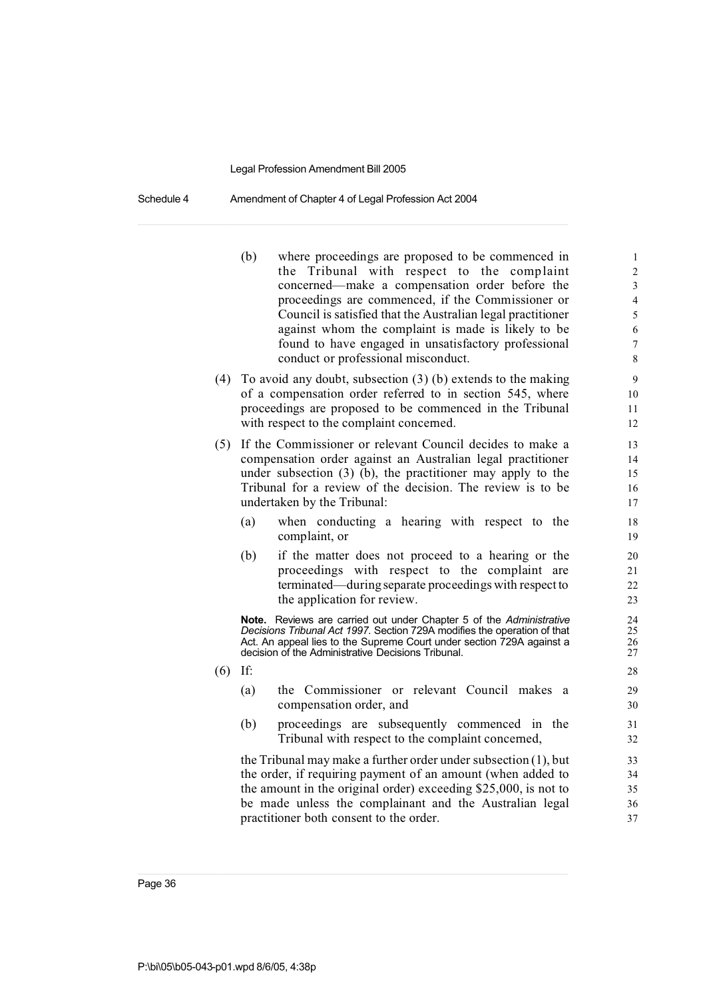Schedule 4 Amendment of Chapter 4 of Legal Profession Act 2004

- (b) where proceedings are proposed to be commenced in 1 the Tribunal with respect to the complaint 2 concerned—make a compensation order before the 3 proceedings are commenced, if the Commissioner or 4 Council is satisfied that the Australian legal practitioner 5 against whom the complaint is made is likely to be  $6<sub>6</sub>$ found to have engaged in unsatisfactory professional 7 conduct or professional misconduct. 8
- (4) To avoid any doubt, subsection  $(3)$  (b) extends to the making 9 of a compensation order referred to in section 545, where 10 proceedings are proposed to be commenced in the Tribunal 11 with respect to the complaint concerned.
- (5) If the Commissioner or relevant Council decides to make a 13 compensation order against an Australian legal practitioner 14 under subsection (3) (b), the practitioner may apply to the 15 Tribunal for a review of the decision. The review is to be 16 undertaken by the Tribunal: 17
	- (a) when conducting a hearing with respect to the 18 complaint, or 19
	- (b) if the matter does not proceed to a hearing or the 20 proceedings with respect to the complaint are 21 terminated—duringseparate proceedings with respect to 22 the application for review. 23

**Note.** Reviews are carried out under Chapter 5 of the *Administrative*<br>*Decisions Tribunal Act 1997* Section 729A modifies the operation of that **Decisions Tribunal Act 1997. Section 729A modifies the operation of that 25<br>Act. An appeal lies to the Supreme Court under section 729A against a 26** Act. An appeal lies to the Supreme Court under section 729A against a  $26$ <br>decision of the Administrative Decisions Tribunal. decision of the Administrative Decisions Tribunal.

- (6) If: 28
	- (a) the Commissioner or relevant Council makes a 29 compensation order, and 30
	- (b) proceedings are subsequently commenced in the 31 Tribunal with respect to the complaint concerned,  $32$

the Tribunal may make a further order under subsection  $(1)$ , but  $33$ the order, if requiring payment of an amount (when added to 34 the amount in the original order) exceeding \$25,000, is not to 35 be made unless the complainant and the Australian legal 36 practitioner both consent to the order. 37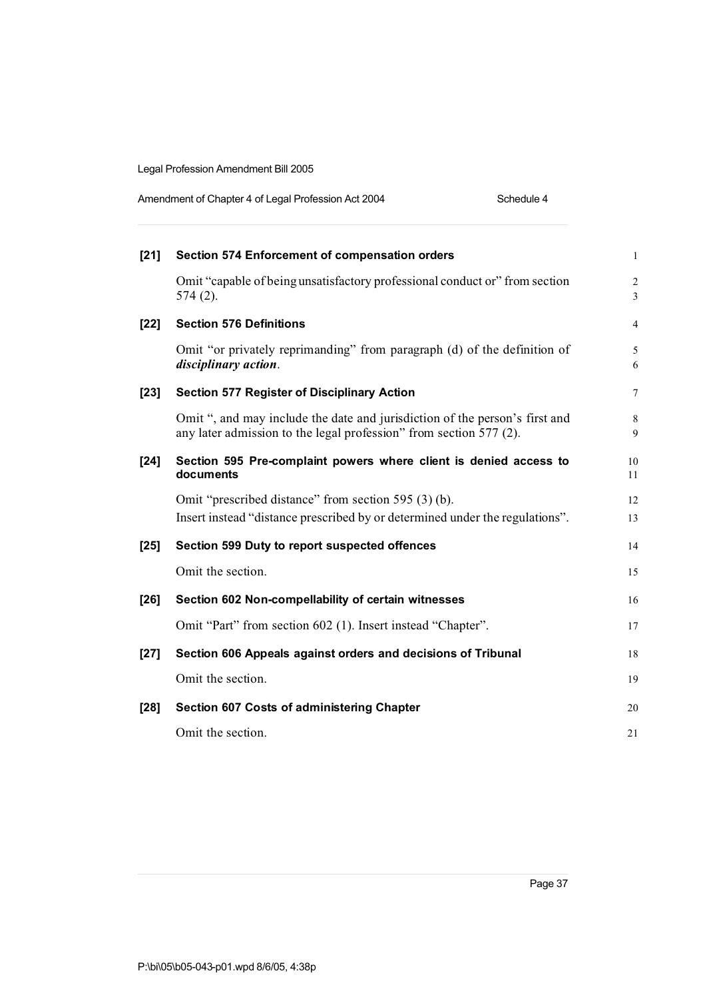| Amendment of Chapter 4 of Legal Profession Act 2004 | Schedule 4 |
|-----------------------------------------------------|------------|
|-----------------------------------------------------|------------|

| $[21]$ | Section 574 Enforcement of compensation orders                                                                                                    | $\mathbf{1}$            |
|--------|---------------------------------------------------------------------------------------------------------------------------------------------------|-------------------------|
|        | Omit "capable of being unsatisfactory professional conduct or" from section<br>$574(2)$ .                                                         | $\overline{2}$<br>3     |
| $[22]$ | <b>Section 576 Definitions</b>                                                                                                                    | $\overline{4}$          |
|        | Omit "or privately reprimanding" from paragraph (d) of the definition of<br>disciplinary action.                                                  | 5<br>6                  |
| $[23]$ | <b>Section 577 Register of Disciplinary Action</b>                                                                                                | $\tau$                  |
|        | Omit ", and may include the date and jurisdiction of the person's first and<br>any later admission to the legal profession" from section 577 (2). | $\,8\,$<br>$\mathbf{Q}$ |
| $[24]$ | Section 595 Pre-complaint powers where client is denied access to<br>documents                                                                    | 10<br>11                |
|        | Omit "prescribed distance" from section 595 (3) (b).<br>Insert instead "distance prescribed by or determined under the regulations".              | 12<br>13                |
| $[25]$ | Section 599 Duty to report suspected offences                                                                                                     | 14                      |
|        | Omit the section.                                                                                                                                 | 15                      |
| $[26]$ | Section 602 Non-compellability of certain witnesses                                                                                               | 16                      |
|        | Omit "Part" from section 602 (1). Insert instead "Chapter".                                                                                       | 17                      |
| $[27]$ | Section 606 Appeals against orders and decisions of Tribunal                                                                                      | 18                      |
|        | Omit the section.                                                                                                                                 | 19                      |
| $[28]$ | <b>Section 607 Costs of administering Chapter</b>                                                                                                 | 20                      |
|        | Omit the section.                                                                                                                                 | 21                      |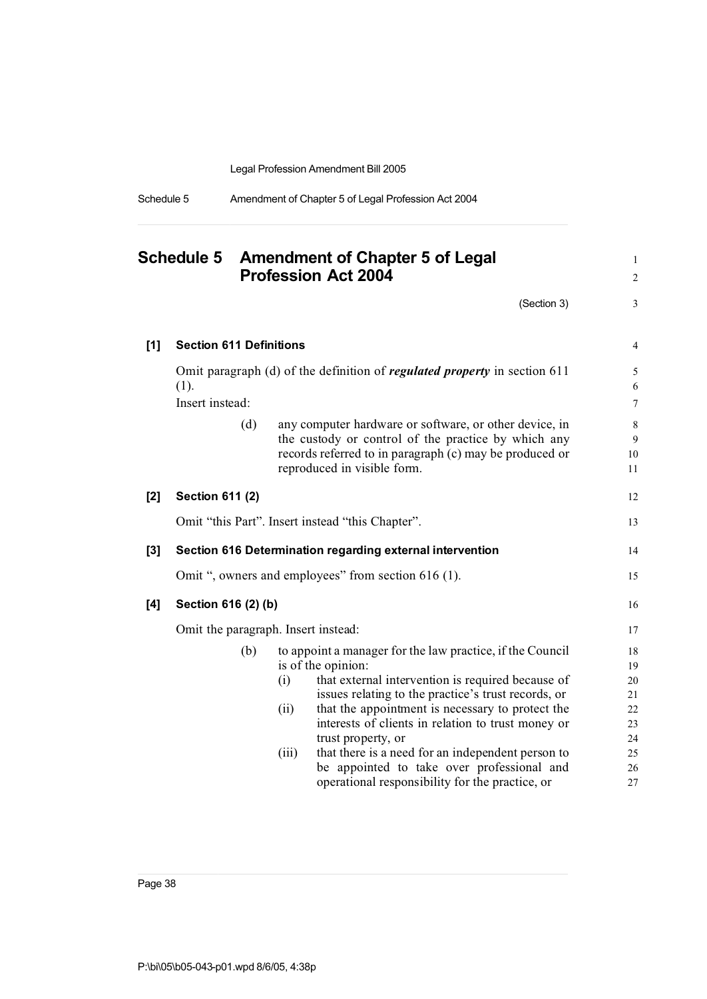| Schedule 5 | Amendment of Chapter 5 of Legal Profession Act 2004 |
|------------|-----------------------------------------------------|
|            |                                                     |

|       | <b>Schedule 5</b>              | <b>Amendment of Chapter 5 of Legal</b><br><b>Profession Act 2004</b>                                                                                                                                                                                                                                                                                                                                                                                   | $\mathbf{1}$<br>$\sqrt{2}$                         |
|-------|--------------------------------|--------------------------------------------------------------------------------------------------------------------------------------------------------------------------------------------------------------------------------------------------------------------------------------------------------------------------------------------------------------------------------------------------------------------------------------------------------|----------------------------------------------------|
|       |                                | (Section 3)                                                                                                                                                                                                                                                                                                                                                                                                                                            | $\mathfrak{Z}$                                     |
| $[1]$ | <b>Section 611 Definitions</b> |                                                                                                                                                                                                                                                                                                                                                                                                                                                        | 4                                                  |
|       | (1).<br>Insert instead:        | Omit paragraph (d) of the definition of <i>regulated property</i> in section 611                                                                                                                                                                                                                                                                                                                                                                       | 5<br>6<br>$\tau$                                   |
|       | (d)                            | any computer hardware or software, or other device, in<br>the custody or control of the practice by which any<br>records referred to in paragraph (c) may be produced or<br>reproduced in visible form.                                                                                                                                                                                                                                                | 8<br>9<br>10<br>11                                 |
| $[2]$ | <b>Section 611 (2)</b>         |                                                                                                                                                                                                                                                                                                                                                                                                                                                        | 12                                                 |
|       |                                | Omit "this Part". Insert instead "this Chapter".                                                                                                                                                                                                                                                                                                                                                                                                       | 13                                                 |
| $[3]$ |                                | Section 616 Determination regarding external intervention                                                                                                                                                                                                                                                                                                                                                                                              | 14                                                 |
|       |                                | Omit ", owners and employees" from section 616 (1).                                                                                                                                                                                                                                                                                                                                                                                                    | 15                                                 |
| [4]   | Section 616 (2) (b)            |                                                                                                                                                                                                                                                                                                                                                                                                                                                        | 16                                                 |
|       |                                | Omit the paragraph. Insert instead:                                                                                                                                                                                                                                                                                                                                                                                                                    | 17                                                 |
|       | (b)                            | to appoint a manager for the law practice, if the Council<br>is of the opinion:<br>that external intervention is required because of<br>(i)<br>issues relating to the practice's trust records, or<br>that the appointment is necessary to protect the<br>(ii)<br>interests of clients in relation to trust money or<br>trust property, or<br>that there is a need for an independent person to<br>(iii)<br>be appointed to take over professional and | 18<br>19<br>20<br>21<br>22<br>23<br>24<br>25<br>26 |
|       |                                | operational responsibility for the practice, or                                                                                                                                                                                                                                                                                                                                                                                                        | 27                                                 |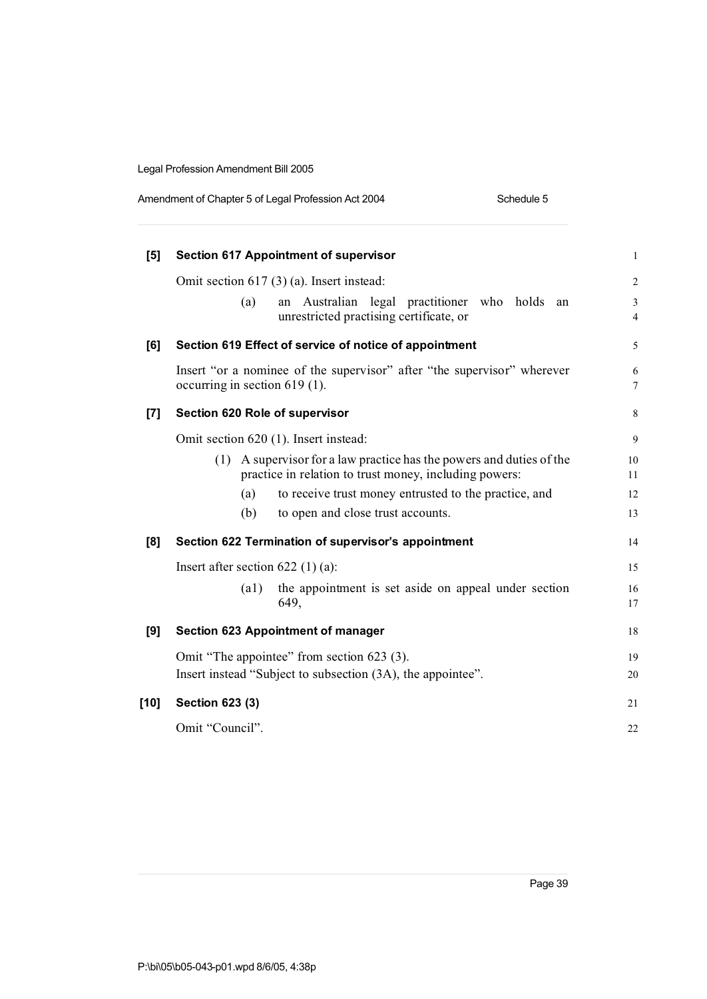| Amendment of Chapter 5 of Legal Profession Act 2004 | Schedule 5 |
|-----------------------------------------------------|------------|
|                                                     |            |

| [5]    | <b>Section 617 Appointment of supervisor</b>                                                                                      | $\mathbf{1}$        |
|--------|-----------------------------------------------------------------------------------------------------------------------------------|---------------------|
|        | Omit section $617(3)(a)$ . Insert instead:                                                                                        | $\overline{2}$      |
|        | Australian<br>legal practitioner<br>who holds<br>(a)<br>an<br>an<br>unrestricted practising certificate, or                       | 3<br>$\overline{4}$ |
| [6]    | Section 619 Effect of service of notice of appointment                                                                            | 5                   |
|        | Insert "or a nominee of the supervisor" after "the supervisor" wherever<br>occurring in section $619(1)$ .                        | 6<br>7              |
| [7]    | Section 620 Role of supervisor                                                                                                    | 8                   |
|        | Omit section 620 (1). Insert instead:                                                                                             | 9                   |
|        | A supervisor for a law practice has the powers and duties of the<br>(1)<br>practice in relation to trust money, including powers: | 10<br>11            |
|        | to receive trust money entrusted to the practice, and<br>(a)                                                                      | 12                  |
|        | (b)<br>to open and close trust accounts.                                                                                          | 13                  |
| [8]    | Section 622 Termination of supervisor's appointment                                                                               | 14                  |
|        | Insert after section $622$ (1) (a):                                                                                               | 15                  |
|        | the appointment is set aside on appeal under section<br>$\left( a1\right)$<br>649,                                                | 16<br>17            |
| [9]    | <b>Section 623 Appointment of manager</b>                                                                                         | 18                  |
|        | Omit "The appointee" from section 623 (3).                                                                                        | 19                  |
|        | Insert instead "Subject to subsection (3A), the appointee".                                                                       | 20                  |
| $[10]$ | Section 623 (3)                                                                                                                   | 21                  |
|        | Omit "Council".                                                                                                                   | 22                  |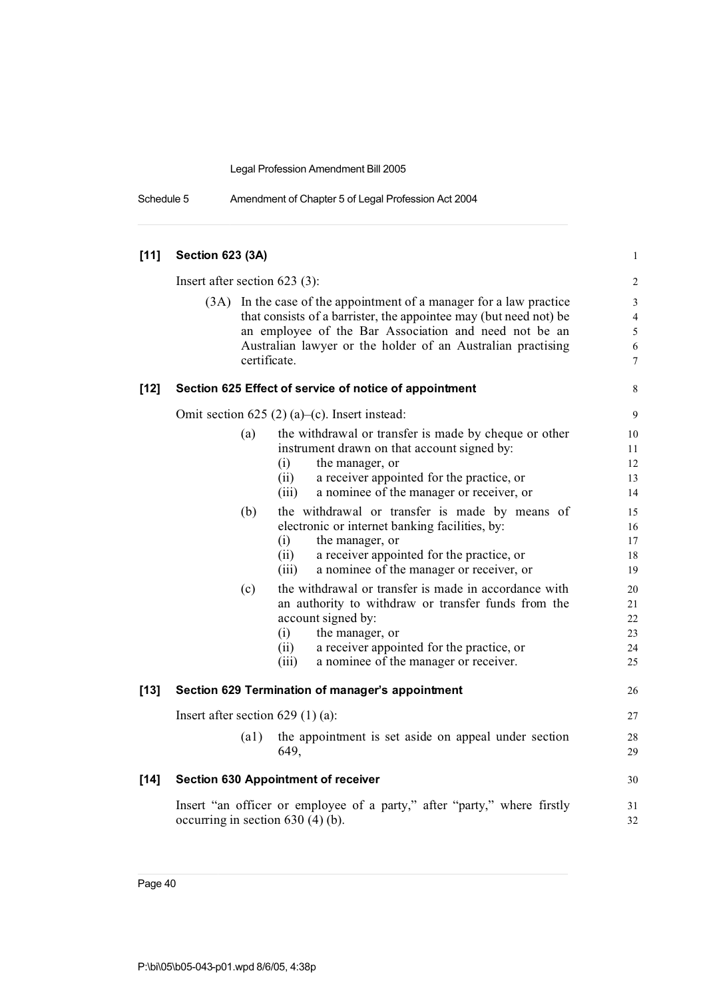| Schedule 5 | Amendment of Chapter 5 of Legal Profession Act 2004 |
|------------|-----------------------------------------------------|
|------------|-----------------------------------------------------|

| $[11]$ | <b>Section 623 (3A)</b>                          |                                                                                                                                                                                                                                                                                                                                                                                                                                                                                                                                                                                                                                                                                                                                                         | $\mathbf{1}$                                                                                     |
|--------|--------------------------------------------------|---------------------------------------------------------------------------------------------------------------------------------------------------------------------------------------------------------------------------------------------------------------------------------------------------------------------------------------------------------------------------------------------------------------------------------------------------------------------------------------------------------------------------------------------------------------------------------------------------------------------------------------------------------------------------------------------------------------------------------------------------------|--------------------------------------------------------------------------------------------------|
|        | Insert after section $623$ (3):                  |                                                                                                                                                                                                                                                                                                                                                                                                                                                                                                                                                                                                                                                                                                                                                         | $\sqrt{2}$                                                                                       |
|        |                                                  | (3A) In the case of the appointment of a manager for a law practice<br>that consists of a barrister, the appointee may (but need not) be<br>an employee of the Bar Association and need not be an<br>Australian lawyer or the holder of an Australian practising<br>certificate.                                                                                                                                                                                                                                                                                                                                                                                                                                                                        | $\ensuremath{\mathfrak{Z}}$<br>$\overline{4}$<br>$\sqrt{5}$<br>$\sqrt{6}$<br>$\boldsymbol{7}$    |
| $[12]$ |                                                  | Section 625 Effect of service of notice of appointment                                                                                                                                                                                                                                                                                                                                                                                                                                                                                                                                                                                                                                                                                                  | $\,8\,$                                                                                          |
|        |                                                  | Omit section 625 (2) (a)–(c). Insert instead:                                                                                                                                                                                                                                                                                                                                                                                                                                                                                                                                                                                                                                                                                                           | 9                                                                                                |
|        | (a)<br>(b)<br>(c)                                | the withdrawal or transfer is made by cheque or other<br>instrument drawn on that account signed by:<br>(i)<br>the manager, or<br>a receiver appointed for the practice, or<br>(ii)<br>a nominee of the manager or receiver, or<br>(iii)<br>the withdrawal or transfer is made by means of<br>electronic or internet banking facilities, by:<br>the manager, or<br>(i)<br>a receiver appointed for the practice, or<br>(ii)<br>a nominee of the manager or receiver, or<br>(iii)<br>the withdrawal or transfer is made in accordance with<br>an authority to withdraw or transfer funds from the<br>account signed by:<br>(i)<br>the manager, or<br>a receiver appointed for the practice, or<br>(ii)<br>(iii)<br>a nominee of the manager or receiver. | 10<br>11<br>12<br>13<br>14<br>15<br>16<br>17<br>18<br>19<br>20<br>21<br>$22\,$<br>23<br>24<br>25 |
| $[13]$ | Section 629 Termination of manager's appointment |                                                                                                                                                                                                                                                                                                                                                                                                                                                                                                                                                                                                                                                                                                                                                         | 26                                                                                               |
|        | Insert after section $629(1)(a)$ :               |                                                                                                                                                                                                                                                                                                                                                                                                                                                                                                                                                                                                                                                                                                                                                         | $27\,$                                                                                           |
|        | $\left( a1\right)$                               | the appointment is set aside on appeal under section<br>649,                                                                                                                                                                                                                                                                                                                                                                                                                                                                                                                                                                                                                                                                                            | 28<br>29                                                                                         |
| $[14]$ |                                                  | <b>Section 630 Appointment of receiver</b>                                                                                                                                                                                                                                                                                                                                                                                                                                                                                                                                                                                                                                                                                                              | 30                                                                                               |
|        | occurring in section $630(4)(b)$ .               | Insert "an officer or employee of a party," after "party," where firstly                                                                                                                                                                                                                                                                                                                                                                                                                                                                                                                                                                                                                                                                                | 31<br>32                                                                                         |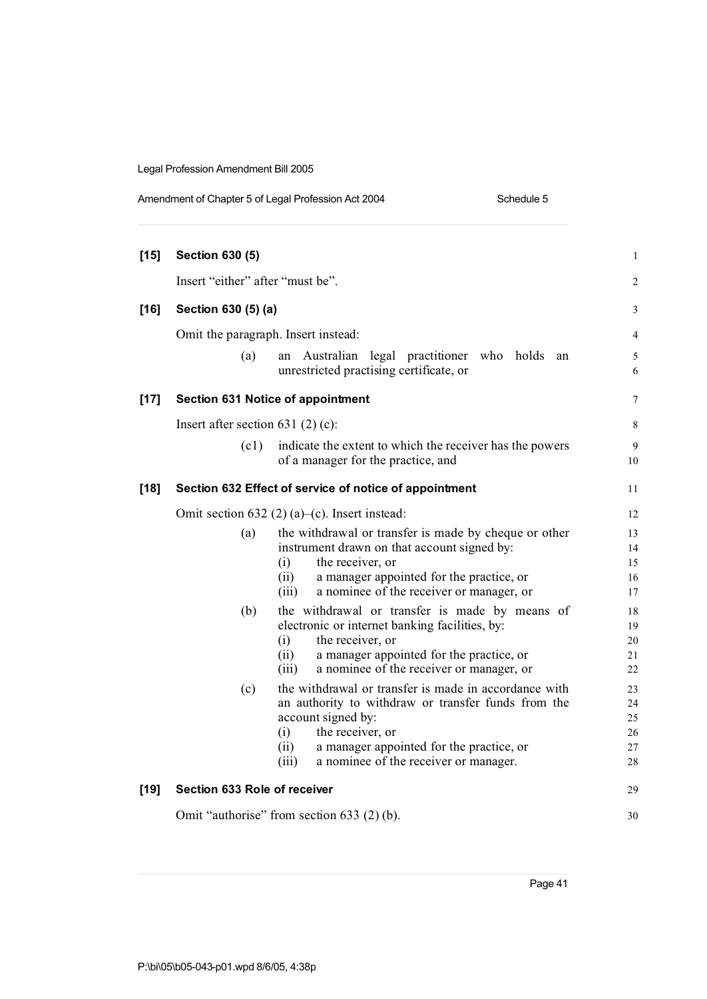| $[15]$ | <b>Section 630 (5)</b>                 |                                                                                                       | $\mathbf{1}$   |
|--------|----------------------------------------|-------------------------------------------------------------------------------------------------------|----------------|
|        | Insert "either" after "must be".       |                                                                                                       | 2              |
| $[16]$ | Section 630 (5) (a)                    |                                                                                                       | 3              |
|        | Omit the paragraph. Insert instead:    |                                                                                                       | $\overline{4}$ |
|        |                                        |                                                                                                       |                |
|        | (a)                                    | an Australian legal practitioner who<br>holds<br>an<br>unrestricted practising certificate, or        | 5<br>6         |
| $[17]$ |                                        | Section 631 Notice of appointment                                                                     | 7              |
|        | Insert after section 631 $(2)$ $(c)$ : |                                                                                                       | 8              |
|        | (c1)                                   | indicate the extent to which the receiver has the powers                                              | 9              |
|        |                                        | of a manager for the practice, and                                                                    | 10             |
| $[18]$ |                                        | Section 632 Effect of service of notice of appointment                                                | 11             |
|        |                                        | Omit section 632 (2) (a)–(c). Insert instead:                                                         | 12             |
|        | (a)                                    | the withdrawal or transfer is made by cheque or other                                                 | 13             |
|        |                                        | instrument drawn on that account signed by:                                                           | 14             |
|        |                                        | the receiver, or<br>(i)<br>a manager appointed for the practice, or<br>(ii)                           | 15<br>16       |
|        |                                        | a nominee of the receiver or manager, or<br>(iii)                                                     | 17             |
|        | (b)                                    | the withdrawal or transfer is made by means of                                                        | 18             |
|        |                                        | electronic or internet banking facilities, by:                                                        | 19             |
|        |                                        | the receiver, or<br>(i)                                                                               | 20             |
|        |                                        | a manager appointed for the practice, or<br>(ii)<br>a nominee of the receiver or manager, or<br>(iii) | 21<br>22       |
|        | (c)                                    | the withdrawal or transfer is made in accordance with                                                 | 23             |
|        |                                        | an authority to withdraw or transfer funds from the                                                   | 24             |
|        |                                        | account signed by:                                                                                    | 25             |
|        |                                        | the receiver, or<br>(i)                                                                               | 26             |
|        |                                        | (ii)<br>a manager appointed for the practice, or<br>a nominee of the receiver or manager.<br>(iii)    | 27<br>28       |
|        |                                        |                                                                                                       |                |
| [19]   | Section 633 Role of receiver           |                                                                                                       | 29             |
|        |                                        | Omit "authorise" from section 633 (2) (b).                                                            | 30             |

Amendment of Chapter 5 of Legal Profession Act 2004 Schedule 5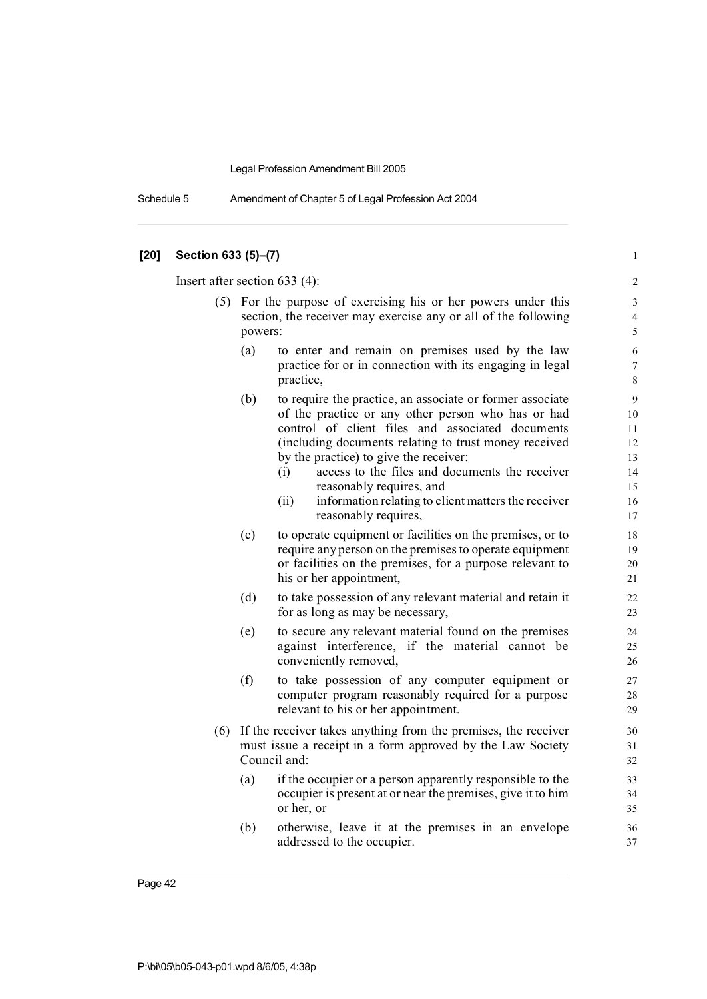Schedule 5 Amendment of Chapter 5 of Legal Profession Act 2004

## **[20] Section 633 (5)–(7)** 1 Insert after section 633 (4): 2 (5) For the purpose of exercising his or her powers under this 3 section, the receiver may exercise any or all of the following 4 powers: 5 (a) to enter and remain on premises used by the law 6 practice for or in connection with its engaging in legal 7 practice, and  $\frac{8}{3}$ (b) to require the practice, an associate or former associate 9 of the practice or any other person who has or had 10 control of client files and associated documents 11 (including documents relating to trust money received 12 by the practice) to give the receiver: 13 (i) access to the files and documents the receiver 14 reasonably requires, and 15 (ii) information relating to client matters the receiver 16 reasonably requires, 17 (c) to operate equipment or facilities on the premises, or to 18 require any person on the premises to operate equipment 19 or facilities on the premises, for a purpose relevant to 20 his or her appointment, 21 (d) to take possession of any relevant material and retain it 22 for as long as may be necessary, 23 (e) to secure any relevant material found on the premises 24 against interference, if the material cannot be 25 conveniently removed, 26 (f) to take possession of any computer equipment or 27 computer program reasonably required for a purpose 28 relevant to his or her appointment. 29 (6) If the receiver takes anything from the premises, the receiver 30 must issue a receipt in a form approved by the Law Society 31 Council and: 32 (a) if the occupier or a person apparently responsible to the 33 occupier is present at or near the premises, give it to him 34 or her, or 35 (b) otherwise, leave it at the premises in an envelope 36 addressed to the occupier. 37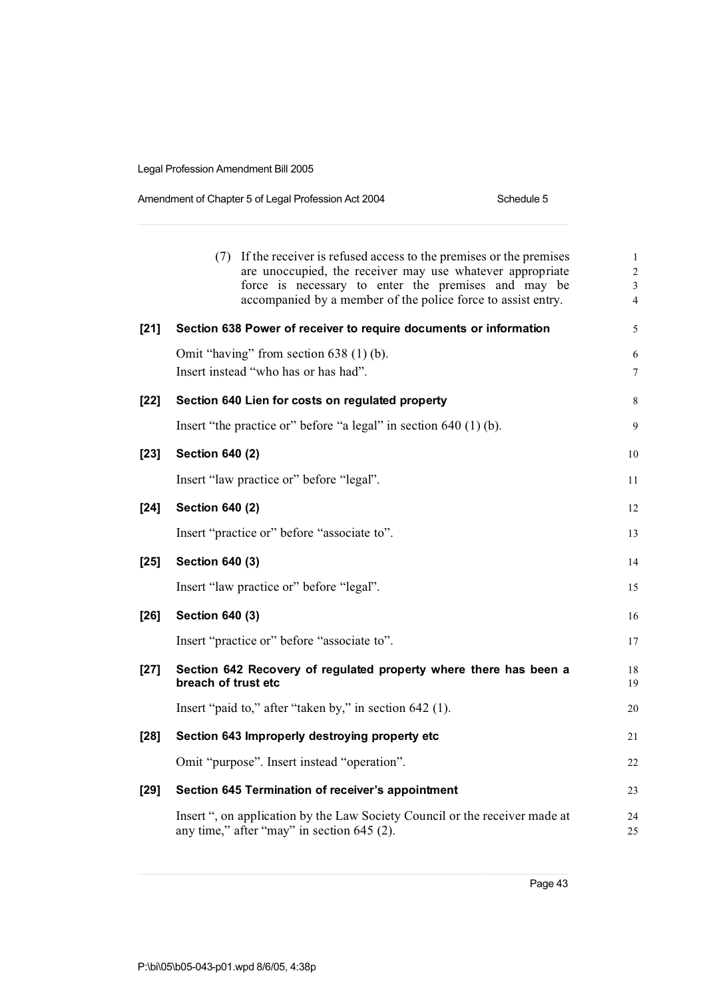| Amendment of Chapter 5 of Legal Profession Act 2004 | Schedule 5 |
|-----------------------------------------------------|------------|
|-----------------------------------------------------|------------|

|        | (7) If the receiver is refused access to the premises or the premises<br>are unoccupied, the receiver may use whatever appropriate<br>force is necessary to enter the premises and may be<br>accompanied by a member of the police force to assist entry. | $\mathbf{1}$<br>$\overline{2}$<br>$\mathfrak{Z}$<br>$\overline{4}$ |
|--------|-----------------------------------------------------------------------------------------------------------------------------------------------------------------------------------------------------------------------------------------------------------|--------------------------------------------------------------------|
| $[21]$ | Section 638 Power of receiver to require documents or information                                                                                                                                                                                         | 5                                                                  |
|        | Omit "having" from section $638(1)$ (b).<br>Insert instead "who has or has had".                                                                                                                                                                          | 6<br>$\boldsymbol{7}$                                              |
| $[22]$ | Section 640 Lien for costs on regulated property                                                                                                                                                                                                          | 8                                                                  |
|        | Insert "the practice or" before "a legal" in section $640(1)(b)$ .                                                                                                                                                                                        | 9                                                                  |
| $[23]$ | <b>Section 640 (2)</b>                                                                                                                                                                                                                                    | 10                                                                 |
|        | Insert "law practice or" before "legal".                                                                                                                                                                                                                  | 11                                                                 |
| $[24]$ | <b>Section 640 (2)</b>                                                                                                                                                                                                                                    | 12                                                                 |
|        | Insert "practice or" before "associate to".                                                                                                                                                                                                               | 13                                                                 |
| $[25]$ | <b>Section 640 (3)</b>                                                                                                                                                                                                                                    | 14                                                                 |
|        | Insert "law practice or" before "legal".                                                                                                                                                                                                                  | 15                                                                 |
| $[26]$ | Section 640 (3)                                                                                                                                                                                                                                           | 16                                                                 |
|        | Insert "practice or" before "associate to".                                                                                                                                                                                                               | 17                                                                 |
| $[27]$ | Section 642 Recovery of regulated property where there has been a<br>breach of trust etc                                                                                                                                                                  | 18<br>19                                                           |
|        | Insert "paid to," after "taken by," in section 642 (1).                                                                                                                                                                                                   | 20                                                                 |
| $[28]$ | Section 643 Improperly destroying property etc                                                                                                                                                                                                            | 21                                                                 |
|        | Omit "purpose". Insert instead "operation".                                                                                                                                                                                                               | 22                                                                 |
| $[29]$ | Section 645 Termination of receiver's appointment                                                                                                                                                                                                         | 23                                                                 |
|        | Insert ", on application by the Law Society Council or the receiver made at<br>any time," after "may" in section 645 (2).                                                                                                                                 | 24<br>25                                                           |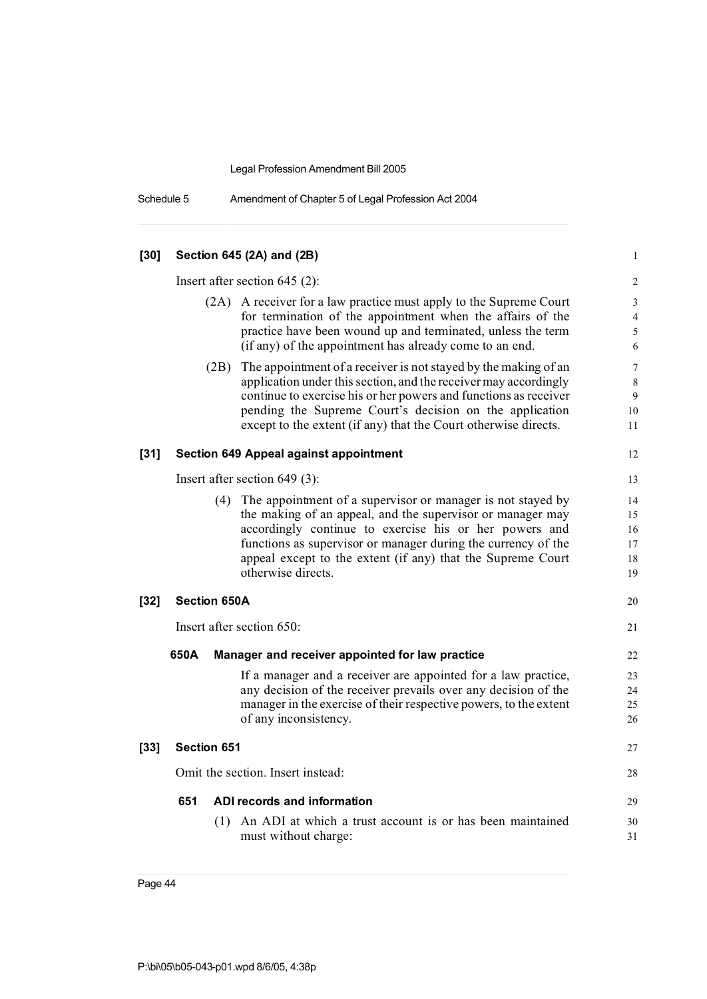Schedule 5 Amendment of Chapter 5 of Legal Profession Act 2004

| $[30]$ |                     |      | Section 645 (2A) and (2B)                                                                                                                                                                                                                                                                                                                     | $\mathbf{1}$                     |
|--------|---------------------|------|-----------------------------------------------------------------------------------------------------------------------------------------------------------------------------------------------------------------------------------------------------------------------------------------------------------------------------------------------|----------------------------------|
|        |                     |      | Insert after section $645$ (2):                                                                                                                                                                                                                                                                                                               | 2                                |
|        |                     |      | (2A) A receiver for a law practice must apply to the Supreme Court<br>for termination of the appointment when the affairs of the<br>practice have been wound up and terminated, unless the term<br>(if any) of the appointment has already come to an end.                                                                                    | 3<br>$\overline{4}$<br>5<br>6    |
|        |                     | (2B) | The appointment of a receiver is not stayed by the making of an<br>application under this section, and the receiver may accordingly<br>continue to exercise his or her powers and functions as receiver<br>pending the Supreme Court's decision on the application<br>except to the extent (if any) that the Court otherwise directs.         | $\tau$<br>8<br>9<br>10<br>11     |
| $[31]$ |                     |      | <b>Section 649 Appeal against appointment</b>                                                                                                                                                                                                                                                                                                 | 12                               |
|        |                     |      | Insert after section $649(3)$ :                                                                                                                                                                                                                                                                                                               | 13                               |
|        |                     |      | (4) The appointment of a supervisor or manager is not stayed by<br>the making of an appeal, and the supervisor or manager may<br>accordingly continue to exercise his or her powers and<br>functions as supervisor or manager during the currency of the<br>appeal except to the extent (if any) that the Supreme Court<br>otherwise directs. | 14<br>15<br>16<br>17<br>18<br>19 |
| $[32]$ | <b>Section 650A</b> |      |                                                                                                                                                                                                                                                                                                                                               | 20                               |
|        |                     |      | Insert after section 650:                                                                                                                                                                                                                                                                                                                     | 21                               |
|        | 650A                |      | Manager and receiver appointed for law practice                                                                                                                                                                                                                                                                                               | 22                               |
|        |                     |      | If a manager and a receiver are appointed for a law practice,<br>any decision of the receiver prevails over any decision of the<br>manager in the exercise of their respective powers, to the extent<br>of any inconsistency.                                                                                                                 | 23<br>24<br>25<br>26             |
| $[33]$ | <b>Section 651</b>  |      |                                                                                                                                                                                                                                                                                                                                               | 27                               |
|        |                     |      | Omit the section. Insert instead:                                                                                                                                                                                                                                                                                                             | 28                               |
|        | 651                 |      | ADI records and information                                                                                                                                                                                                                                                                                                                   | 29                               |
|        |                     | (1)  | An ADI at which a trust account is or has been maintained<br>must without charge:                                                                                                                                                                                                                                                             | 30<br>31                         |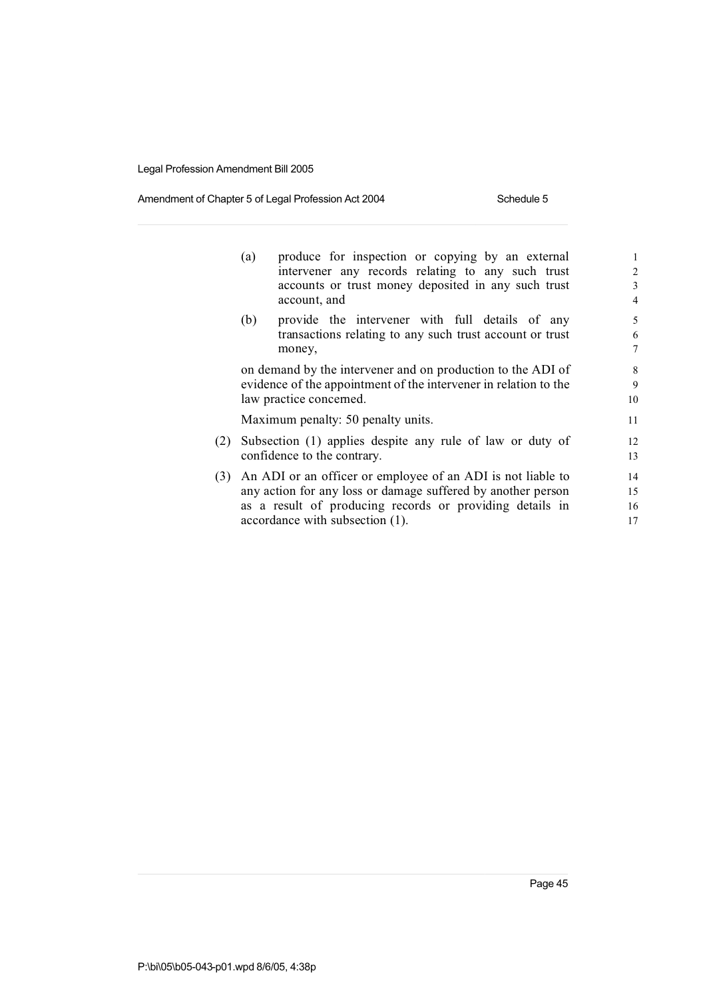### Amendment of Chapter 5 of Legal Profession Act 2004 Schedule 5

|     | (a) | produce for inspection or copying by an external<br>intervener any records relating to any such trust<br>accounts or trust money deposited in any such trust<br>account, and                                               | $\mathbf{1}$<br>$\overline{2}$<br>3<br>$\overline{4}$ |
|-----|-----|----------------------------------------------------------------------------------------------------------------------------------------------------------------------------------------------------------------------------|-------------------------------------------------------|
|     | (b) | provide the intervener with full details of any<br>transactions relating to any such trust account or trust<br>money,                                                                                                      | 5<br>6<br>$\overline{7}$                              |
|     |     | on demand by the intervener and on production to the ADI of<br>evidence of the appointment of the intervener in relation to the<br>law practice concerned.                                                                 | 8<br>9<br>10                                          |
|     |     | Maximum penalty: 50 penalty units.                                                                                                                                                                                         | 11                                                    |
| (2) |     | Subsection (1) applies despite any rule of law or duty of<br>confidence to the contrary.                                                                                                                                   | 12<br>13                                              |
| (3) |     | An ADI or an officer or employee of an ADI is not liable to<br>any action for any loss or damage suffered by another person<br>as a result of producing records or providing details in<br>accordance with subsection (1). | 14<br>15<br>16<br>17                                  |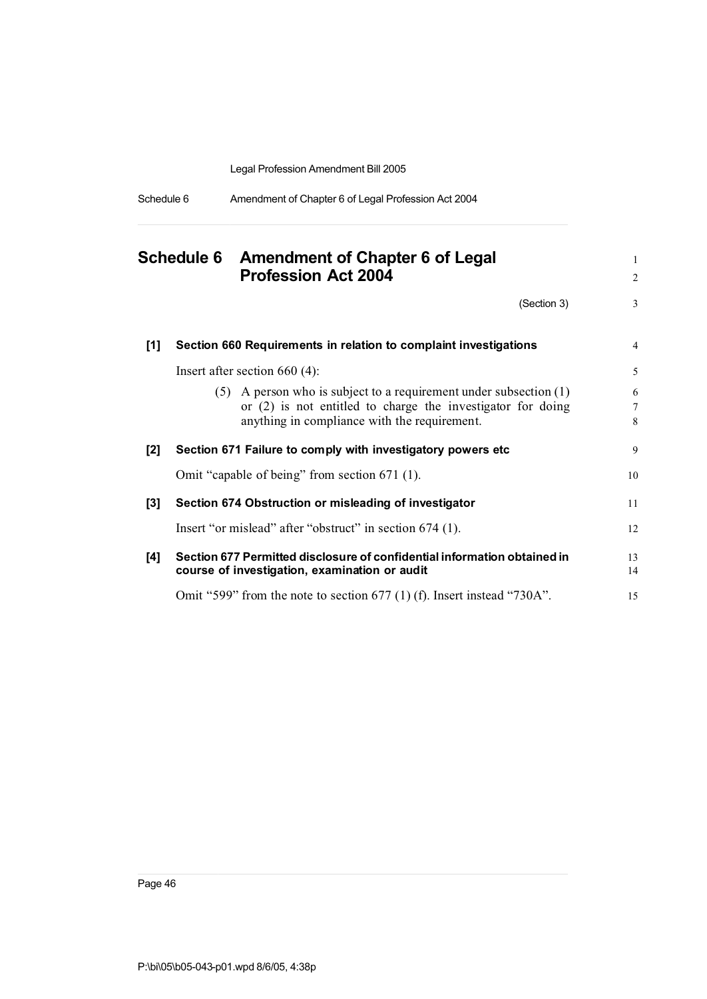| Schedule 6 | Amendment of Chapter 6 of Legal Profession Act 2004 |  |
|------------|-----------------------------------------------------|--|
|            |                                                     |  |

|       |  | Schedule 6 Amendment of Chapter 6 of Legal<br><b>Profession Act 2004</b>                                                                                                               |                  |
|-------|--|----------------------------------------------------------------------------------------------------------------------------------------------------------------------------------------|------------------|
|       |  | (Section 3)                                                                                                                                                                            | 3                |
| $[1]$ |  | Section 660 Requirements in relation to complaint investigations                                                                                                                       | $\overline{4}$   |
|       |  | Insert after section $660(4)$ :                                                                                                                                                        | 5                |
|       |  | $(5)$ A person who is subject to a requirement under subsection $(1)$<br>or $(2)$ is not entitled to charge the investigator for doing<br>anything in compliance with the requirement. | 6<br>$\tau$<br>8 |
| [2]   |  | Section 671 Failure to comply with investigatory powers etc                                                                                                                            | 9                |
|       |  | Omit "capable of being" from section 671 (1).                                                                                                                                          | 10               |
| $[3]$ |  | Section 674 Obstruction or misleading of investigator                                                                                                                                  | 11               |
|       |  | Insert "or mislead" after "obstruct" in section 674 (1).                                                                                                                               | 12               |
| [4]   |  | Section 677 Permitted disclosure of confidential information obtained in<br>course of investigation, examination or audit                                                              | 13<br>14         |
|       |  | Omit "599" from the note to section 677 (1) (f). Insert instead "730A".                                                                                                                | 15               |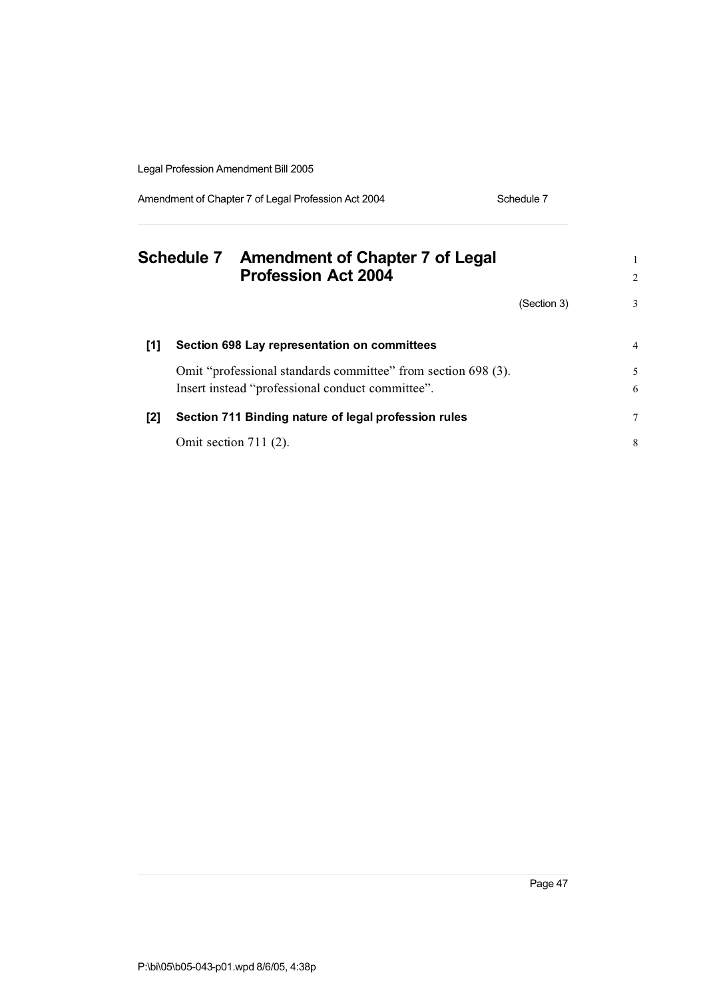Amendment of Chapter 7 of Legal Profession Act 2004 Schedule 7

|       | Schedule 7 Amendment of Chapter 7 of Legal<br><b>Profession Act 2004</b> |             | 2 |
|-------|--------------------------------------------------------------------------|-------------|---|
|       |                                                                          | (Section 3) | 3 |
| [1]   | Section 698 Lay representation on committees                             |             | 4 |
|       | Omit "professional standards committee" from section 698 (3).            |             | 5 |
|       | Insert instead "professional conduct committee".                         |             | 6 |
| $[2]$ | Section 711 Binding nature of legal profession rules                     |             | 7 |
|       | Omit section $711(2)$ .                                                  |             | 8 |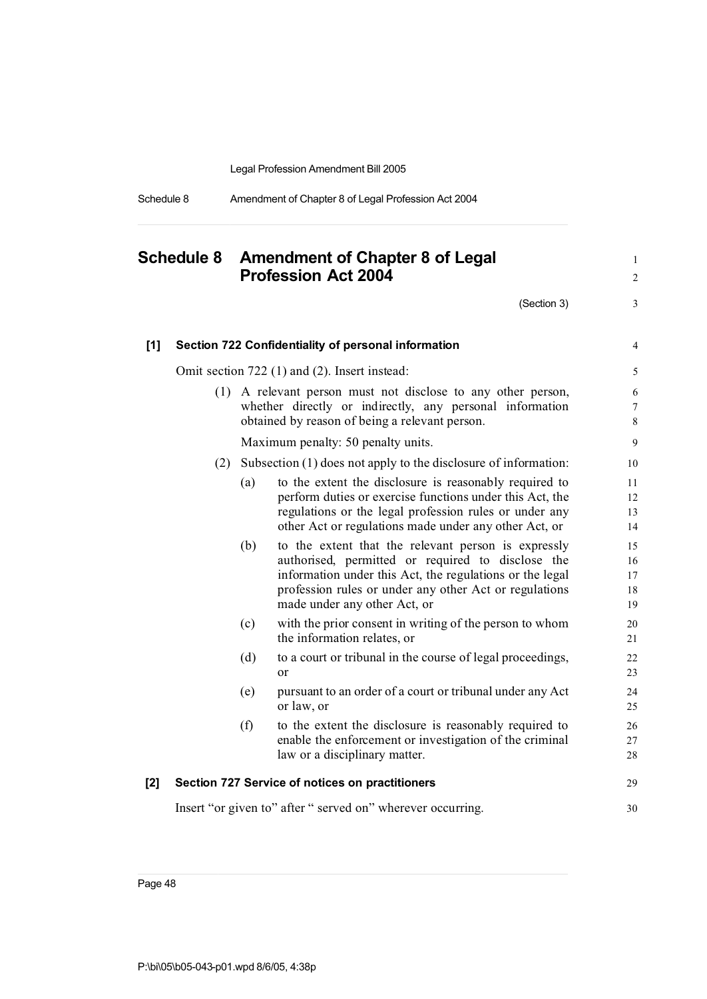| Schedule 8 | Amendment of Chapter 8 of Legal Profession Act 2004 |  |
|------------|-----------------------------------------------------|--|
|            |                                                     |  |

# **Schedule 8 Amendment of Chapter 8 of Legal** <sup>1</sup> **Profession Act 2004** <sup>2</sup>  $(Section 3)$  3 **[1] Section 722 Confidentiality of personal information** 4 Omit section 722 (1) and (2). Insert instead: 5 (1) A relevant person must not disclose to any other person, 6 whether directly or indirectly, any personal information 7 obtained by reason of being a relevant person. 8 Maximum penalty: 50 penalty units. 9 (2) Subsection (1) does not apply to the disclosure of information: 10 (a) to the extent the disclosure is reasonably required to 11 perform duties or exercise functions under this Act, the 12 regulations or the legal profession rules or under any 13 other Act or regulations made under any other Act, or 14 (b) to the extent that the relevant person is expressly 15 authorised, permitted or required to disclose the 16 information under this Act, the regulations or the legal 17 profession rules or under any other Act or regulations 18 made under any other Act, or 19 (c) with the prior consent in writing of the person to whom 20 the information relates, or 21 (d) to a court or tribunal in the course of legal proceedings, 22 or 23 (e) pursuant to an order of a court or tribunal under any Act 24 or law, or 25 (f) to the extent the disclosure is reasonably required to 26 enable the enforcement or investigation of the criminal 27 law or a disciplinary matter. 28 **[2] Section 727 Service of notices on practitioners** 29 Insert "or given to" after " served on" wherever occurring.  $\frac{30}{20}$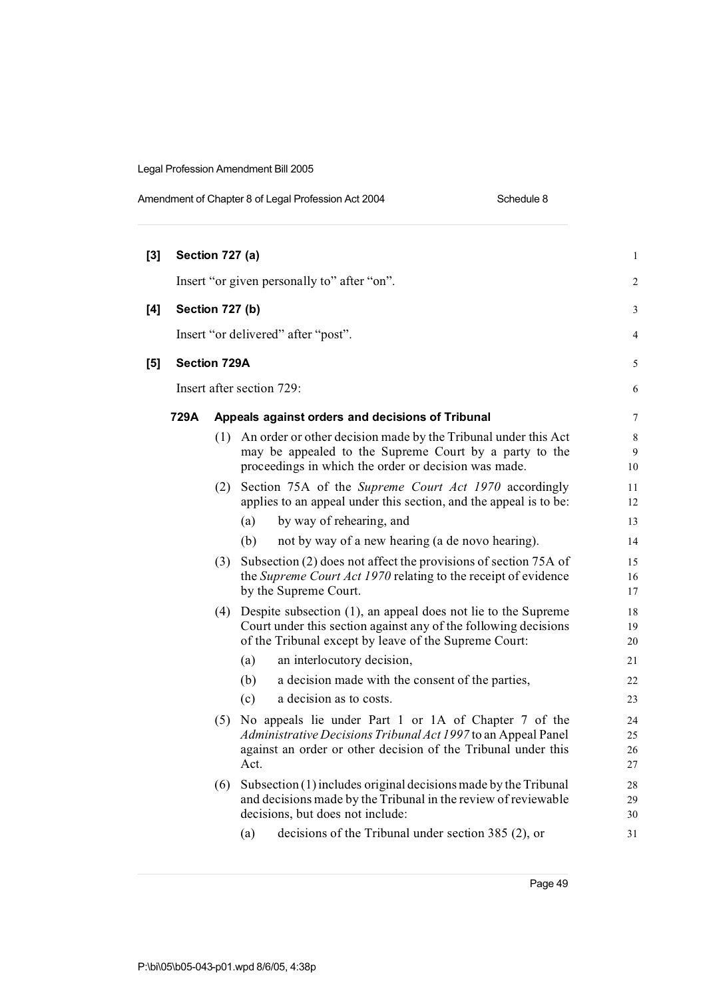|       |                     |     | Amendment of Chapter 8 of Legal Profession Act 2004<br>Schedule 8                                                                                                                                   |                      |
|-------|---------------------|-----|-----------------------------------------------------------------------------------------------------------------------------------------------------------------------------------------------------|----------------------|
| $[3]$ | Section 727 (a)     |     |                                                                                                                                                                                                     | $\mathbf{1}$         |
|       |                     |     | Insert "or given personally to" after "on".                                                                                                                                                         | 2                    |
| [4]   | Section 727 (b)     |     |                                                                                                                                                                                                     | 3                    |
|       |                     |     | Insert "or delivered" after "post".                                                                                                                                                                 | 4                    |
| [5]   | <b>Section 729A</b> |     |                                                                                                                                                                                                     | 5                    |
|       |                     |     | Insert after section 729:                                                                                                                                                                           | 6                    |
|       | 729A                |     | Appeals against orders and decisions of Tribunal                                                                                                                                                    | 7                    |
|       |                     | (1) | An order or other decision made by the Tribunal under this Act<br>may be appealed to the Supreme Court by a party to the<br>proceedings in which the order or decision was made.                    | 8<br>9<br>10         |
|       |                     |     | (2) Section 75A of the Supreme Court Act 1970 accordingly<br>applies to an appeal under this section, and the appeal is to be:                                                                      | 11<br>12             |
|       |                     |     | by way of rehearing, and<br>(a)                                                                                                                                                                     | 13                   |
|       |                     |     | not by way of a new hearing (a de novo hearing).<br>(b)                                                                                                                                             | 14                   |
|       |                     | (3) | Subsection (2) does not affect the provisions of section 75A of<br>the Supreme Court Act 1970 relating to the receipt of evidence<br>by the Supreme Court.                                          | 15<br>16<br>17       |
|       |                     | (4) | Despite subsection $(1)$ , an appeal does not lie to the Supreme<br>Court under this section against any of the following decisions<br>of the Tribunal except by leave of the Supreme Court:        | 18<br>19<br>20       |
|       |                     |     | an interlocutory decision,<br>(a)                                                                                                                                                                   | 21                   |
|       |                     |     | a decision made with the consent of the parties,<br>(b)                                                                                                                                             | 22                   |
|       |                     |     | a decision as to costs.<br>(c)                                                                                                                                                                      | 23                   |
|       |                     |     | (5) No appeals lie under Part 1 or 1A of Chapter 7 of the<br>Administrative Decisions Tribunal Act 1997 to an Appeal Panel<br>against an order or other decision of the Tribunal under this<br>Act. | 24<br>25<br>26<br>27 |
|       |                     | (6) | Subsection (1) includes original decisions made by the Tribunal<br>and decisions made by the Tribunal in the review of reviewable<br>decisions, but does not include:                               | 28<br>29<br>30       |

(a) decisions of the Tribunal under section 385 (2), or 31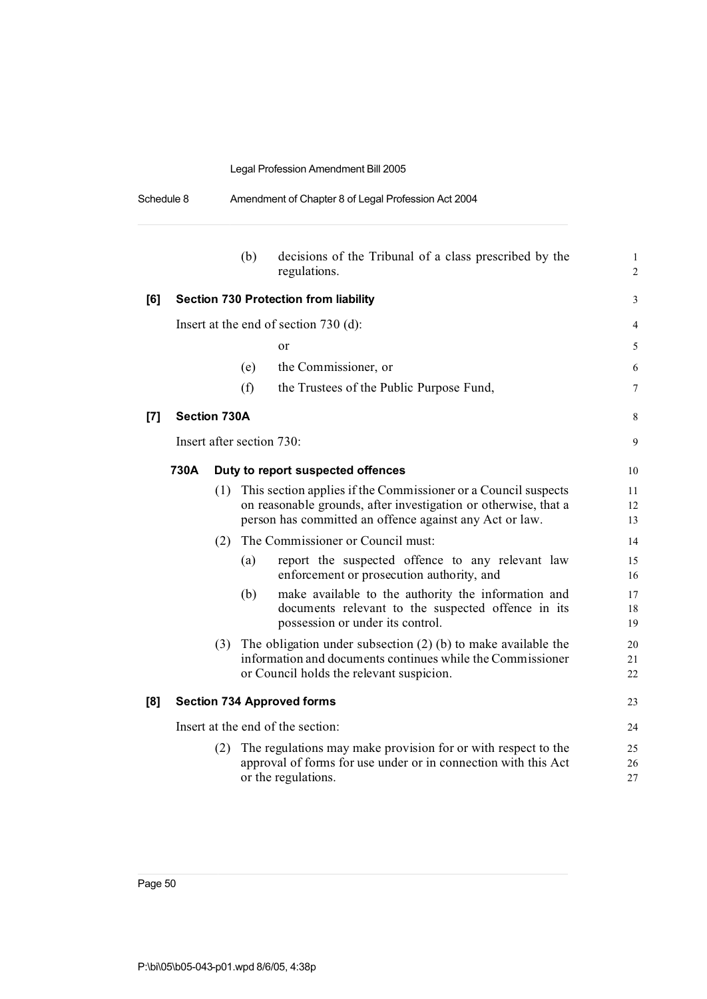| Schedule 8 | Amendment of Chapter 8 of Legal Profession Act 2004 |
|------------|-----------------------------------------------------|
|            |                                                     |

|                                                                                                                                                                                                                                                                                                                                                                                                                                                                                                        |              |     | (b)                       | decisions of the Tribunal of a class prescribed by the<br>regulations.                                                                                                                       | 1<br>$\mathbf{2}$ |
|--------------------------------------------------------------------------------------------------------------------------------------------------------------------------------------------------------------------------------------------------------------------------------------------------------------------------------------------------------------------------------------------------------------------------------------------------------------------------------------------------------|--------------|-----|---------------------------|----------------------------------------------------------------------------------------------------------------------------------------------------------------------------------------------|-------------------|
| [6]                                                                                                                                                                                                                                                                                                                                                                                                                                                                                                    |              |     |                           | <b>Section 730 Protection from liability</b>                                                                                                                                                 | 3                 |
|                                                                                                                                                                                                                                                                                                                                                                                                                                                                                                        |              |     |                           | Insert at the end of section 730 (d):                                                                                                                                                        | 4                 |
|                                                                                                                                                                                                                                                                                                                                                                                                                                                                                                        |              |     |                           | or                                                                                                                                                                                           | 5                 |
|                                                                                                                                                                                                                                                                                                                                                                                                                                                                                                        |              |     | (e)                       | the Commissioner, or                                                                                                                                                                         | 6                 |
|                                                                                                                                                                                                                                                                                                                                                                                                                                                                                                        |              |     | (f)                       | the Trustees of the Public Purpose Fund,                                                                                                                                                     | 7                 |
| $[7] \centering% \includegraphics[width=1\textwidth]{images/TransY.pdf} \caption{The first two different values of $d=3$ and $d=4$ (left) and $d=5$ (right) and $d=6$ (right) and $d=6$ (right) and $d=6$ (right) and $d=6$ (right) and $d=6$ (right) and $d=6$ (right) and $d=6$ (right) and $d=6$ (right) and $d=6$ (right) and $d=6$ (right) and $d=6$ (right) and $d=6$ (right) and $d=6$ (right) and $d=6$ (right) and $d=6$ (right) and $d=6$ (right) and $d=6$ (right) and $d=6$ (right) and $$ | Section 730A |     |                           |                                                                                                                                                                                              | 8                 |
|                                                                                                                                                                                                                                                                                                                                                                                                                                                                                                        |              |     | Insert after section 730: |                                                                                                                                                                                              | 9                 |
|                                                                                                                                                                                                                                                                                                                                                                                                                                                                                                        | 730A         |     |                           | Duty to report suspected offences                                                                                                                                                            | 10                |
|                                                                                                                                                                                                                                                                                                                                                                                                                                                                                                        |              | (1) |                           | This section applies if the Commissioner or a Council suspects<br>on reasonable grounds, after investigation or otherwise, that a<br>person has committed an offence against any Act or law. | 11<br>12<br>13    |
|                                                                                                                                                                                                                                                                                                                                                                                                                                                                                                        |              | (2) |                           | The Commissioner or Council must:                                                                                                                                                            | 14                |
|                                                                                                                                                                                                                                                                                                                                                                                                                                                                                                        |              |     | (a)                       | report the suspected offence to any relevant law<br>enforcement or prosecution authority, and                                                                                                | 15<br>16          |
|                                                                                                                                                                                                                                                                                                                                                                                                                                                                                                        |              |     | (b)                       | make available to the authority the information and<br>documents relevant to the suspected offence in its<br>possession or under its control.                                                | 17<br>18<br>19    |
|                                                                                                                                                                                                                                                                                                                                                                                                                                                                                                        |              | (3) |                           | The obligation under subsection $(2)$ (b) to make available the<br>information and documents continues while the Commissioner<br>or Council holds the relevant suspicion.                    | 20<br>21<br>22    |
| [8]                                                                                                                                                                                                                                                                                                                                                                                                                                                                                                    |              |     |                           | <b>Section 734 Approved forms</b>                                                                                                                                                            | 23                |
|                                                                                                                                                                                                                                                                                                                                                                                                                                                                                                        |              |     |                           | Insert at the end of the section:                                                                                                                                                            | 24                |
|                                                                                                                                                                                                                                                                                                                                                                                                                                                                                                        |              | (2) |                           | The regulations may make provision for or with respect to the<br>approval of forms for use under or in connection with this Act<br>or the regulations.                                       | 25<br>26<br>27    |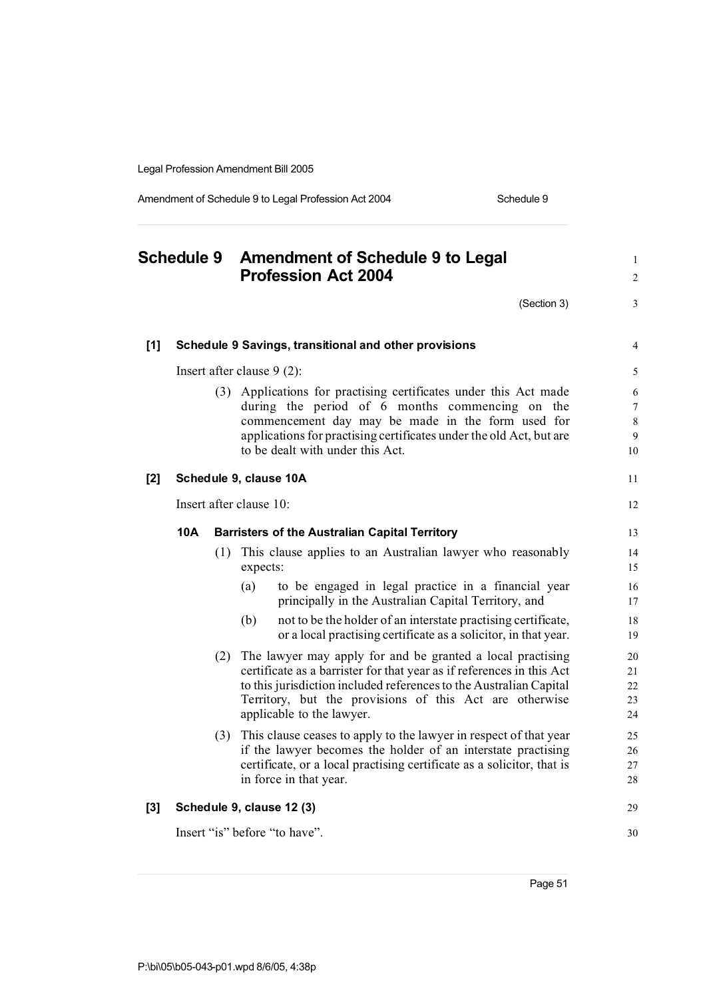Amendment of Schedule 9 to Legal Profession Act 2004 Schedule 9

**Schedule 9 Amendment of Schedule 9 to Legal** <sup>1</sup> **Profession Act 2004** <sup>2</sup>  $(Section 3)$  3 **[1] Schedule 9 Savings, transitional and other provisions** 4 Insert after clause 9 (2): 5 (3) Applications for practising certificates under this Act made 6 during the period of 6 months commencing on the 7 commencement day may be made in the form used for 8 applications for practising certificates under the old Act, but are 9 to be dealt with under this Act. 10 **[2] Schedule 9, clause 10A** 11 Insert after clause 10: 12 **10A Barristers of the Australian Capital Territory** 13 (1) This clause applies to an Australian lawyer who reasonably 14 expects: 15 (a) to be engaged in legal practice in a financial year 16 principally in the Australian Capital Territory, and 17 (b) not to be the holder of an interstate practising certificate, 18 or a local practising certificate as a solicitor, in that year. 19 (2) The lawyer may apply for and be granted a local practising 20 certificate as a barrister for that year as if references in this Act 21 to this jurisdiction included references to the Australian Capital 22 Territory, but the provisions of this Act are otherwise 23 applicable to the lawyer. 24 (3) This clause ceases to apply to the lawyer in respect of that year 25 if the lawyer becomes the holder of an interstate practising 26 certificate, or a local practising certificate as a solicitor, that is 27 in force in that year. 28 **[3] Schedule 9, clause 12 (3)** 29 Insert "is" before "to have". 30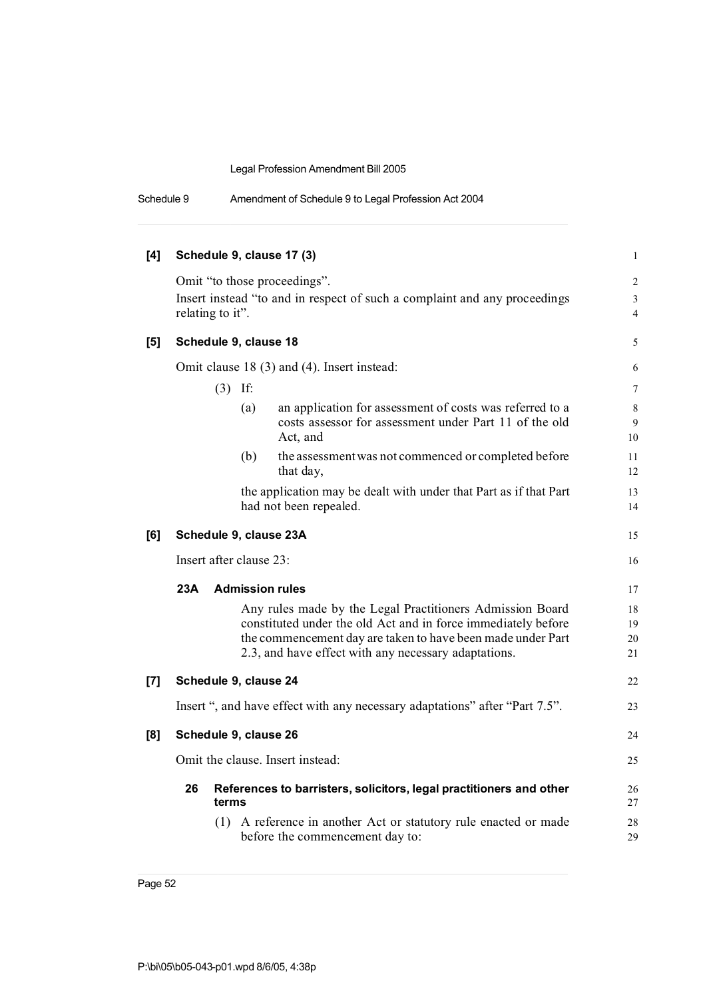| Schedule 9 | Amendment of Schedule 9 to Legal Profession Act 2004 |
|------------|------------------------------------------------------|
|------------|------------------------------------------------------|

| [4]   | Schedule 9, clause 17 (3)                                                                                                                                                                                                                         | $\mathbf{1}$                                       |  |
|-------|---------------------------------------------------------------------------------------------------------------------------------------------------------------------------------------------------------------------------------------------------|----------------------------------------------------|--|
|       | Omit "to those proceedings".<br>Insert instead "to and in respect of such a complaint and any proceedings<br>relating to it".                                                                                                                     | $\overline{2}$<br>$\mathfrak{Z}$<br>$\overline{4}$ |  |
| $[5]$ | Schedule 9, clause 18                                                                                                                                                                                                                             | 5                                                  |  |
|       | Omit clause 18 (3) and (4). Insert instead:                                                                                                                                                                                                       | 6                                                  |  |
|       | $(3)$ If:                                                                                                                                                                                                                                         | 7                                                  |  |
|       | an application for assessment of costs was referred to a<br>(a)<br>costs assessor for assessment under Part 11 of the old<br>Act, and                                                                                                             | 8<br>9<br>10                                       |  |
|       | the assessment was not commenced or completed before<br>(b)<br>that day,                                                                                                                                                                          | 11<br>12                                           |  |
|       | the application may be dealt with under that Part as if that Part<br>had not been repealed.                                                                                                                                                       | 13<br>14                                           |  |
| [6]   | Schedule 9, clause 23A                                                                                                                                                                                                                            | 15                                                 |  |
|       | Insert after clause 23:                                                                                                                                                                                                                           |                                                    |  |
|       | 23A<br><b>Admission rules</b>                                                                                                                                                                                                                     | 17                                                 |  |
|       | Any rules made by the Legal Practitioners Admission Board<br>constituted under the old Act and in force immediately before<br>the commencement day are taken to have been made under Part<br>2.3, and have effect with any necessary adaptations. | 18<br>19<br>20<br>21                               |  |
| [7]   | Schedule 9, clause 24                                                                                                                                                                                                                             | 22                                                 |  |
|       | Insert ", and have effect with any necessary adaptations" after "Part 7.5".                                                                                                                                                                       | 23                                                 |  |
| [8]   | Schedule 9, clause 26                                                                                                                                                                                                                             | 24                                                 |  |
|       | Omit the clause. Insert instead:                                                                                                                                                                                                                  | 25                                                 |  |
|       | 26<br>References to barristers, solicitors, legal practitioners and other<br>terms                                                                                                                                                                | 26<br>27                                           |  |
|       | (1) A reference in another Act or statutory rule enacted or made<br>before the commencement day to:                                                                                                                                               | 28<br>29                                           |  |
|       |                                                                                                                                                                                                                                                   |                                                    |  |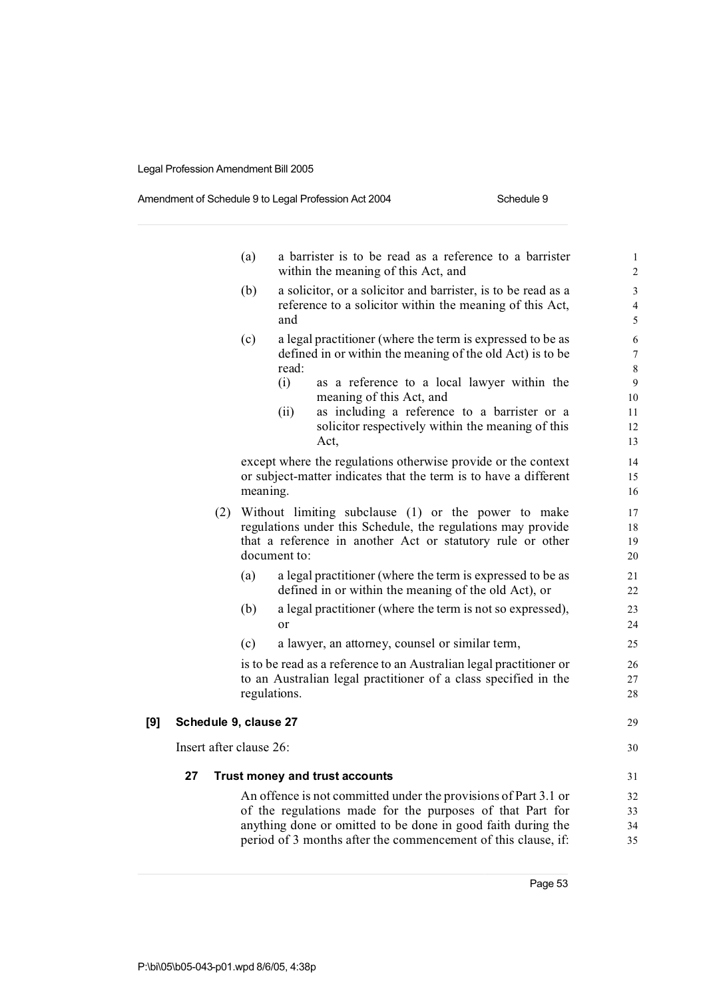#### Amendment of Schedule 9 to Legal Profession Act 2004 Schedule 9

|                         | (a)                                   | a barrister is to be read as a reference to a barrister<br>within the meaning of this Act, and                                                                                                                                                                                                                  | $\mathbf{1}$<br>$\overline{c}$           |
|-------------------------|---------------------------------------|-----------------------------------------------------------------------------------------------------------------------------------------------------------------------------------------------------------------------------------------------------------------------------------------------------------------|------------------------------------------|
|                         | (b)<br>and                            | a solicitor, or a solicitor and barrister, is to be read as a<br>reference to a solicitor within the meaning of this Act,                                                                                                                                                                                       | 3<br>$\overline{\mathcal{L}}$<br>5       |
|                         | (c)<br>read:<br>(i)<br>(ii)           | a legal practitioner (where the term is expressed to be as<br>defined in or within the meaning of the old Act) is to be<br>as a reference to a local lawyer within the<br>meaning of this Act, and<br>as including a reference to a barrister or a<br>solicitor respectively within the meaning of this<br>Act, | 6<br>7<br>8<br>9<br>10<br>11<br>12<br>13 |
|                         | meaning.                              | except where the regulations otherwise provide or the context<br>or subject-matter indicates that the term is to have a different                                                                                                                                                                               | 14<br>15<br>16                           |
|                         | document to:                          | (2) Without limiting subclause (1) or the power to make<br>regulations under this Schedule, the regulations may provide<br>that a reference in another Act or statutory rule or other                                                                                                                           | 17<br>18<br>19<br>20                     |
|                         | (a)                                   | a legal practitioner (where the term is expressed to be as<br>defined in or within the meaning of the old Act), or                                                                                                                                                                                              | 21<br>22                                 |
|                         | (b)<br>or                             | a legal practitioner (where the term is not so expressed),                                                                                                                                                                                                                                                      | 23<br>24                                 |
|                         | (c)                                   | a lawyer, an attorney, counsel or similar term,                                                                                                                                                                                                                                                                 | 25                                       |
|                         | regulations.                          | is to be read as a reference to an Australian legal practitioner or<br>to an Australian legal practitioner of a class specified in the                                                                                                                                                                          | 26<br>27<br>28                           |
| [9]                     | Schedule 9, clause 27                 |                                                                                                                                                                                                                                                                                                                 | 29                                       |
| Insert after clause 26: |                                       |                                                                                                                                                                                                                                                                                                                 | 30                                       |
| 27                      | <b>Trust money and trust accounts</b> |                                                                                                                                                                                                                                                                                                                 | 31                                       |
|                         |                                       | An offence is not committed under the provisions of Part 3.1 or<br>of the regulations made for the purposes of that Part for<br>anything done or omitted to be done in good faith during the<br>period of 3 months after the commencement of this clause, if:                                                   | 32<br>33<br>34<br>35                     |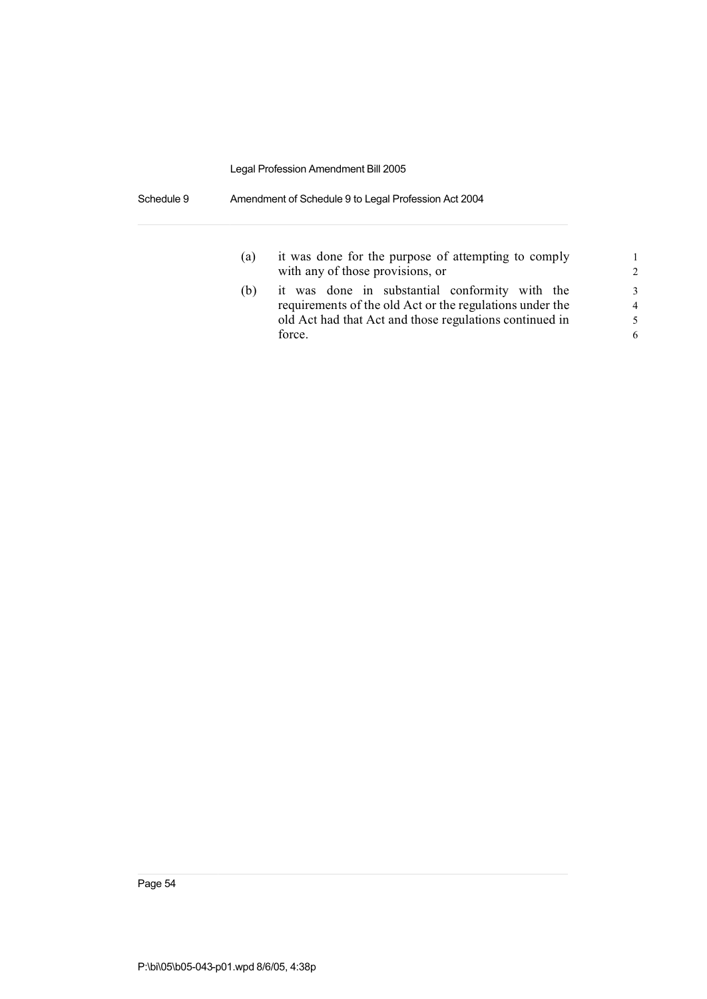Schedule 9 Amendment of Schedule 9 to Legal Profession Act 2004

| (a) | it was done for the purpose of attempting to comply<br>with any of those provisions, or                                                                                         | 1<br>$\mathcal{L}$                        |
|-----|---------------------------------------------------------------------------------------------------------------------------------------------------------------------------------|-------------------------------------------|
| (b) | it was done in substantial conformity with the<br>requirements of the old Act or the regulations under the<br>old Act had that Act and those regulations continued in<br>force. | $\mathcal{F}$<br>$\overline{4}$<br>5<br>6 |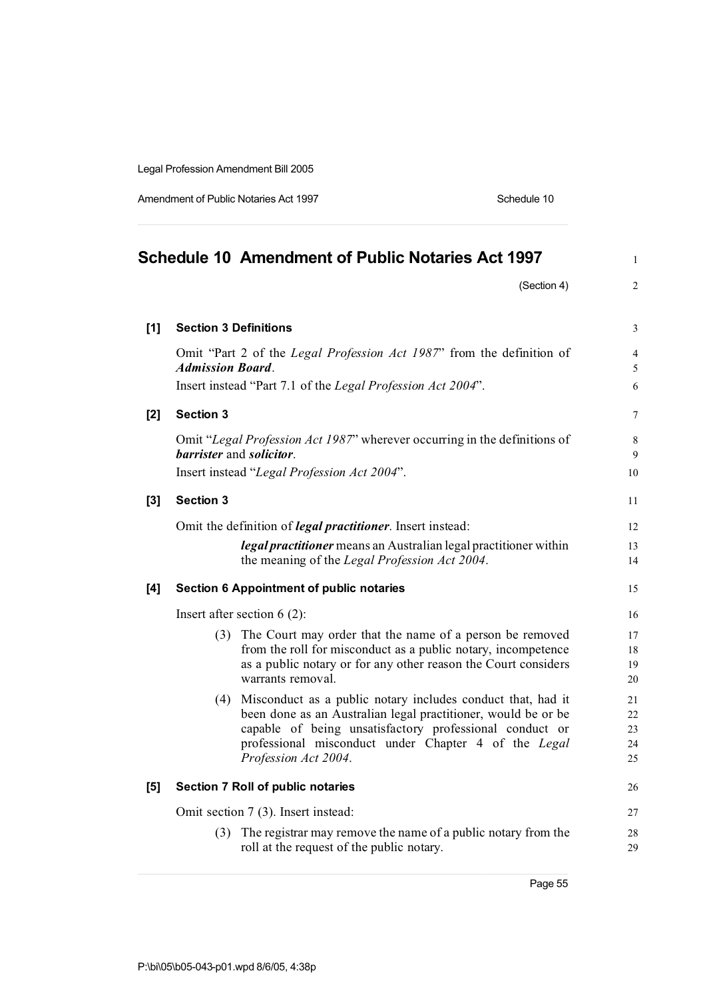Amendment of Public Notaries Act 1997 Schedule 10

|       |                              | <b>Schedule 10 Amendment of Public Notaries Act 1997</b>                                                                                                                                                                                                                    | $\mathbf{1}$                  |
|-------|------------------------------|-----------------------------------------------------------------------------------------------------------------------------------------------------------------------------------------------------------------------------------------------------------------------------|-------------------------------|
|       |                              | (Section 4)                                                                                                                                                                                                                                                                 | $\overline{2}$                |
| $[1]$ | <b>Section 3 Definitions</b> |                                                                                                                                                                                                                                                                             | 3                             |
|       | <b>Admission Board.</b>      | Omit "Part 2 of the Legal Profession Act 1987" from the definition of                                                                                                                                                                                                       | $\overline{\mathcal{L}}$<br>5 |
|       |                              | Insert instead "Part 7.1 of the Legal Profession Act 2004".                                                                                                                                                                                                                 | 6                             |
| [2]   | <b>Section 3</b>             |                                                                                                                                                                                                                                                                             | 7                             |
|       |                              | Omit "Legal Profession Act 1987" wherever occurring in the definitions of<br>barrister and solicitor.                                                                                                                                                                       | 8<br>9                        |
|       |                              | Insert instead "Legal Profession Act 2004".                                                                                                                                                                                                                                 | 10                            |
| [3]   | <b>Section 3</b>             |                                                                                                                                                                                                                                                                             | 11                            |
|       |                              | Omit the definition of <i>legal practitioner</i> . Insert instead:                                                                                                                                                                                                          | 12                            |
|       |                              | <i>legal practitioner</i> means an Australian legal practitioner within<br>the meaning of the Legal Profession Act 2004.                                                                                                                                                    | 13<br>14                      |
| [4]   |                              | <b>Section 6 Appointment of public notaries</b>                                                                                                                                                                                                                             | 15                            |
|       |                              | Insert after section $6(2)$ :                                                                                                                                                                                                                                               | 16                            |
|       |                              | (3) The Court may order that the name of a person be removed<br>from the roll for misconduct as a public notary, incompetence<br>as a public notary or for any other reason the Court considers<br>warrants removal.                                                        | 17<br>18<br>19<br>20          |
|       |                              | (4) Misconduct as a public notary includes conduct that, had it<br>been done as an Australian legal practitioner, would be or be<br>capable of being unsatisfactory professional conduct or<br>professional misconduct under Chapter 4 of the Legal<br>Profession Act 2004. | 21<br>22<br>23<br>24<br>25    |
| [5]   |                              | Section 7 Roll of public notaries                                                                                                                                                                                                                                           | 26                            |
|       |                              | Omit section 7 (3). Insert instead:                                                                                                                                                                                                                                         | 27                            |
|       |                              | (3) The registrar may remove the name of a public notary from the<br>roll at the request of the public notary.                                                                                                                                                              | 28<br>29                      |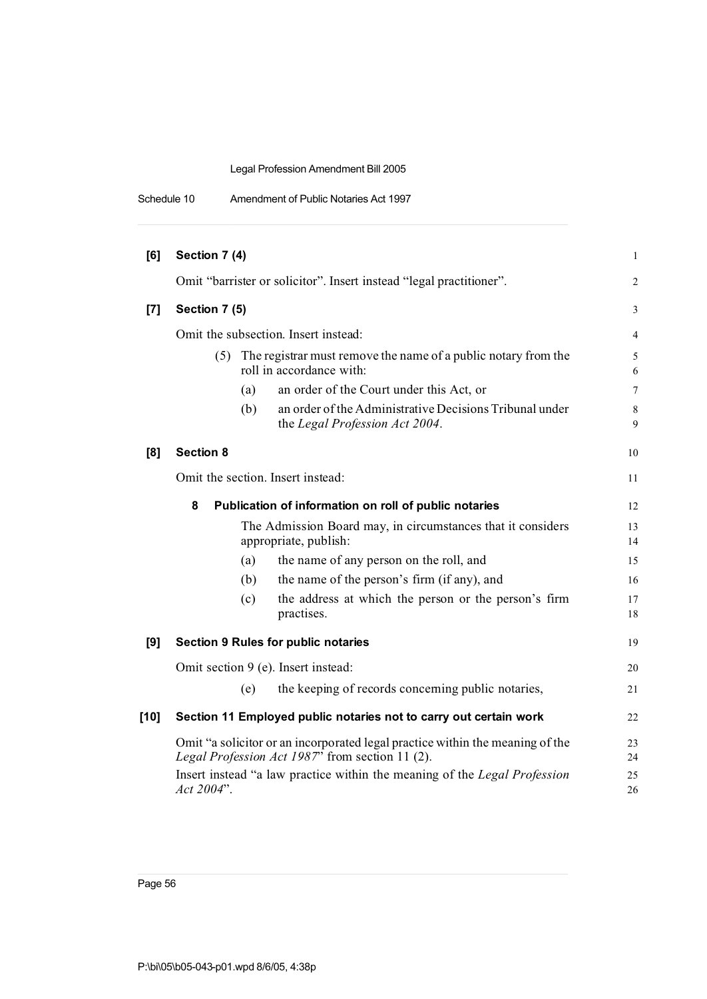| Schedule 10 | Amendment of Public Notaries Act 1997 |  |
|-------------|---------------------------------------|--|
|-------------|---------------------------------------|--|

| [6]    | Section 7 (4)    |     |                                                                                                                                  | $\mathbf{1}$     |
|--------|------------------|-----|----------------------------------------------------------------------------------------------------------------------------------|------------------|
|        |                  |     | Omit "barrister or solicitor". Insert instead "legal practitioner".                                                              | 2                |
| $[7]$  | Section 7 (5)    |     |                                                                                                                                  | 3                |
|        |                  |     | Omit the subsection. Insert instead:                                                                                             | $\overline{4}$   |
|        | (5)              |     | The registrar must remove the name of a public notary from the<br>roll in accordance with:                                       | 5<br>6           |
|        |                  | (a) | an order of the Court under this Act, or                                                                                         | 7                |
|        |                  | (b) | an order of the Administrative Decisions Tribunal under<br>the Legal Profession Act 2004.                                        | $\,$ 8 $\,$<br>9 |
| [8]    | <b>Section 8</b> |     |                                                                                                                                  | 10               |
|        |                  |     | Omit the section. Insert instead:                                                                                                | 11               |
|        | 8                |     | Publication of information on roll of public notaries                                                                            | 12               |
|        |                  |     | The Admission Board may, in circumstances that it considers<br>appropriate, publish:                                             | 13<br>14         |
|        |                  | (a) | the name of any person on the roll, and                                                                                          | 15               |
|        |                  | (b) | the name of the person's firm (if any), and                                                                                      | 16               |
|        |                  | (c) | the address at which the person or the person's firm<br>practises.                                                               | 17<br>18         |
| [9]    |                  |     | <b>Section 9 Rules for public notaries</b>                                                                                       | 19               |
|        |                  |     | Omit section 9 (e). Insert instead:                                                                                              | 20               |
|        |                  | (e) | the keeping of records concerning public notaries,                                                                               | 21               |
| $[10]$ |                  |     | Section 11 Employed public notaries not to carry out certain work                                                                | 22               |
|        |                  |     | Omit "a solicitor or an incorporated legal practice within the meaning of the<br>Legal Profession Act 1987" from section 11 (2). | 23<br>24         |
|        | Act 2004".       |     | Insert instead "a law practice within the meaning of the Legal Profession                                                        | 25<br>26         |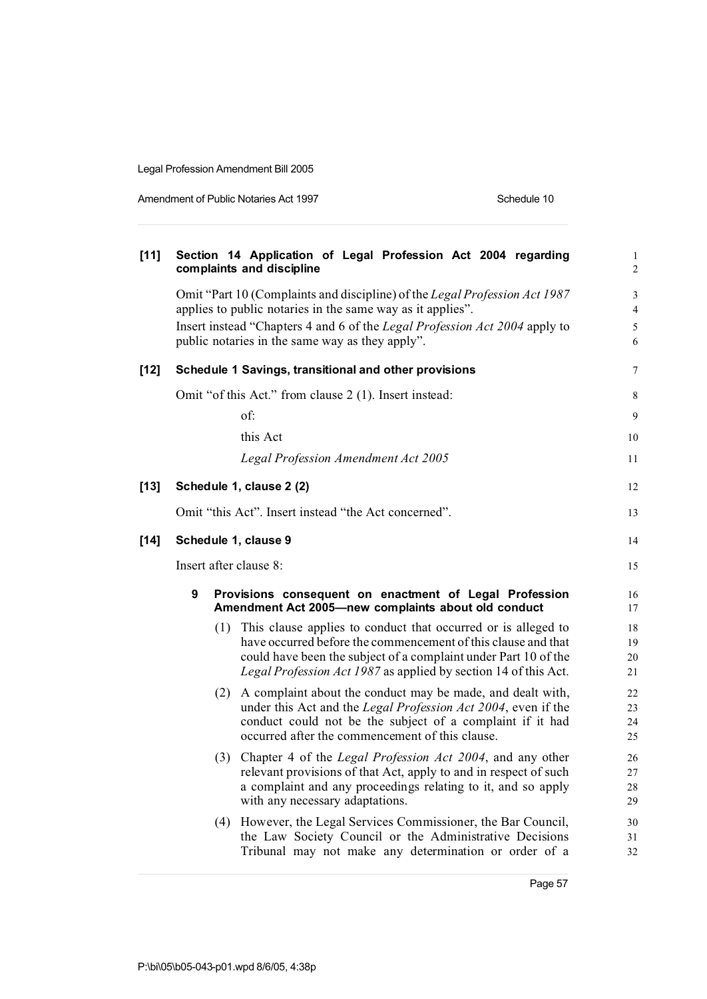Amendment of Public Notaries Act 1997 **Schedule 10** Schedule 10

| $[11]$ |                        | Section 14 Application of Legal Profession Act 2004 regarding<br>complaints and discipline                                       | $\mathbf{1}$<br>$\overline{c}$ |
|--------|------------------------|----------------------------------------------------------------------------------------------------------------------------------|--------------------------------|
|        |                        | Omit "Part 10 (Complaints and discipline) of the Legal Profession Act 1987                                                       | 3                              |
|        |                        | applies to public notaries in the same way as it applies".                                                                       | $\overline{4}$                 |
|        |                        | Insert instead "Chapters 4 and 6 of the Legal Profession Act 2004 apply to<br>public notaries in the same way as they apply".    | 5<br>6                         |
| $[12]$ |                        | Schedule 1 Savings, transitional and other provisions                                                                            | 7                              |
|        |                        | Omit "of this Act." from clause 2 (1). Insert instead:                                                                           | 8                              |
|        |                        | of:                                                                                                                              | 9                              |
|        |                        | this Act                                                                                                                         | 10                             |
|        |                        | Legal Profession Amendment Act 2005                                                                                              | 11                             |
| $[13]$ |                        | Schedule 1, clause 2 (2)                                                                                                         | 12                             |
|        |                        | Omit "this Act". Insert instead "the Act concerned".                                                                             | 13                             |
| $[14]$ | Schedule 1, clause 9   |                                                                                                                                  |                                |
|        | Insert after clause 8: |                                                                                                                                  |                                |
|        | 9                      | Provisions consequent on enactment of Legal Profession<br>Amendment Act 2005-new complaints about old conduct                    | 16<br>17                       |
|        |                        | (1) This clause applies to conduct that occurred or is alleged to                                                                | 18                             |
|        |                        | have occurred before the commencement of this clause and that<br>could have been the subject of a complaint under Part 10 of the | 19<br>20                       |
|        |                        | Legal Profession Act 1987 as applied by section 14 of this Act.                                                                  | 21                             |
|        |                        | (2) A complaint about the conduct may be made, and dealt with,                                                                   | 22                             |
|        |                        | under this Act and the Legal Profession Act 2004, even if the<br>conduct could not be the subject of a complaint if it had       | 23                             |
|        |                        | occurred after the commencement of this clause.                                                                                  | 24<br>25                       |
|        |                        | (3) Chapter 4 of the Legal Profession Act 2004, and any other                                                                    | 26                             |
|        |                        | relevant provisions of that Act, apply to and in respect of such                                                                 | 27                             |
|        |                        | a complaint and any proceedings relating to it, and so apply<br>with any necessary adaptations.                                  | 28<br>29                       |
|        |                        | (4) However, the Legal Services Commissioner, the Bar Council,                                                                   | 30                             |
|        |                        | the Law Society Council or the Administrative Decisions                                                                          | 31                             |
|        |                        | Tribunal may not make any determination or order of a                                                                            | 32                             |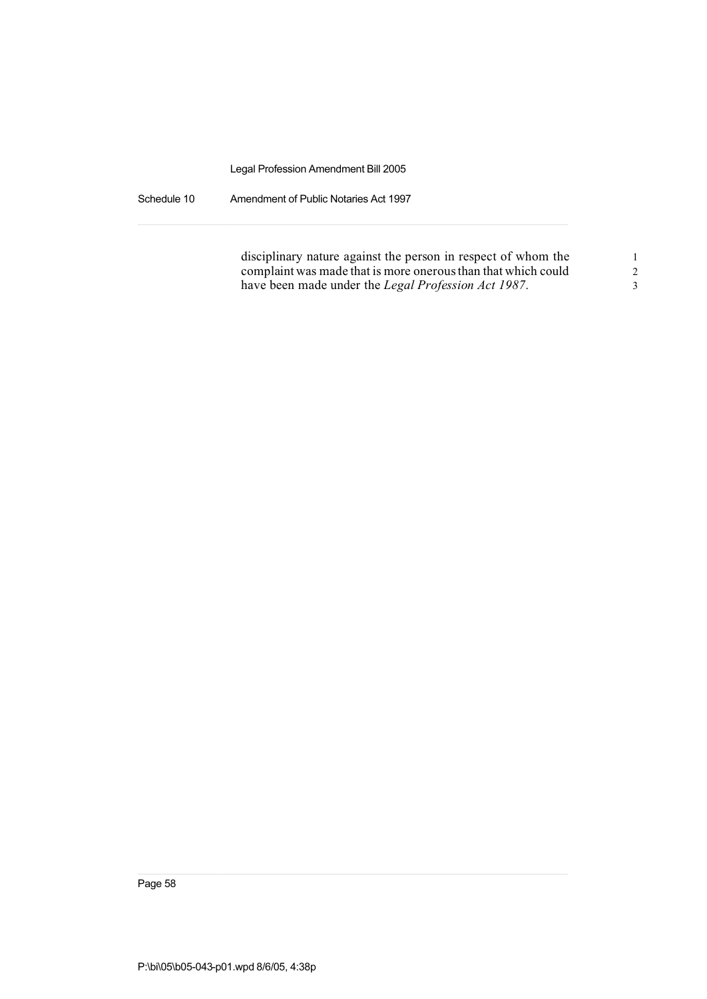Schedule 10 Amendment of Public Notaries Act 1997

| disciplinary nature against the person in respect of whom the |  |
|---------------------------------------------------------------|--|
| complaint was made that is more onerous than that which could |  |
| have been made under the Legal Profession Act 1987.           |  |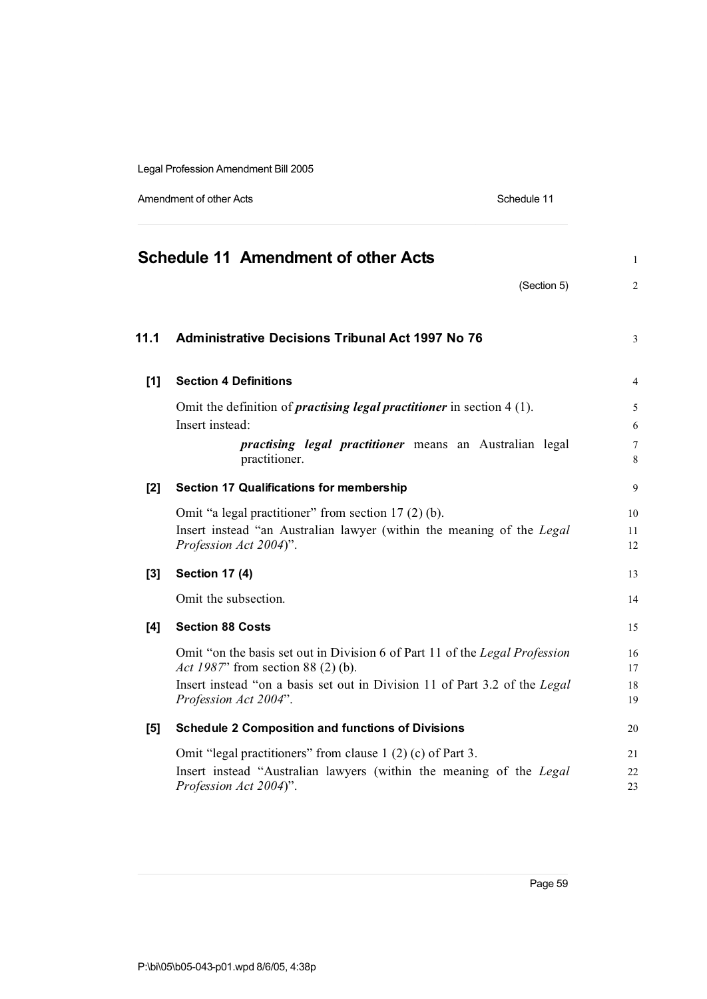Amendment of other Acts **Schedule 11** 

|       | <b>Schedule 11 Amendment of other Acts</b>                                                                                                                                                                                       | 1                             |
|-------|----------------------------------------------------------------------------------------------------------------------------------------------------------------------------------------------------------------------------------|-------------------------------|
|       | (Section 5)                                                                                                                                                                                                                      | $\overline{2}$                |
| 11.1  | <b>Administrative Decisions Tribunal Act 1997 No 76</b>                                                                                                                                                                          | 3                             |
| $[1]$ | <b>Section 4 Definitions</b>                                                                                                                                                                                                     | $\overline{4}$                |
|       | Omit the definition of <i>practising legal practitioner</i> in section $4(1)$ .<br>Insert instead:<br><i>practising legal practitioner</i> means an Australian legal<br>practitioner.                                            | 5<br>6<br>$\overline{7}$<br>8 |
| [2]   | <b>Section 17 Qualifications for membership</b>                                                                                                                                                                                  | 9                             |
|       | Omit "a legal practitioner" from section 17 (2) (b).<br>Insert instead "an Australian lawyer (within the meaning of the Legal<br>Profession Act 2004)".                                                                          | 10<br>11<br>12                |
| $[3]$ | <b>Section 17 (4)</b>                                                                                                                                                                                                            | 13                            |
|       | Omit the subsection.                                                                                                                                                                                                             | 14                            |
| [4]   | <b>Section 88 Costs</b>                                                                                                                                                                                                          | 15                            |
|       | Omit "on the basis set out in Division 6 of Part 11 of the Legal Profession<br><i>Act 1987</i> " from section 88 (2) (b).<br>Insert instead "on a basis set out in Division 11 of Part 3.2 of the Legal<br>Profession Act 2004". | 16<br>17<br>18<br>19          |
| [5]   | <b>Schedule 2 Composition and functions of Divisions</b>                                                                                                                                                                         | 20                            |
|       | Omit "legal practitioners" from clause 1 (2) (c) of Part 3.<br>Insert instead "Australian lawyers (within the meaning of the Legal<br>Profession Act 2004)".                                                                     | 21<br>22<br>23                |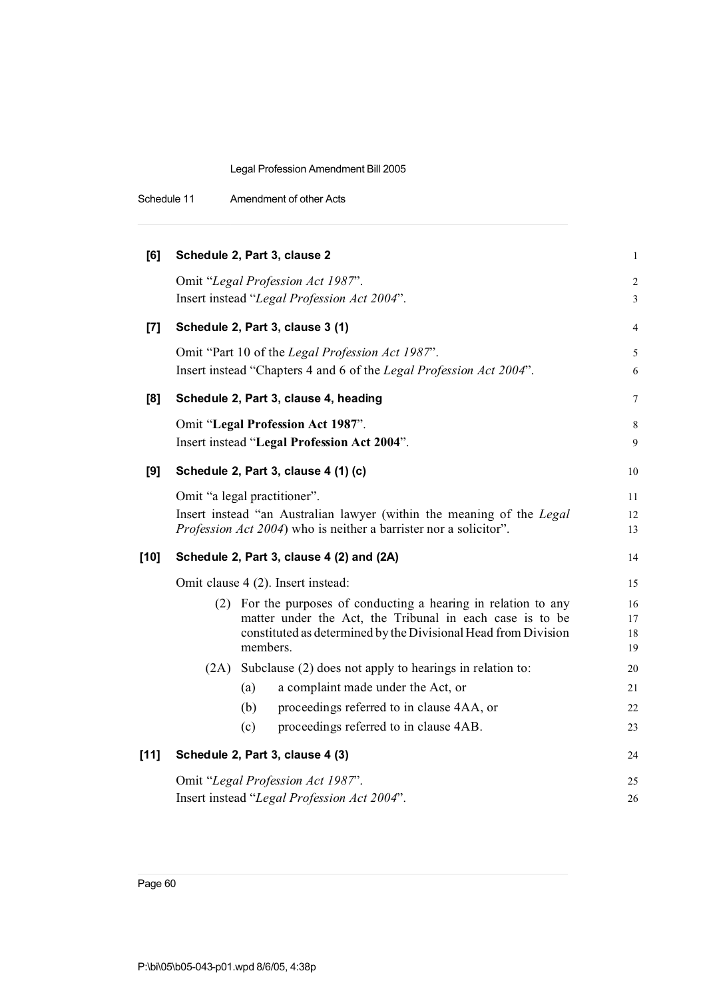|  | Schedule 11 | Amendment of other Acts |
|--|-------------|-------------------------|
|--|-------------|-------------------------|

| [6]    | Schedule 2, Part 3, clause 2                |          |                                                                                                                                                                                               | $\mathbf{1}$         |
|--------|---------------------------------------------|----------|-----------------------------------------------------------------------------------------------------------------------------------------------------------------------------------------------|----------------------|
|        |                                             |          | Omit "Legal Profession Act 1987".<br>Insert instead "Legal Profession Act 2004".                                                                                                              | $\sqrt{2}$<br>3      |
| $[7]$  |                                             |          | Schedule 2, Part 3, clause 3 (1)                                                                                                                                                              | 4                    |
|        |                                             |          | Omit "Part 10 of the Legal Profession Act 1987".<br>Insert instead "Chapters 4 and 6 of the Legal Profession Act 2004".                                                                       | 5<br>6               |
| [8]    |                                             |          | Schedule 2, Part 3, clause 4, heading                                                                                                                                                         | 7                    |
|        |                                             |          | Omit "Legal Profession Act 1987".<br>Insert instead "Legal Profession Act 2004".                                                                                                              | 8<br>9               |
| [9]    |                                             |          | Schedule 2, Part 3, clause 4 (1) (c)                                                                                                                                                          | 10                   |
|        | Omit "a legal practitioner".                |          | Insert instead "an Australian lawyer (within the meaning of the Legal<br><i>Profession Act 2004</i> ) who is neither a barrister nor a solicitor".                                            | 11<br>12<br>13       |
| $[10]$ |                                             |          | Schedule 2, Part 3, clause 4 (2) and (2A)                                                                                                                                                     | 14                   |
|        |                                             |          | Omit clause 4 (2). Insert instead:                                                                                                                                                            | 15                   |
|        |                                             | members. | (2) For the purposes of conducting a hearing in relation to any<br>matter under the Act, the Tribunal in each case is to be<br>constituted as determined by the Divisional Head from Division | 16<br>17<br>18<br>19 |
|        |                                             |          | (2A) Subclause (2) does not apply to hearings in relation to:                                                                                                                                 | 20                   |
|        |                                             | (a)      | a complaint made under the Act, or                                                                                                                                                            | 21                   |
|        |                                             | (b)      | proceedings referred to in clause 4AA, or                                                                                                                                                     | 22                   |
|        |                                             | (c)      | proceedings referred to in clause 4AB.                                                                                                                                                        | 23                   |
| $[11]$ |                                             |          | Schedule 2, Part 3, clause 4 (3)                                                                                                                                                              | 24                   |
|        |                                             |          | Omit "Legal Profession Act 1987".                                                                                                                                                             | 25                   |
|        | Insert instead "Legal Profession Act 2004". |          |                                                                                                                                                                                               | 26                   |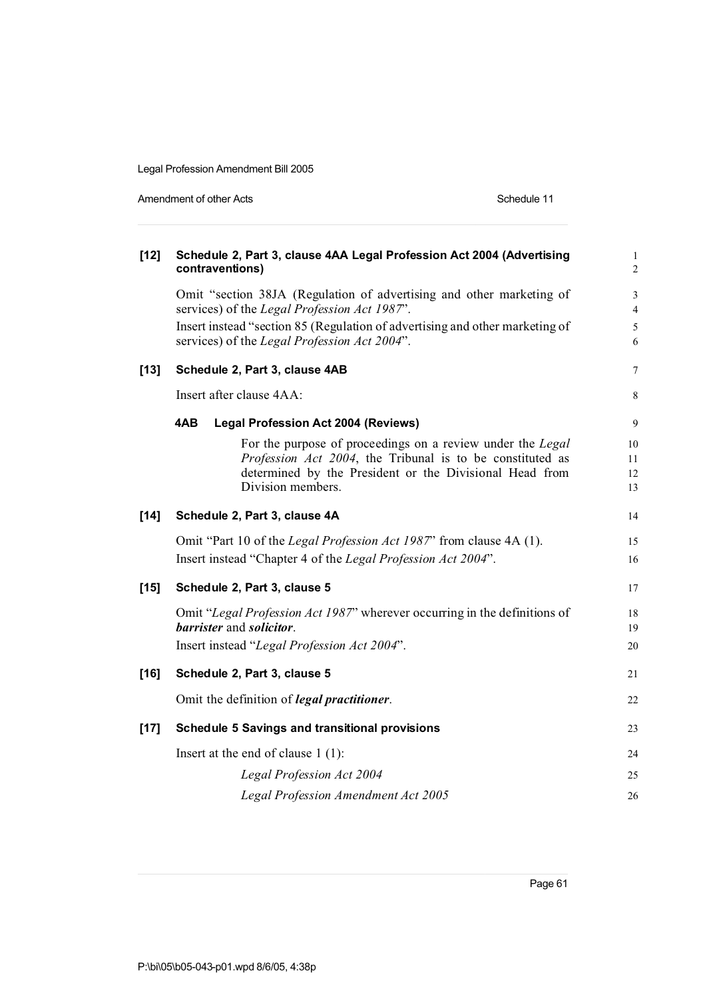Amendment of other Acts **Schedule 11** 

| $[12]$ | Schedule 2, Part 3, clause 4AA Legal Profession Act 2004 (Advertising<br>contraventions)                                                                                                                | $\mathbf{1}$<br>$\overline{c}$ |
|--------|---------------------------------------------------------------------------------------------------------------------------------------------------------------------------------------------------------|--------------------------------|
|        | Omit "section 38JA (Regulation of advertising and other marketing of<br>services) of the Legal Profession Act 1987".                                                                                    | 3<br>$\overline{4}$            |
|        | Insert instead "section 85 (Regulation of advertising and other marketing of<br>services) of the Legal Profession Act 2004".                                                                            | 5<br>6                         |
| $[13]$ | Schedule 2, Part 3, clause 4AB                                                                                                                                                                          | $\overline{7}$                 |
|        | Insert after clause 4AA:                                                                                                                                                                                | 8                              |
|        | 4AB<br><b>Legal Profession Act 2004 (Reviews)</b>                                                                                                                                                       | 9                              |
|        | For the purpose of proceedings on a review under the Legal<br>Profession Act 2004, the Tribunal is to be constituted as<br>determined by the President or the Divisional Head from<br>Division members. | 10<br>11<br>12<br>13           |
| $[14]$ | Schedule 2, Part 3, clause 4A                                                                                                                                                                           | 14                             |
|        | Omit "Part 10 of the Legal Profession Act 1987" from clause 4A (1).<br>Insert instead "Chapter 4 of the Legal Profession Act 2004".                                                                     | 15<br>16                       |
| $[15]$ | Schedule 2, Part 3, clause 5                                                                                                                                                                            | 17                             |
|        | Omit "Legal Profession Act 1987" wherever occurring in the definitions of<br>barrister and solicitor.<br>Insert instead "Legal Profession Act 2004".                                                    | 18<br>19<br>20                 |
| $[16]$ | Schedule 2, Part 3, clause 5                                                                                                                                                                            | 21                             |
|        | Omit the definition of <i>legal practitioner</i> .                                                                                                                                                      | 22                             |
| $[17]$ | <b>Schedule 5 Savings and transitional provisions</b>                                                                                                                                                   | 23                             |
|        | Insert at the end of clause $1(1)$ :                                                                                                                                                                    | 24                             |
|        | Legal Profession Act 2004                                                                                                                                                                               | 25                             |
|        | Legal Profession Amendment Act 2005                                                                                                                                                                     | 26                             |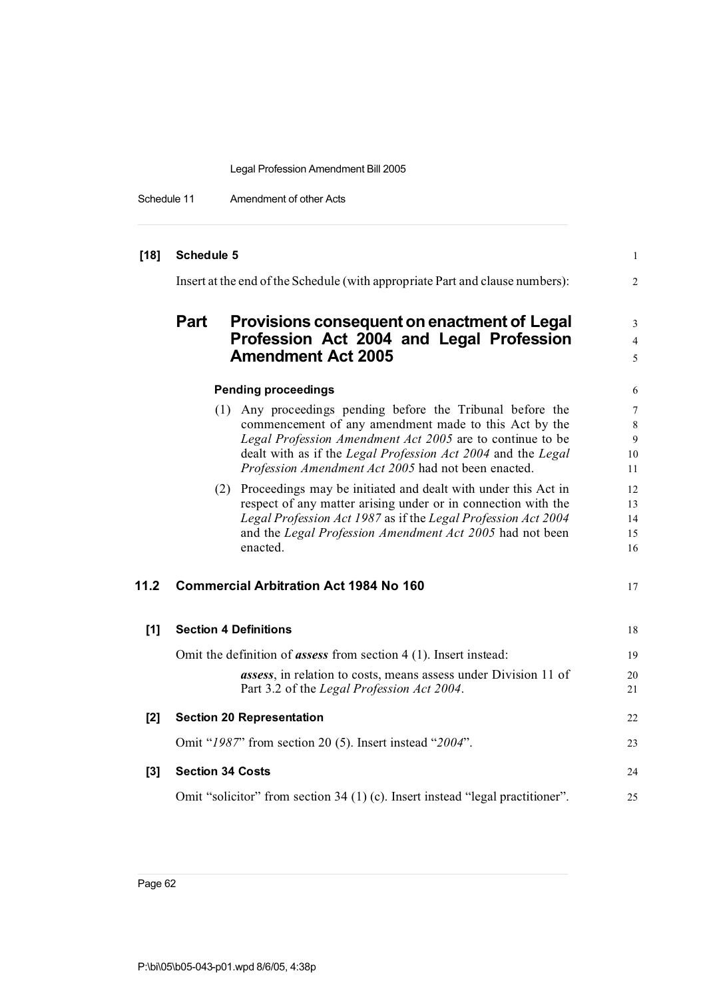Schedule 11 Amendment of other Acts

| $[18]$ | <b>Schedule 5</b>                                                                                                                                                                                                                                                                                       | $\mathbf{1}$                  |
|--------|---------------------------------------------------------------------------------------------------------------------------------------------------------------------------------------------------------------------------------------------------------------------------------------------------------|-------------------------------|
|        | Insert at the end of the Schedule (with appropriate Part and clause numbers):                                                                                                                                                                                                                           | 2                             |
|        | <b>Part</b><br>Provisions consequent on enactment of Legal<br>Profession Act 2004 and Legal Profession                                                                                                                                                                                                  | 3<br>4                        |
|        | <b>Amendment Act 2005</b>                                                                                                                                                                                                                                                                               | 5                             |
|        | <b>Pending proceedings</b>                                                                                                                                                                                                                                                                              | 6                             |
|        | (1) Any proceedings pending before the Tribunal before the<br>commencement of any amendment made to this Act by the<br>Legal Profession Amendment Act 2005 are to continue to be<br>dealt with as if the Legal Profession Act 2004 and the Legal<br>Profession Amendment Act 2005 had not been enacted. | 7<br>$\,8\,$<br>9<br>10<br>11 |
|        | (2) Proceedings may be initiated and dealt with under this Act in<br>respect of any matter arising under or in connection with the<br>Legal Profession Act 1987 as if the Legal Profession Act 2004<br>and the Legal Profession Amendment Act 2005 had not been<br>enacted.                             | 12<br>13<br>14<br>15<br>16    |
| 11.2   | <b>Commercial Arbitration Act 1984 No 160</b>                                                                                                                                                                                                                                                           | 17                            |
| [1]    | <b>Section 4 Definitions</b>                                                                                                                                                                                                                                                                            | 18                            |
|        | Omit the definition of <i>assess</i> from section $4(1)$ . Insert instead:<br><i>assess</i> , in relation to costs, means assess under Division 11 of<br>Part 3.2 of the Legal Profession Act 2004.                                                                                                     | 19<br>20<br>21                |
| $[2]$  | <b>Section 20 Representation</b>                                                                                                                                                                                                                                                                        | 22                            |
|        | Omit "1987" from section 20 (5). Insert instead "2004".                                                                                                                                                                                                                                                 | 23                            |
| $[3]$  | <b>Section 34 Costs</b>                                                                                                                                                                                                                                                                                 | 24                            |
|        | Omit "solicitor" from section 34 (1) (c). Insert instead "legal practitioner".                                                                                                                                                                                                                          | 25                            |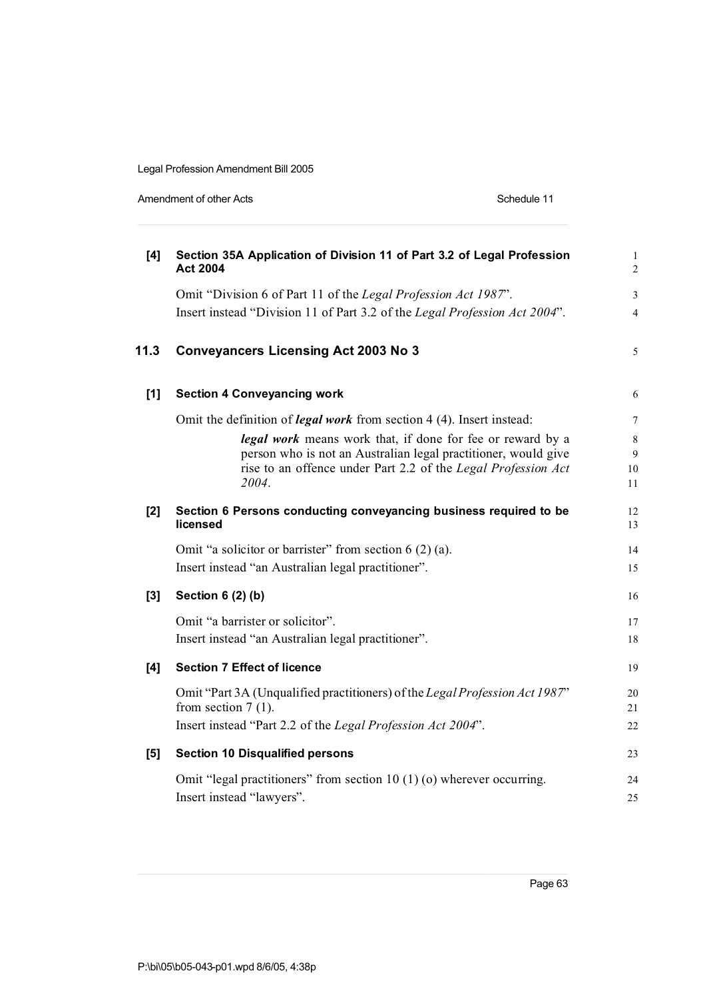| Amendment of other Acts |
|-------------------------|
|-------------------------|

Schedule 11

| [4]   | Section 35A Application of Division 11 of Part 3.2 of Legal Profession<br><b>Act 2004</b>                                       | $\mathbf{1}$<br>$\overline{c}$ |
|-------|---------------------------------------------------------------------------------------------------------------------------------|--------------------------------|
|       | Omit "Division 6 of Part 11 of the Legal Profession Act 1987".                                                                  | 3                              |
|       | Insert instead "Division 11 of Part 3.2 of the Legal Profession Act 2004".                                                      | $\overline{4}$                 |
| 11.3  | <b>Conveyancers Licensing Act 2003 No 3</b>                                                                                     | 5                              |
| $[1]$ | <b>Section 4 Conveyancing work</b>                                                                                              | 6                              |
|       | Omit the definition of <i>legal work</i> from section 4 (4). Insert instead:                                                    | 7                              |
|       | legal work means work that, if done for fee or reward by a                                                                      | 8                              |
|       | person who is not an Australian legal practitioner, would give<br>rise to an offence under Part 2.2 of the Legal Profession Act | 9                              |
|       | 2004.                                                                                                                           | 10<br>11                       |
| $[2]$ | Section 6 Persons conducting conveyancing business required to be<br>licensed                                                   | 12<br>13                       |
|       | Omit "a solicitor or barrister" from section $6(2)(a)$ .                                                                        | 14                             |
|       | Insert instead "an Australian legal practitioner".                                                                              | 15                             |
| [3]   | Section 6 (2) (b)                                                                                                               | 16                             |
|       | Omit "a barrister or solicitor".                                                                                                | 17                             |
|       | Insert instead "an Australian legal practitioner".                                                                              | 18                             |
| [4]   | <b>Section 7 Effect of licence</b>                                                                                              | 19                             |
|       | Omit "Part 3A (Unqualified practitioners) of the Legal Profession Act 1987"<br>from section $7(1)$ .                            | 20<br>21                       |
|       | Insert instead "Part 2.2 of the Legal Profession Act 2004".                                                                     | 22                             |
| [5]   | <b>Section 10 Disqualified persons</b>                                                                                          | 23                             |
|       | Omit "legal practitioners" from section $10(1)(o)$ wherever occurring.<br>Insert instead "lawyers".                             | 24<br>25                       |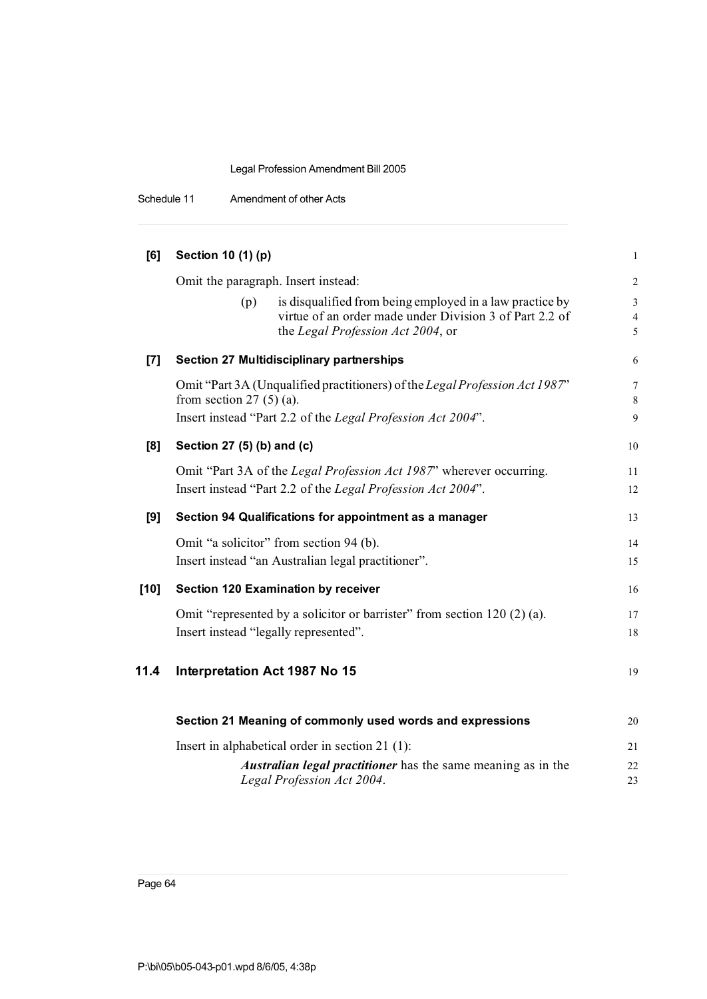## Legal Profession Amendment Bill 2005

Schedule 11 Amendment of other Acts

| [6]    | Section 10 (1) (p)                                                                                                                                              | $\mathbf{1}$             |
|--------|-----------------------------------------------------------------------------------------------------------------------------------------------------------------|--------------------------|
|        | Omit the paragraph. Insert instead:                                                                                                                             | $\overline{2}$           |
|        | is disqualified from being employed in a law practice by<br>(p)<br>virtue of an order made under Division 3 of Part 2.2 of<br>the Legal Profession Act 2004, or | 3<br>$\overline{4}$<br>5 |
| $[7]$  | <b>Section 27 Multidisciplinary partnerships</b>                                                                                                                | 6                        |
|        | Omit "Part 3A (Unqualified practitioners) of the Legal Profession Act 1987"<br>from section $27(5)(a)$ .                                                        | 7<br>8                   |
|        | Insert instead "Part 2.2 of the Legal Profession Act 2004".                                                                                                     | $\overline{9}$           |
| [8]    | Section 27 (5) (b) and (c)                                                                                                                                      | 10                       |
|        | Omit "Part 3A of the Legal Profession Act 1987" wherever occurring.<br>Insert instead "Part 2.2 of the Legal Profession Act 2004".                              | 11<br>12                 |
| [9]    | Section 94 Qualifications for appointment as a manager                                                                                                          | 13                       |
|        | Omit "a solicitor" from section 94 (b).<br>Insert instead "an Australian legal practitioner".                                                                   | 14<br>15                 |
| $[10]$ | <b>Section 120 Examination by receiver</b>                                                                                                                      | 16                       |
|        | Omit "represented by a solicitor or barrister" from section 120 (2) (a).<br>Insert instead "legally represented".                                               | 17<br>18                 |
| 11.4   | Interpretation Act 1987 No 15                                                                                                                                   | 19                       |
|        | Section 21 Meaning of commonly used words and expressions                                                                                                       | 20                       |
|        | Insert in alphabetical order in section $21$ (1):                                                                                                               | 21                       |
|        | Australian legal practitioner has the same meaning as in the<br>Legal Profession Act 2004.                                                                      | 22<br>23                 |

Page 64